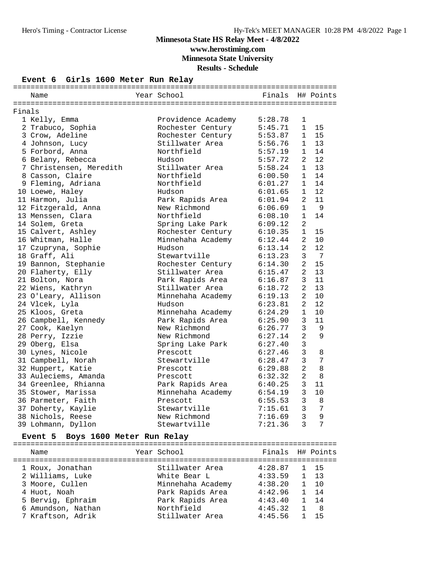### **Minnesota State HS Relay Meet - 4/8/2022 www.herostiming.com Minnesota State University Results - Schedule**

#### **Event 6 Girls 1600 Meter Run Relay**

|        | Name                    | Year School        | Finals  |                | H# Points       |
|--------|-------------------------|--------------------|---------|----------------|-----------------|
|        |                         |                    |         |                |                 |
| Finals |                         |                    |         |                |                 |
|        | 1 Kelly, Emma           | Providence Academy | 5:28.78 | 1              |                 |
|        | 2 Trabuco, Sophia       | Rochester Century  | 5:45.71 | $\mathbf{1}$   | 15              |
|        | 3 Crow, Adeline         | Rochester Century  | 5:53.87 | $\mathbf{1}$   | 15              |
|        | 4 Johnson, Lucy         | Stillwater Area    | 5:56.76 | $\mathbf{1}$   | 13              |
|        | 5 Forbord, Anna         | Northfield         | 5:57.19 | $\mathbf{1}$   | 14              |
|        | 6 Belany, Rebecca       | Hudson             | 5:57.72 | 2              | 12              |
|        | 7 Christensen, Meredith | Stillwater Area    | 5:58.24 | $\mathbf{1}$   | 13              |
|        | 8 Casson, Claire        | Northfield         | 6:00.50 | $\mathbf{1}$   | 14              |
|        | 9 Fleming, Adriana      | Northfield         | 6:01.27 | $\mathbf{1}$   | 14              |
|        | 10 Loewe, Haley         | Hudson             | 6:01.65 | $\mathbf{1}$   | 12              |
|        | 11 Harmon, Julia        | Park Rapids Area   | 6:01.94 | $\overline{2}$ | 11              |
|        | 12 Fitzgerald, Anna     | New Richmond       | 6:06.69 |                | $1 \qquad 9$    |
|        | 13 Menssen, Clara       | Northfield         | 6:08.10 | 1              | 14              |
|        | 14 Solem, Greta         | Spring Lake Park   | 6:09.12 | $\overline{a}$ |                 |
|        | 15 Calvert, Ashley      | Rochester Century  | 6:10.35 | $\mathbf{1}$   | 15              |
|        | 16 Whitman, Halle       | Minnehaha Academy  | 6:12.44 | $\overline{2}$ | 10              |
|        | 17 Czupryna, Sophie     | Hudson             | 6:13.14 | 2              | 12              |
|        | 18 Graff, Ali           | Stewartville       | 6:13.23 | 3              | $\overline{7}$  |
|        | 19 Bannon, Stephanie    | Rochester Century  | 6:14.30 | $\overline{2}$ | 15              |
|        | 20 Flaherty, Elly       | Stillwater Area    | 6:15.47 | $\overline{a}$ | 13              |
|        | 21 Bolton, Nora         | Park Rapids Area   | 6:16.87 | 3              | 11              |
|        | 22 Wiens, Kathryn       | Stillwater Area    | 6:18.72 | $\overline{2}$ | 13              |
|        | 23 O'Leary, Allison     | Minnehaha Academy  | 6:19.13 | $\overline{a}$ | 10              |
|        | 24 Vlcek, Lyla          | Hudson             | 6:23.81 | 2              | 12              |
|        | 25 Kloos, Greta         | Minnehaha Academy  | 6:24.29 | $\mathbf{1}$   | 10              |
|        | 26 Campbell, Kennedy    | Park Rapids Area   | 6:25.90 | 3              | 11              |
|        | 27 Cook, Kaelyn         | New Richmond       | 6:26.77 | $\mathbf{3}$   | 9               |
|        | 28 Perry, Izzie         | New Richmond       | 6:27.14 | $\overline{2}$ | 9               |
|        | 29 Oberg, Elsa          | Spring Lake Park   | 6:27.40 | $\mathbf{3}$   |                 |
|        | 30 Lynes, Nicole        | Prescott           | 6:27.46 | $\mathbf{3}$   | 8               |
|        | 31 Campbell, Norah      | Stewartville       | 6:28.47 | $\overline{3}$ | $7\phantom{.0}$ |
|        | 32 Huppert, Katie       | Prescott           | 6:29.88 | 2              | 8               |
|        | 33 Auleciems, Amanda    | Prescott           | 6:32.32 | 2              | 8               |
|        | 34 Greenlee, Rhianna    | Park Rapids Area   | 6:40.25 | 3              | 11              |
|        | 35 Stower, Marissa      | Minnehaha Academy  | 6:54.19 | $\mathbf{3}$   | 10              |
|        | 36 Parmeter, Faith      | Prescott           | 6:55.53 | $\overline{3}$ | 8               |
|        | 37 Doherty, Kaylie      | Stewartville       | 7:15.61 | $\mathbf{3}$   | 7               |
|        | 38 Nichols, Reese       | New Richmond       | 7:16.69 | $\overline{3}$ | $\overline{9}$  |
|        | 39 Lohmann, Dyllon      | Stewartville       | 7:21.36 | $\mathbf{3}$   | $\overline{7}$  |

#### **Event 5 Boys 1600 Meter Run Relay**

| Name                                    | Year School                          | Finals H# Points   |              |                          |
|-----------------------------------------|--------------------------------------|--------------------|--------------|--------------------------|
| 1 Roux, Jonathan<br>2 Williams, Luke    | Stillwater Area<br>White Bear L      | 4:28.87<br>4:33.59 |              | 1 15<br>$1 \t13$         |
| 3 Moore, Cullen                         | Minnehaha Academy                    | 4:38.20            |              | $1 \quad 10$             |
| 4 Huot, Noah<br>5 Bervig, Ephraim       | Park Rapids Area<br>Park Rapids Area | 4:42.96<br>4:43.40 |              | $1 \quad 14$<br>$1 \t14$ |
| 6 Amundson, Nathan<br>7 Kraftson, Adrik | Northfield<br>Stillwater Area        | 4:45.32<br>4:45.56 | $\mathbf{1}$ | - 8<br>-15               |
|                                         |                                      |                    |              |                          |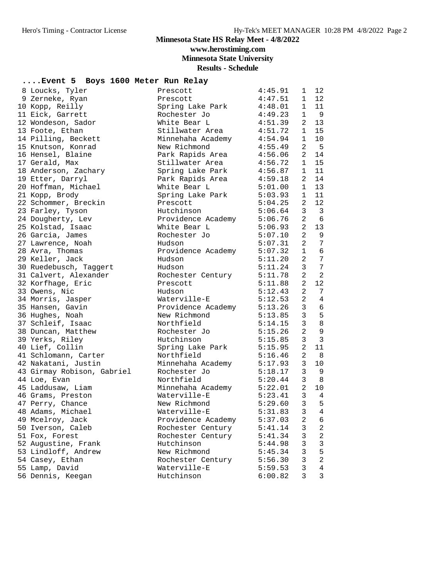**www.herostiming.com**

**Minnesota State University**

**Results - Schedule**

### **....Event 5 Boys 1600 Meter Run Relay**

| 8 Loucks, Tyler            | Prescott                   | 4:45.91 | $\mathbf{1}$   | 12                       |
|----------------------------|----------------------------|---------|----------------|--------------------------|
| 9 Zerneke, Ryan            | Prescott                   | 4:47.51 | $\mathbf{1}$   | 12 <sup>°</sup>          |
| 10 Kopp, Reilly            | Spring Lake Park           | 4:48.01 | $\mathbf{1}$   | 11                       |
| 11 Eick, Garrett           | Rochester Jo               | 4:49.23 | $\mathbf 1$    | 9                        |
| 12 Wondeson, Sador         | White Bear L               | 4:51.39 | $\overline{2}$ | 13                       |
| 13 Foote, Ethan            | Stillwater Area            | 4:51.72 | $\mathbf{1}$   | 15                       |
| 14 Pilling, Beckett        | Minnehaha Academy          | 4:54.94 | $\mathbf{1}$   | 10                       |
| 15 Knutson, Konrad         | New Richmond               | 4:55.49 | $\overline{a}$ | $5^{\circ}$              |
| 16 Hensel, Blaine          | Park Rapids Area           | 4:56.06 | $\overline{a}$ | 14                       |
| 17 Gerald, Max             | Stillwater Area            | 4:56.72 | 1              | 15                       |
| 18 Anderson, Zachary       | Spring Lake Park           | 4:56.87 | $\mathbf{1}$   | 11                       |
| 19 Etter, Darryl           | Park Rapids Area           | 4:59.18 | 2              | 14                       |
| 20 Hoffman, Michael        | White Bear L               | 5:01.00 | $\mathbf{1}$   | 13                       |
| 21 Kopp, Brody             | Spring Lake Park           | 5:03.93 | $\mathbf{1}$   | 11                       |
| 22 Schommer, Breckin       | Prescott                   | 5:04.25 | $\overline{a}$ | 12                       |
| 23 Farley, Tyson           | Hutchinson                 | 5:06.64 | 3              | $\overline{\mathbf{3}}$  |
| 24 Dougherty, Lev          | Providence Academy 5:06.76 |         | 2              | 6                        |
| 25 Kolstad, Isaac          | White Bear L               | 5:06.93 | $\overline{a}$ | 13                       |
| 26 Garcia, James           | Rochester Jo               | 5:07.10 | $\overline{a}$ | 9                        |
| 27 Lawrence, Noah          | Hudson                     | 5:07.31 | $\overline{2}$ | $7\phantom{.0}$          |
| 28 Avra, Thomas            | Providence Academy 5:07.32 |         | 1              | 6                        |
| 29 Keller, Jack            | Hudson                     | 5:11.20 | $\overline{a}$ | $7\phantom{.0}$          |
| 30 Ruedebusch, Taggert     | Hudson                     | 5:11.24 | $\mathbf{3}$   | $7\phantom{.0}$          |
| 31 Calvert, Alexander      | Rochester Century          | 5:11.78 | $\overline{a}$ | $\overline{2}$           |
| 32 Korfhage, Eric          | Prescott                   | 5:11.88 | $\overline{a}$ | 12                       |
| 33 Owens, Nic              | Hudson                     | 5:12.43 | $\overline{a}$ | 7                        |
| 34 Morris, Jasper          | Waterville-E               | 5:12.53 | $\overline{a}$ | $\overline{4}$           |
| 35 Hansen, Gavin           | Providence Academy 5:13.26 |         | 3              | $\epsilon$               |
| 36 Hughes, Noah            | New Richmond               | 5:13.85 | 3              | 5                        |
| 37 Schleif, Isaac          | Northfield                 | 5:14.15 | 3              | $\,8\,$                  |
| 38 Duncan, Matthew         | Rochester Jo               | 5:15.26 | $\overline{c}$ | $\overline{9}$           |
| 39 Yerks, Riley            | Hutchinson                 | 5:15.85 | $\mathbf{3}$   | $\overline{3}$           |
| 40 Lief, Collin            | Spring Lake Park           | 5:15.95 | $\overline{a}$ | 11                       |
| 41 Schlomann, Carter       | Northfield                 | 5:16.46 | $\overline{a}$ | 8 <sup>8</sup>           |
| 42 Nakatani, Justin        | Minnehaha Academy          | 5:17.93 | $\mathbf{3}$   | 10                       |
| 43 Girmay Robison, Gabriel | Rochester Jo               | 5:18.17 | $\mathbf{3}$   | 9                        |
| 44 Loe, Evan               | Northfield                 | 5:20.44 | $\mathbf{3}$   | 8                        |
| 45 Laddusaw, Liam          | Minnehaha Academy 5:22.01  |         | $\overline{a}$ | 10                       |
| 46 Grams, Preston          | Waterville-E               | 5:23.41 | $\mathbf{3}$   | $\overline{4}$           |
| 47 Perry, Chance           | New Richmond               | 5:29.60 | 3              | $\overline{\phantom{0}}$ |
| 48 Adams, Michael          | Waterville-E               | 5:31.83 | 3              | $\overline{4}$           |
| 49 Mcelroy, Jack           | Providence Academy         | 5:37.03 | 2              | 6                        |
| 50 Iverson, Caleb          | Rochester Century          | 5:41.14 | 3              | 2                        |
| 51 Fox, Forest             | Rochester Century          | 5:41.34 | 3              | $\overline{c}$           |
| 52 Augustine, Frank        | Hutchinson                 | 5:44.98 | 3              | $\mathbf{3}$             |
| 53 Lindloff, Andrew        | New Richmond               | 5:45.34 | 3              | 5                        |
| 54 Casey, Ethan            | Rochester Century          | 5:56.30 | 3              | $\overline{a}$           |
| 55 Lamp, David             | Waterville-E               | 5:59.53 | 3              | $\overline{4}$           |
| 56 Dennis, Keegan          | Hutchinson                 | 6:00.82 | 3              | 3                        |
|                            |                            |         |                |                          |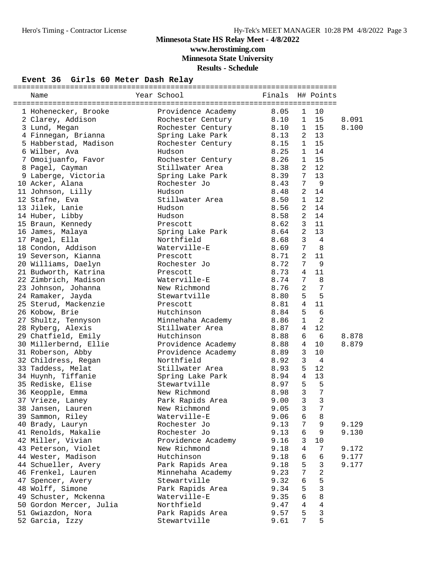## **Minnesota State HS Relay Meet - 4/8/2022 www.herostiming.com**

**Minnesota State University**

**Results - Schedule**

#### **Event 36 Girls 60 Meter Dash Relay**

| Name                                         | Year School              | Finals          |                | H# Points      |       |
|----------------------------------------------|--------------------------|-----------------|----------------|----------------|-------|
|                                              |                          |                 |                |                |       |
| 1 Hohenecker, Brooke                         | Providence Academy       | 8.05            | 1              | 10             |       |
| 2 Clarey, Addison                            | Rochester Century        | 8.10            | 1              | 15             | 8.091 |
| 3 Lund, Megan                                | Rochester Century        | $8.13$<br>$-15$ | $\mathbf 1$    | 15             | 8.100 |
| 4 Finnegan, Brianna                          | Spring Lake Park         |                 | 2              | 13             |       |
| 5 Habberstad, Madison                        | Rochester Century        | 8.15            | $\mathbf{1}$   | 15             |       |
| 6 Wilber, Ava                                | Hudson                   | 8.25            | $\mathbf 1$    | 14             |       |
| 7 Omoijuanfo, Favor                          | Rochester Century        | 8.26            | 1              | 15             |       |
| 8 Pagel, Cayman                              | Stillwater Area          | 8.38            | 2              | 12             |       |
| 9 Laberge, Victoria                          | Spring Lake Park         | 8.39            | 7              | 13             |       |
| 10 Acker, Alana                              | Rochester Jo             | 8.43            | 7              | $\overline{9}$ |       |
| 11 Johnson, Lilly                            | Hudson                   | 8.48            | 2              | 14             |       |
| 12 Stafne, Eva                               | Stillwater Area          | 8.50            | 1              | 12             |       |
| 13 Jilek, Lanie                              | Hudson                   | 8.56            | 2              | 14             |       |
| 14 Huber, Libby                              | Hudson                   | 8.58            | $\overline{a}$ | 14             |       |
| 15 Braun, Kennedy                            | Prescott                 | 8.62            | 3              | 11             |       |
| 16 James, Malaya                             | Spring Lake Park         | 8.64            | $\overline{2}$ | 13             |       |
| 17 Pagel, Ella                               | Northfield               | 8.68            | 3              | $\overline{4}$ |       |
| 18 Condon, Addison                           | Waterville-E             | 8.69            | 7              | 8              |       |
| 19 Severson, Kianna                          | Prescott                 | 8.71            | 2              | 11             |       |
| 20 Williams, Daelyn                          | Rochester Jo             | 8.72            | 7              | 9              |       |
|                                              |                          | 8.73            | 4              | 11             |       |
| 21 Budworth, Katrina<br>22 Zimbrich, Madison | Prescott<br>Waterville-E | 8.74            | 7              | 8              |       |
|                                              | New Richmond             |                 |                | $\overline{7}$ |       |
| 23 Johnson, Johanna                          |                          | 8.76            | $\overline{a}$ |                |       |
| 24 Ramaker, Jayda                            | Stewartville             | 8.80            | 5              | 5              |       |
| 25 Sterud, Mackenzie                         | Prescott                 | 8.81            | $\overline{4}$ | 11             |       |
| 26 Kobow, Brie                               | Hutchinson               | 8.84            | 5              | 6              |       |
| 27 Shultz, Tennyson                          | Minnehaha Academy        | 8.86            | $\mathbf{1}$   | $\overline{2}$ |       |
| 28 Ryberg, Alexis                            | Stillwater Area          | 8.87            | 4              | 12             |       |
| 29 Chatfield, Emily                          | Hutchinson               | 8.88            | 6              | - 6            | 8.878 |
| 30 Millerbernd, Ellie                        | Providence Academy 8.88  |                 | 4              | 10             | 8.879 |
| 31 Roberson, Abby                            | Providence Academy       | 8.89            | 3              | 10             |       |
| 32 Childress, Regan                          | Northfield               | 8.92            | $\mathsf{3}$   | $\overline{4}$ |       |
| 33 Taddess, Melat                            | Stillwater Area          | 8.93            | 5              | 12             |       |
| 34 Huynh, Tiffanie                           | Spring Lake Park         | 8.94            | 4              | 13             |       |
| 35 Rediske, Elise                            | Stewartville             | 8.97            | 5              | 5              |       |
| 36 Keopple, Emma                             | New Richmond             | 8.98            | $\mathbf{3}$   | $\overline{7}$ |       |
| 37 Vrieze, Laney                             | Park Rapids Area         | 9.00            | 3              | $\overline{3}$ |       |
| 38 Jansen, Lauren                            | New Richmond             | 9.05            | 3              | 7              |       |
| 39 Sammon, Riley                             | Waterville-E             | 9.06            | 6              | 8              |       |
| 40 Brady, Lauryn                             | Rochester Jo             | 9.13            | 7              | 9              | 9.129 |
| 41 Renolds, Makalie                          | Rochester Jo             | 9.13            | 6              | 9              | 9.130 |
| 42 Miller, Vivian                            | Providence Academy       | 9.16            | 3              | 10             |       |
| 43 Peterson, Violet                          | New Richmond             | 9.18            | $\overline{4}$ | 7              | 9.172 |
| 44 Wester, Madison                           | Hutchinson               | 9.18            | 6              | 6              | 9.177 |
| 44 Schueller, Avery                          | Park Rapids Area         | 9.18            | 5              | $\mathsf 3$    | 9.177 |
| 46 Frenkel, Lauren                           | Minnehaha Academy        | 9.23            | 7              | $\sqrt{2}$     |       |
| 47 Spencer, Avery                            | Stewartville             | 9.32            | 6              | 5              |       |
| 48 Wolff, Simone                             | Park Rapids Area         | 9.34            | 5              | $\mathsf 3$    |       |
| 49 Schuster, Mckenna                         | Waterville-E             | 9.35            | 6              | 8              |       |
| 50 Gordon Mercer, Julia                      | Northfield               | 9.47            | 4              | $\sqrt{4}$     |       |
| 51 Gwiazdon, Nora                            | Park Rapids Area         | 9.57            | 5              | $\mathsf 3$    |       |
| 52 Garcia, Izzy                              | Stewartville             | 9.61            | 7              | 5              |       |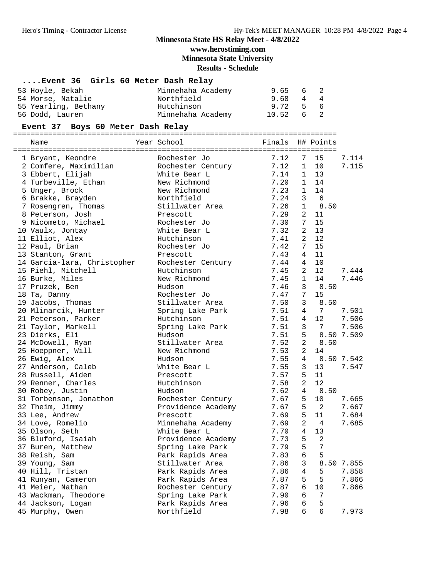**www.herostiming.com**

**Minnesota State University**

**Results - Schedule**

### **....Event 36 Girls 60 Meter Dash Relay**

| 53 Hoyle, Bekah      | Minnehaha Academy | 9.65 6 2          |  |
|----------------------|-------------------|-------------------|--|
| 54 Morse, Natalie    | Northfield        | 9.68 4 4          |  |
| 55 Yearling, Bethany | Hutchinson        | 9.72 5 6          |  |
| 56 Dodd, Lauren      | Minnehaha Academy | $10.52 \t 6 \t 2$ |  |

#### **Event 37 Boys 60 Meter Dash Relay**

==========================================================================

Name Year School

| 1 Bryant, Keondre           | Rochester Jo       | 7.12 | 7              | 15              | 7.114      |
|-----------------------------|--------------------|------|----------------|-----------------|------------|
| 2 Comfere, Maximilian       | Rochester Century  | 7.12 | $\mathbf{1}$   | 10              | 7.115      |
| 3 Ebbert, Elijah            | White Bear L       | 7.14 | $\mathbf{1}$   | 13              |            |
| 4 Turbeville, Ethan         | New Richmond       | 7.20 | $\mathbf 1$    | 14              |            |
| 5 Unger, Brock              | New Richmond       | 7.23 | $\mathbf{1}$   | 14              |            |
| 6 Brakke, Brayden           | Northfield         | 7.24 | 3              | 6               |            |
| 7 Rosengren, Thomas         | Stillwater Area    | 7.26 | $\mathbf{1}$   | 8.50            |            |
| 8 Peterson, Josh            | Prescott           | 7.29 | 2              | 11              |            |
| 9 Nicometo, Michael         | Rochester Jo       | 7.30 | 7              | 15              |            |
| 10 Vaulx, Jontay            | White Bear L       | 7.32 | $\overline{2}$ | 13              |            |
| 11 Elliot, Alex             | Hutchinson         | 7.41 | 2              | 12              |            |
| 12 Paul, Brian              | Rochester Jo       | 7.42 | 7              | 15              |            |
| 13 Stanton, Grant           | Prescott           | 7.43 | 4              | 11              |            |
| 14 Garcia-lara, Christopher | Rochester Century  | 7.44 | 4              | 10              |            |
| 15 Piehl, Mitchell          | Hutchinson         | 7.45 | 2              | 12              | 7.444      |
| 16 Burke, Miles             | New Richmond       | 7.45 | $\mathbf{1}$   | 14              | 7.446      |
| 17 Pruzek, Ben              | Hudson             | 7.46 | 3              | 8.50            |            |
| 18 Ta, Danny                | Rochester Jo       | 7.47 | 7              | 15              |            |
| 19 Jacobs, Thomas           | Stillwater Area    | 7.50 | 3              | 8.50            |            |
| 20 Mlinarcik, Hunter        | Spring Lake Park   | 7.51 | 4              | 7               | 7.501      |
| 21 Peterson, Parker         | Hutchinson         | 7.51 | $\overline{4}$ | 12              | 7.506      |
| 21 Taylor, Markell          | Spring Lake Park   | 7.51 | 3              | $7\overline{ }$ | 7.506      |
| 23 Dierks, Eli              | Hudson             | 7.51 | 5              |                 | 8.50 7.509 |
| 24 McDowell, Ryan           | Stillwater Area    | 7.52 | 2              | 8.50            |            |
| 25 Hoeppner, Will           | New Richmond       | 7.53 | 2              | 14              |            |
| 26 Ewig, Alex               | Hudson             | 7.55 | 4              |                 | 8.50 7.542 |
| 27 Anderson, Caleb          | White Bear L       | 7.55 | 3              | 13              | 7.547      |
| 28 Russell, Aiden           | Prescott           | 7.57 | 5              | 11              |            |
| 29 Renner, Charles          | Hutchinson         | 7.58 | $\overline{a}$ | 12              |            |
| 30 Robey, Justin            | Hudson             | 7.62 | 4              | 8.50            |            |
| 31 Torbenson, Jonathon      | Rochester Century  | 7.67 | 5              | 10              | 7.665      |
| 32 Theim, Jimmy             | Providence Academy | 7.67 | 5              | -2              | 7.667      |
| 33 Lee, Andrew              | Prescott           | 7.69 | 5              | 11              | 7.684      |
| 34 Love, Romelio            | Minnehaha Academy  | 7.69 | 2              | $\overline{4}$  | 7.685      |
| 35 Olson, Seth              | White Bear L       | 7.70 | 4              | 13              |            |
| 36 Bluford, Isaiah          | Providence Academy | 7.73 | 5              | 2               |            |
| 37 Buren, Matthew           | Spring Lake Park   | 7.79 | 5              | $\overline{7}$  |            |
| 38 Reish, Sam               | Park Rapids Area   | 7.83 | 6              | 5               |            |
| 39 Young, Sam               | Stillwater Area    | 7.86 | 3              |                 | 8.50 7.855 |
| 40 Hill, Tristan            | Park Rapids Area   | 7.86 | 4              | 5               | 7.858      |
| 41 Runyan, Cameron          | Park Rapids Area   | 7.87 | 5              | 5               | 7.866      |
| 41 Meier, Nathan            | Rochester Century  | 7.87 | 6              | 10              | 7.866      |
| 43 Wackman, Theodore        | Spring Lake Park   | 7.90 | 6              | 7               |            |
| 44 Jackson, Logan           | Park Rapids Area   | 7.96 | 6              | 5               |            |
| 45 Murphy, Owen             | Northfield         | 7.98 | 6              | $\overline{6}$  | 7.973      |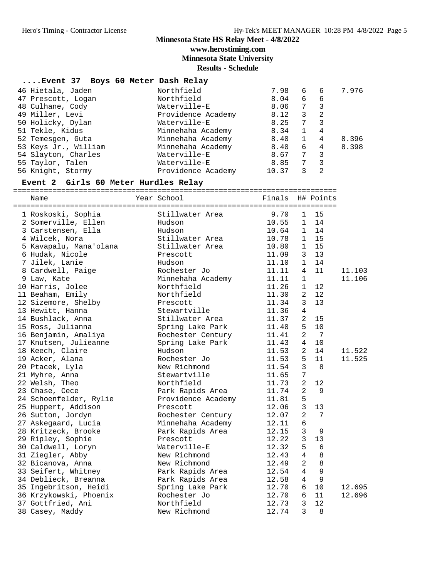**www.herostiming.com**

**Minnesota State University**

**Results - Schedule**

| Event 37 Boys 60 Meter Dash Relay |                    |       |              |                |       |
|-----------------------------------|--------------------|-------|--------------|----------------|-------|
| 46 Hietala, Jaden                 | Northfield         | 7.98  | 6            | 6              | 7.976 |
| 47 Prescott, Logan                | Northfield         | 8.04  | 6            | 6              |       |
| 48 Culhane, Cody                  | Waterville-E       | 8.06  | 7            | 3              |       |
| 49 Miller, Levi                   | Providence Academy | 8.12  | 3            | -2             |       |
| 50 Holicky, Dylan                 | Waterville-E       | 8.25  | 7            | 3              |       |
| 51 Tekle, Kidus                   | Minnehaha Academy  | 8.34  | $\mathbf{1}$ | 4              |       |
| 52 Temesgen, Guta                 | Minnehaha Academy  | 8.40  | $\mathbf{1}$ | 4              | 8.396 |
| 53 Keys Jr., William              | Minnehaha Academy  | 8.40  | 6            | $\overline{4}$ | 8.398 |
| 54 Slayton, Charles               | Waterville-E       | 8.67  | 7            | 3              |       |
| 55 Taylor, Talen                  | Waterville-E       | 8.85  | 7            | 3              |       |
| 56 Knight, Stormy                 | Providence Academy | 10.37 | 3            | 2              |       |

#### **Event 2 Girls 60 Meter Hurdles Relay**

========================================================================== Name Year School Finals H# Points ========================================================================== 1 Roskoski, Sophia Stillwater Area 9.70 1 15 2 Somerville, Ellen Hudson 10.55 1 14 3 Carstensen, Ella Hudson 10.64 1 14 4 Wilcek, Nora Stillwater Area 10.78 1 15 5 Kavapalu, Mana'olana Stillwater Area 10.80 1 15 6 Hudak, Nicole Prescott 11.09 3 13 7 Jilek, Lanie Hudson 11.10 1 14 8 Cardwell, Paige Rochester Jo 11.11 4 11 11.103 9 Law, Kate Minnehaha Academy 11.11 1 11.106 10 Harris, Jolee Northfield 11.26 1 12 11 Beaham, Emily Northfield 11.30 2 12 12 Sizemore, Shelby Prescott 11.34 3 13 13 Hewitt, Hanna 11.36 4 14 Bushlack, Anna Stillwater Area 11.37 2 15 15 Ross, Julianna Spring Lake Park 11.40 5 10 16 Benjamin, Amaliya Rochester Century 11.41 2 7 17 Knutsen, Julieanne Spring Lake Park 11.43 4 10 18 Keech, Claire Hudson 11.53 2 14 11.522 19 Acker, Alana Rochester Jo 11.53 5 11 11.525 20 Ptacek, Lyla New Richmond 11.54 3 8 21 Myhre, Anna Stewartville 11.65 7 22 Welsh, Theo Northfield 11.73 2 12 23 Chase, Cece Park Rapids Area 11.74 2 9 24 Schoenfelder, Rylie Providence Academy 11.81 5 25 Huppert, Addison Prescott 12.06 3 13 26 Sutton, Jordyn Rochester Century 12.07 2 7 27 Askegaard, Lucia Minnehaha Academy 12.11 6 28 Kritzeck, Brooke Park Rapids Area 12.15 3 9 29 Ripley, Sophie Prescott 12.22 3 13 30 Caldwell, Loryn Waterville-E 12.32 5 6 31 Ziegler, Abby New Richmond 12.43 4 8 32 Bicanova, Anna New Richmond 12.49 2 8 33 Seifert, Whitney Park Rapids Area 12.54 4 9 34 Deblieck, Breanna Park Rapids Area 12.58 4 9 35 Ingebritson, Heidi Spring Lake Park 12.70 6 10 12.695 36 Krzykowski, Phoenix Rochester Jo 12.70 6 11 12.696 37 Gottfried, Ani Northfield 12.73 3 12 38 Casey, Maddy New Richmond 12.74 3 8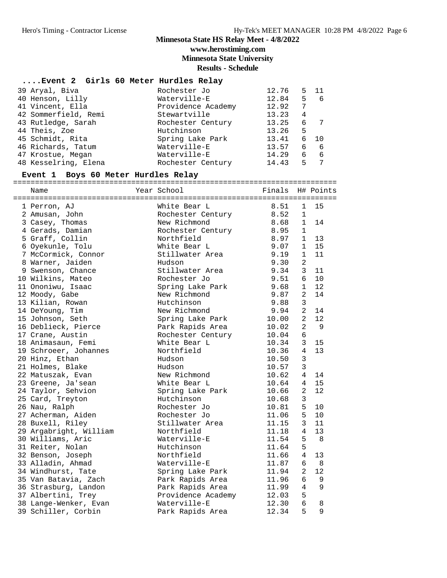**www.herostiming.com**

**Minnesota State University**

**Results - Schedule**

#### **....Event 2 Girls 60 Meter Hurdles Relay**

| 39 Aryal, Biva       | Rochester Jo       | 12.76 |    | $5 \quad 11$ |
|----------------------|--------------------|-------|----|--------------|
| 40 Henson, Lilly     | Waterville-E       | 12.84 | 5  | -6           |
| 41 Vincent, Ella     | Providence Academy | 12.92 |    |              |
| 42 Sommerfield, Remi | Stewartville       | 13.23 | 4  |              |
| 43 Rutledge, Sarah   | Rochester Century  | 13.25 | 6  |              |
| 44 Theis, Zoe        | Hutchinson         | 13.26 | 5  |              |
| 45 Schmidt, Rita     | Spring Lake Park   | 13.41 | 6  | $-10$        |
| 46 Richards, Tatum   | Waterville-E       | 13.57 | 6  | 6            |
| 47 Krostue, Megan    | Waterville-E       | 14.29 | б. | 6            |
| 48 Kesselring, Elena | Rochester Century  | 14.43 | 5  |              |

#### **Event 1 Boys 60 Meter Hurdles Relay**

==========================================================================

| Name                   | Year School        | Finals |                | H# Points |
|------------------------|--------------------|--------|----------------|-----------|
| 1 Perron, AJ           | White Bear L       | 8.51   | $\mathbf{1}$   | 15        |
| 2 Amusan, John         | Rochester Century  | 8.52   | $\mathbf{1}$   |           |
| 3 Casey, Thomas        | New Richmond       | 8.68   | $\mathbf{1}$   | 14        |
| 4 Gerads, Damian       | Rochester Century  | 8.95   | $\mathbf{1}$   |           |
| 5 Graff, Collin        | Northfield         | 8.97   | $\mathbf{1}$   | 13        |
| 6 Oyekunle, Tolu       | White Bear L       | 9.07   | $\mathbf{1}$   | 15        |
| 7 McCormick, Connor    | Stillwater Area    | 9.19   | $\mathbf{1}$   | 11        |
| 8 Warner, Jaiden       | Hudson             | 9.30   | $\overline{a}$ |           |
| 9 Swenson, Chance      | Stillwater Area    | 9.34   | 3              | 11        |
| 10 Wilkins, Mateo      | Rochester Jo       | 9.51   | 6              | 10        |
| 11 Ononiwu, Isaac      | Spring Lake Park   | 9.68   | $\mathbf{1}$   | 12        |
| 12 Moody, Gabe         | New Richmond       | 9.87   | $\overline{2}$ | 14        |
| 13 Kilian, Rowan       | Hutchinson         | 9.88   | $\overline{3}$ |           |
| 14 DeYoung, Tim        | New Richmond       | 9.94   | $\overline{a}$ | 14        |
| 15 Johnson, Seth       | Spring Lake Park   | 10.00  | $\overline{a}$ | 12        |
| 16 Deblieck, Pierce    | Park Rapids Area   | 10.02  | $\overline{a}$ | 9         |
| 17 Crane, Austin       | Rochester Century  | 10.04  | 6              |           |
| 18 Animasaun, Femi     | White Bear L       | 10.34  | 3              | 15        |
| 19 Schroeer, Johannes  | Northfield         | 10.36  | 4              | 13        |
| 20 Hinz, Ethan         | Hudson             | 10.50  | 3              |           |
| 21 Holmes, Blake       | Hudson             | 10.57  | 3              |           |
| 22 Matuszak, Evan      | New Richmond       | 10.62  | $\overline{4}$ | 14        |
| 23 Greene, Ja'sean     | White Bear L       | 10.64  | $\overline{4}$ | 15        |
| 24 Taylor, Sehvion     | Spring Lake Park   | 10.66  | $\overline{2}$ | 12        |
| 25 Card, Treyton       | Hutchinson         | 10.68  | 3              |           |
| 26 Nau, Ralph          | Rochester Jo       | 10.81  | 5              | 10        |
| 27 Acherman, Aiden     | Rochester Jo       | 11.06  | 5              | 10        |
| 28 Buxell, Riley       | Stillwater Area    | 11.15  | 3              | 11        |
| 29 Argabright, William | Northfield         | 11.18  | 4              | 13        |
| 30 Williams, Aric      | Waterville-E       | 11.54  | 5              | -8        |
| 31 Reiter, Nolan       | Hutchinson         | 11.64  | 5              |           |
| 32 Benson, Joseph      | Northfield         | 11.66  | $\overline{4}$ | 13        |
| 33 Alladin, Ahmad      | Waterville-E       | 11.87  | 6              | - 8       |
| 34 Windhurst, Tate     | Spring Lake Park   | 11.94  | 2              | 12        |
| 35 Van Batavia, Zach   | Park Rapids Area   | 11.96  | 6              | 9         |
| 36 Strasburg, Landon   | Park Rapids Area   | 11.99  | 4              | 9         |
| 37 Albertini, Trey     | Providence Academy | 12.03  | 5              |           |
| 38 Lange-Wenker, Evan  | Waterville-E       | 12.30  | 6              | 8         |
| 39 Schiller, Corbin    | Park Rapids Area   | 12.34  | 5              | 9         |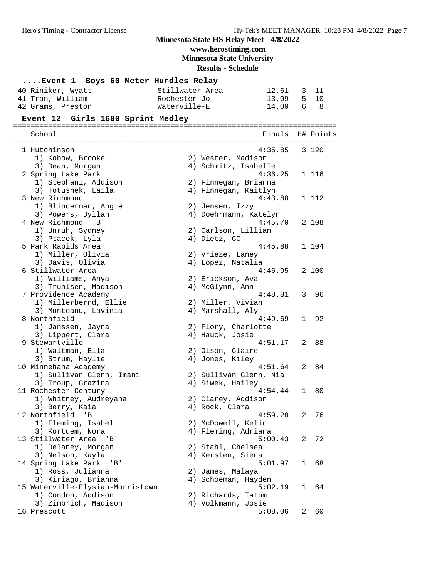**www.herostiming.com**

**Minnesota State University**

| Event 1 Boys 60 Meter Hurdles Relay    |                 |                                 |              |           |
|----------------------------------------|-----------------|---------------------------------|--------------|-----------|
| 40 Riniker, Wyatt                      | Stillwater Area | 12.61                           | 3            | 11        |
| 41 Tran, William                       | Rochester Jo    | 13.09                           | 5            | 10        |
| 42 Grams, Preston                      | Waterville-E    | 14.00                           | 6            | - 8       |
| Event 12 Girls 1600 Sprint Medley      |                 |                                 |              |           |
|                                        |                 |                                 |              |           |
| School                                 |                 | Finals                          |              | H# Points |
|                                        |                 |                                 |              |           |
| 1 Hutchinson                           |                 | 4:35.85                         |              | 3 120     |
| 1) Kobow, Brooke                       |                 | 2) Wester, Madison              |              |           |
| 3) Dean, Morgan<br>2 Spring Lake Park  |                 | 4) Schmitz, Isabelle<br>4:36.25 |              | 1 116     |
| 1) Stephani, Addison                   |                 | 2) Finnegan, Brianna            |              |           |
| 3) Totushek, Laila                     |                 | 4) Finnegan, Kaitlyn            |              |           |
| 3 New Richmond                         |                 | 4:43.88                         |              | 1 112     |
| 1) Blinderman, Angie                   |                 | 2) Jensen, Izzy                 |              |           |
| 3) Powers, Dyllan                      |                 | 4) Doehrmann, Katelyn           |              |           |
| 4 New Richmond 'B'                     |                 | 4:45.70                         |              | 2 108     |
| 1) Unruh, Sydney                       |                 | 2) Carlson, Lillian             |              |           |
| 3) Ptacek, Lyla                        |                 | 4) Dietz, CC                    |              |           |
| 5 Park Rapids Area                     |                 | 4:45.88                         |              | 1 104     |
| 1) Miller, Olivia                      |                 | 2) Vrieze, Laney                |              |           |
| 3) Davis, Olivia                       |                 | 4) Lopez, Natalia               |              |           |
| 6 Stillwater Area                      |                 | 4:46.95                         |              | 2 100     |
| 1) Williams, Anya                      |                 | 2) Erickson, Ava                |              |           |
| 3) Truhlsen, Madison                   |                 | 4) McGlynn, Ann                 |              |           |
| 7 Providence Academy                   |                 | 4:48.81                         |              | 3 96      |
| 1) Millerbernd, Ellie                  |                 | 2) Miller, Vivian               |              |           |
| 3) Munteanu, Lavinia                   |                 | 4) Marshall, Aly                |              |           |
| 8 Northfield                           |                 | 4:49.69                         | $\mathbf{1}$ | 92        |
| 1) Janssen, Jayna                      |                 | 2) Flory, Charlotte             |              |           |
| 3) Lippert, Clara                      |                 | 4) Hauck, Josie                 |              |           |
| 9 Stewartville                         |                 | 4:51.17                         | 2            | 88        |
| 1) Waltman, Ella                       |                 | 2) Olson, Claire                |              |           |
| 3) Strum, Haylie                       |                 | 4) Jones, Kiley                 |              |           |
| 10 Minnehaha Academy                   |                 | 4:51.64                         | 2            | 84        |
| 1) Sullivan Glenn, Imani               |                 | 2) Sullivan Glenn, Nia          |              |           |
| 3) Troup, Grazina                      |                 | 4) Siwek, Hailey                |              |           |
| 11 Rochester Century                   |                 | 4:54.44                         | $\mathbf{1}$ | 80        |
| 1) Whitney, Audreyana                  |                 | 2) Clarey, Addison              |              |           |
| 3) Berry, Kaia<br>12 Northfield 'B'    |                 | 4) Rock, Clara<br>4:59.28       |              | 76        |
|                                        |                 | 2) McDowell, Kelin              | 2            |           |
| 1) Fleming, Isabel<br>3) Kortuem, Nora |                 | 4) Fleming, Adriana             |              |           |
| 13 Stillwater Area 'B'                 |                 | 5:00.43                         | 2            | - 72      |
| 1) Delaney, Morgan                     |                 | 2) Stahl, Chelsea               |              |           |
| 3) Nelson, Kayla                       |                 | 4) Kersten, Siena               |              |           |
| 14 Spring Lake Park<br>'B'             |                 | 5:01.97                         | $\mathbf{1}$ | 68        |
| 1) Ross, Julianna                      |                 | 2) James, Malaya                |              |           |
| 3) Kiriago, Brianna                    |                 | 4) Schoeman, Hayden             |              |           |
| 15 Waterville-Elysian-Morristown       |                 | 5:02.19                         | 1            | 64        |
| 1) Condon, Addison                     |                 | 2) Richards, Tatum              |              |           |
| 3) Zimbrich, Madison                   |                 | 4) Volkmann, Josie              |              |           |
| 16 Prescott                            |                 | 5:08.06                         | 2            | 60        |
|                                        |                 |                                 |              |           |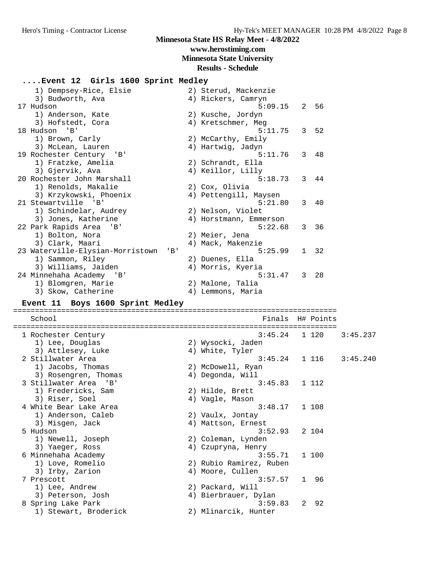**www.herostiming.com**

**Minnesota State University**

**Results - Schedule**

| Event 12 Girls 1600 Sprint Medley            |                                         |   |                 |          |
|----------------------------------------------|-----------------------------------------|---|-----------------|----------|
| 1) Dempsey-Rice, Elsie                       | 2) Sterud, Mackenzie                    |   |                 |          |
| 3) Budworth, Ava                             |                                         |   |                 |          |
| 17 Hudson                                    | 4) Rickers, Camryn<br>5:09.15           |   | 2 56            |          |
| 1) Anderson, Kate                            | 2) Kusche, Jordyn                       |   |                 |          |
| 3) Hofstedt, Cora                            | 4) Kretschmer, Meg                      |   |                 |          |
| 18 Hudson<br>'B '                            | 5:11.75                                 |   | 3 <sub>52</sub> |          |
| 1) Brown, Carly                              |                                         |   |                 |          |
| 3) McLean, Lauren                            | 2) McCarthy, Emily<br>4) Hartwig, Jadyn |   |                 |          |
| 19 Rochester Century 'B'                     | 5:11.76                                 | 3 | 48              |          |
| 1) Fratzke, Amelia                           | 2) Schrandt, Ella                       |   |                 |          |
| 3) Gjervik, Ava                              | 4) Keillor, Lilly                       |   |                 |          |
| 20 Rochester John Marshall                   | 5:18.73                                 | 3 | 44              |          |
| 1) Renolds, Makalie                          |                                         |   |                 |          |
| 3) Krzykowski, Phoenix                       | 2) Cox, Olivia<br>4) Pettengill, Maysen |   |                 |          |
| 21 Stewartville 'B'                          | 5:21.80                                 | 3 | 40              |          |
|                                              |                                         |   |                 |          |
| 1) Schindelar, Audrey<br>3) Jones, Katherine | 2) Nelson, Violet                       |   |                 |          |
|                                              | 4) Horstmann, Emmerson<br>5:22.68       |   | 3 36            |          |
| 22 Park Rapids Area<br>'B ב                  |                                         |   |                 |          |
| 1) Bolton, Nora                              | 2) Meier, Jena                          |   |                 |          |
| 3) Clark, Maari                              | 4) Mack, Makenzie<br>5:25.99            |   | $1 \quad 32$    |          |
| 23 Waterville-Elysian-Morristown<br>'B'      |                                         |   |                 |          |
| 1) Sammon, Riley<br>3) Williams, Jaiden      | 2) Duenes, Ella                         |   |                 |          |
|                                              | 4) Morris, Kyeria<br>5:31.47            | 3 | - 28            |          |
| 24 Minnehaha Academy 'B'                     |                                         |   |                 |          |
| 1) Blomgren, Marie                           | 2) Malone, Talia                        |   |                 |          |
| 3) Skow, Catherine                           | 4) Lemmons, Maria                       |   |                 |          |
| Event 11 Boys 1600 Sprint Medley             |                                         |   |                 |          |
|                                              |                                         |   |                 |          |
| School                                       | Finals H# Points                        |   |                 |          |
| 1 Rochester Century                          | 3:45.24                                 |   | 1 120           | 3:45.237 |
| 1) Lee, Douglas                              | 2) Wysocki, Jaden                       |   |                 |          |
| 3) Attlesey, Luke                            | 4) White, Tyler                         |   |                 |          |
| 2 Stillwater Area                            | $3:45.24$ 1 116                         |   |                 | 3:45.240 |
| 1) Jacobs, Thomas                            | 2) McDowell, Ryan                       |   |                 |          |
| 3) Rosengren, Thomas                         | 4) Degonda, Will                        |   |                 |          |
| 3 Stillwater Area<br>'B'                     | 3:45.83                                 |   | 1 112           |          |
| 1) Fredericks, Sam                           | 2) Hilde, Brett                         |   |                 |          |
| 3) Riser, Soel                               | 4) Vagle, Mason                         |   |                 |          |
| 4 White Bear Lake Area                       | 3:48.17                                 |   | 1 108           |          |
| 1) Anderson, Caleb                           | 2) Vaulx, Jontay                        |   |                 |          |
| 3) Misgen, Jack                              | 4) Mattson, Ernest                      |   |                 |          |
| 5 Hudson                                     | 3:52.93                                 |   | 2 104           |          |
| 1) Newell, Joseph                            | 2) Coleman, Lynden                      |   |                 |          |
| 3) Yaeger, Ross                              | 4) Czupryna, Henry                      |   |                 |          |
| 6 Minnehaha Academy                          | 3:55.71                                 |   | 1 100           |          |
| 1) Love, Romelio                             | 2) Rubio Ramirez, Ruben                 |   |                 |          |
| 3) Irby, Zarion                              | 4) Moore, Cullen                        |   |                 |          |
| 7 Prescott                                   | 3:57.57                                 |   | 1 96            |          |
| 1) Lee, Andrew                               | 2) Packard, Will                        |   |                 |          |
| 3) Peterson, Josh                            | 4) Bierbrauer, Dylan                    |   |                 |          |
|                                              |                                         |   |                 |          |

8 Spring Lake Park 3:59.83 2 92

1) Stewart, Broderick 2) Mlinarcik, Hunter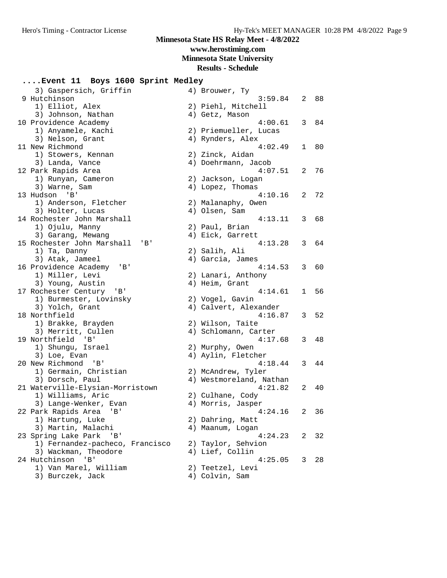## **www.herostiming.com**

**Minnesota State University**

#### **Results - Schedule**

## **....Event 11 Boys 1600 Sprint Medley**

| 3) Gaspersich, Griffin |                                                                                                                                                                                                                                                                                                                                                                                                                                                                                                                                                                                                                                                                                                                                                                                                                                                                                                                                                |         |                                                                                                                                                                                                                                                                                                                                                                                                                                                                                                                                                                                                                                                                                                                                                                                                       |                                                                 |
|------------------------|------------------------------------------------------------------------------------------------------------------------------------------------------------------------------------------------------------------------------------------------------------------------------------------------------------------------------------------------------------------------------------------------------------------------------------------------------------------------------------------------------------------------------------------------------------------------------------------------------------------------------------------------------------------------------------------------------------------------------------------------------------------------------------------------------------------------------------------------------------------------------------------------------------------------------------------------|---------|-------------------------------------------------------------------------------------------------------------------------------------------------------------------------------------------------------------------------------------------------------------------------------------------------------------------------------------------------------------------------------------------------------------------------------------------------------------------------------------------------------------------------------------------------------------------------------------------------------------------------------------------------------------------------------------------------------------------------------------------------------------------------------------------------------|-----------------------------------------------------------------|
|                        |                                                                                                                                                                                                                                                                                                                                                                                                                                                                                                                                                                                                                                                                                                                                                                                                                                                                                                                                                |         |                                                                                                                                                                                                                                                                                                                                                                                                                                                                                                                                                                                                                                                                                                                                                                                                       | 2 88                                                            |
| 1) Elliot, Alex        |                                                                                                                                                                                                                                                                                                                                                                                                                                                                                                                                                                                                                                                                                                                                                                                                                                                                                                                                                |         |                                                                                                                                                                                                                                                                                                                                                                                                                                                                                                                                                                                                                                                                                                                                                                                                       |                                                                 |
| 3) Johnson, Nathan     |                                                                                                                                                                                                                                                                                                                                                                                                                                                                                                                                                                                                                                                                                                                                                                                                                                                                                                                                                |         |                                                                                                                                                                                                                                                                                                                                                                                                                                                                                                                                                                                                                                                                                                                                                                                                       |                                                                 |
|                        |                                                                                                                                                                                                                                                                                                                                                                                                                                                                                                                                                                                                                                                                                                                                                                                                                                                                                                                                                | 4:00.61 | 3                                                                                                                                                                                                                                                                                                                                                                                                                                                                                                                                                                                                                                                                                                                                                                                                     | 84                                                              |
|                        |                                                                                                                                                                                                                                                                                                                                                                                                                                                                                                                                                                                                                                                                                                                                                                                                                                                                                                                                                |         |                                                                                                                                                                                                                                                                                                                                                                                                                                                                                                                                                                                                                                                                                                                                                                                                       |                                                                 |
|                        |                                                                                                                                                                                                                                                                                                                                                                                                                                                                                                                                                                                                                                                                                                                                                                                                                                                                                                                                                |         |                                                                                                                                                                                                                                                                                                                                                                                                                                                                                                                                                                                                                                                                                                                                                                                                       |                                                                 |
|                        |                                                                                                                                                                                                                                                                                                                                                                                                                                                                                                                                                                                                                                                                                                                                                                                                                                                                                                                                                | 4:02.49 | $\mathbf{1}$                                                                                                                                                                                                                                                                                                                                                                                                                                                                                                                                                                                                                                                                                                                                                                                          | 80                                                              |
|                        |                                                                                                                                                                                                                                                                                                                                                                                                                                                                                                                                                                                                                                                                                                                                                                                                                                                                                                                                                |         |                                                                                                                                                                                                                                                                                                                                                                                                                                                                                                                                                                                                                                                                                                                                                                                                       |                                                                 |
|                        |                                                                                                                                                                                                                                                                                                                                                                                                                                                                                                                                                                                                                                                                                                                                                                                                                                                                                                                                                |         |                                                                                                                                                                                                                                                                                                                                                                                                                                                                                                                                                                                                                                                                                                                                                                                                       |                                                                 |
|                        |                                                                                                                                                                                                                                                                                                                                                                                                                                                                                                                                                                                                                                                                                                                                                                                                                                                                                                                                                |         |                                                                                                                                                                                                                                                                                                                                                                                                                                                                                                                                                                                                                                                                                                                                                                                                       | 76                                                              |
|                        |                                                                                                                                                                                                                                                                                                                                                                                                                                                                                                                                                                                                                                                                                                                                                                                                                                                                                                                                                |         |                                                                                                                                                                                                                                                                                                                                                                                                                                                                                                                                                                                                                                                                                                                                                                                                       |                                                                 |
|                        |                                                                                                                                                                                                                                                                                                                                                                                                                                                                                                                                                                                                                                                                                                                                                                                                                                                                                                                                                |         |                                                                                                                                                                                                                                                                                                                                                                                                                                                                                                                                                                                                                                                                                                                                                                                                       |                                                                 |
|                        |                                                                                                                                                                                                                                                                                                                                                                                                                                                                                                                                                                                                                                                                                                                                                                                                                                                                                                                                                |         |                                                                                                                                                                                                                                                                                                                                                                                                                                                                                                                                                                                                                                                                                                                                                                                                       | 72                                                              |
|                        |                                                                                                                                                                                                                                                                                                                                                                                                                                                                                                                                                                                                                                                                                                                                                                                                                                                                                                                                                |         |                                                                                                                                                                                                                                                                                                                                                                                                                                                                                                                                                                                                                                                                                                                                                                                                       |                                                                 |
|                        |                                                                                                                                                                                                                                                                                                                                                                                                                                                                                                                                                                                                                                                                                                                                                                                                                                                                                                                                                |         |                                                                                                                                                                                                                                                                                                                                                                                                                                                                                                                                                                                                                                                                                                                                                                                                       |                                                                 |
|                        |                                                                                                                                                                                                                                                                                                                                                                                                                                                                                                                                                                                                                                                                                                                                                                                                                                                                                                                                                |         |                                                                                                                                                                                                                                                                                                                                                                                                                                                                                                                                                                                                                                                                                                                                                                                                       |                                                                 |
|                        |                                                                                                                                                                                                                                                                                                                                                                                                                                                                                                                                                                                                                                                                                                                                                                                                                                                                                                                                                |         |                                                                                                                                                                                                                                                                                                                                                                                                                                                                                                                                                                                                                                                                                                                                                                                                       | 68                                                              |
|                        |                                                                                                                                                                                                                                                                                                                                                                                                                                                                                                                                                                                                                                                                                                                                                                                                                                                                                                                                                |         |                                                                                                                                                                                                                                                                                                                                                                                                                                                                                                                                                                                                                                                                                                                                                                                                       |                                                                 |
|                        |                                                                                                                                                                                                                                                                                                                                                                                                                                                                                                                                                                                                                                                                                                                                                                                                                                                                                                                                                |         |                                                                                                                                                                                                                                                                                                                                                                                                                                                                                                                                                                                                                                                                                                                                                                                                       |                                                                 |
|                        |                                                                                                                                                                                                                                                                                                                                                                                                                                                                                                                                                                                                                                                                                                                                                                                                                                                                                                                                                |         |                                                                                                                                                                                                                                                                                                                                                                                                                                                                                                                                                                                                                                                                                                                                                                                                       | 64                                                              |
|                        |                                                                                                                                                                                                                                                                                                                                                                                                                                                                                                                                                                                                                                                                                                                                                                                                                                                                                                                                                |         |                                                                                                                                                                                                                                                                                                                                                                                                                                                                                                                                                                                                                                                                                                                                                                                                       |                                                                 |
|                        |                                                                                                                                                                                                                                                                                                                                                                                                                                                                                                                                                                                                                                                                                                                                                                                                                                                                                                                                                |         |                                                                                                                                                                                                                                                                                                                                                                                                                                                                                                                                                                                                                                                                                                                                                                                                       |                                                                 |
|                        |                                                                                                                                                                                                                                                                                                                                                                                                                                                                                                                                                                                                                                                                                                                                                                                                                                                                                                                                                |         | 3                                                                                                                                                                                                                                                                                                                                                                                                                                                                                                                                                                                                                                                                                                                                                                                                     | 60                                                              |
|                        |                                                                                                                                                                                                                                                                                                                                                                                                                                                                                                                                                                                                                                                                                                                                                                                                                                                                                                                                                |         |                                                                                                                                                                                                                                                                                                                                                                                                                                                                                                                                                                                                                                                                                                                                                                                                       |                                                                 |
| 3) Young, Austin       |                                                                                                                                                                                                                                                                                                                                                                                                                                                                                                                                                                                                                                                                                                                                                                                                                                                                                                                                                |         |                                                                                                                                                                                                                                                                                                                                                                                                                                                                                                                                                                                                                                                                                                                                                                                                       |                                                                 |
| 'B'                    |                                                                                                                                                                                                                                                                                                                                                                                                                                                                                                                                                                                                                                                                                                                                                                                                                                                                                                                                                | 4:14.61 | $\mathbf{1}$                                                                                                                                                                                                                                                                                                                                                                                                                                                                                                                                                                                                                                                                                                                                                                                          | 56                                                              |
| 1) Burmester, Lovinsky |                                                                                                                                                                                                                                                                                                                                                                                                                                                                                                                                                                                                                                                                                                                                                                                                                                                                                                                                                |         |                                                                                                                                                                                                                                                                                                                                                                                                                                                                                                                                                                                                                                                                                                                                                                                                       |                                                                 |
| 3) Yolch, Grant        |                                                                                                                                                                                                                                                                                                                                                                                                                                                                                                                                                                                                                                                                                                                                                                                                                                                                                                                                                |         |                                                                                                                                                                                                                                                                                                                                                                                                                                                                                                                                                                                                                                                                                                                                                                                                       |                                                                 |
|                        |                                                                                                                                                                                                                                                                                                                                                                                                                                                                                                                                                                                                                                                                                                                                                                                                                                                                                                                                                | 4:16.87 | 3                                                                                                                                                                                                                                                                                                                                                                                                                                                                                                                                                                                                                                                                                                                                                                                                     | 52                                                              |
|                        |                                                                                                                                                                                                                                                                                                                                                                                                                                                                                                                                                                                                                                                                                                                                                                                                                                                                                                                                                |         |                                                                                                                                                                                                                                                                                                                                                                                                                                                                                                                                                                                                                                                                                                                                                                                                       |                                                                 |
|                        |                                                                                                                                                                                                                                                                                                                                                                                                                                                                                                                                                                                                                                                                                                                                                                                                                                                                                                                                                |         |                                                                                                                                                                                                                                                                                                                                                                                                                                                                                                                                                                                                                                                                                                                                                                                                       |                                                                 |
|                        |                                                                                                                                                                                                                                                                                                                                                                                                                                                                                                                                                                                                                                                                                                                                                                                                                                                                                                                                                |         |                                                                                                                                                                                                                                                                                                                                                                                                                                                                                                                                                                                                                                                                                                                                                                                                       | 48                                                              |
|                        |                                                                                                                                                                                                                                                                                                                                                                                                                                                                                                                                                                                                                                                                                                                                                                                                                                                                                                                                                |         |                                                                                                                                                                                                                                                                                                                                                                                                                                                                                                                                                                                                                                                                                                                                                                                                       |                                                                 |
|                        |                                                                                                                                                                                                                                                                                                                                                                                                                                                                                                                                                                                                                                                                                                                                                                                                                                                                                                                                                |         |                                                                                                                                                                                                                                                                                                                                                                                                                                                                                                                                                                                                                                                                                                                                                                                                       |                                                                 |
|                        |                                                                                                                                                                                                                                                                                                                                                                                                                                                                                                                                                                                                                                                                                                                                                                                                                                                                                                                                                |         |                                                                                                                                                                                                                                                                                                                                                                                                                                                                                                                                                                                                                                                                                                                                                                                                       | 44                                                              |
|                        |                                                                                                                                                                                                                                                                                                                                                                                                                                                                                                                                                                                                                                                                                                                                                                                                                                                                                                                                                |         |                                                                                                                                                                                                                                                                                                                                                                                                                                                                                                                                                                                                                                                                                                                                                                                                       |                                                                 |
|                        |                                                                                                                                                                                                                                                                                                                                                                                                                                                                                                                                                                                                                                                                                                                                                                                                                                                                                                                                                |         |                                                                                                                                                                                                                                                                                                                                                                                                                                                                                                                                                                                                                                                                                                                                                                                                       |                                                                 |
|                        |                                                                                                                                                                                                                                                                                                                                                                                                                                                                                                                                                                                                                                                                                                                                                                                                                                                                                                                                                |         |                                                                                                                                                                                                                                                                                                                                                                                                                                                                                                                                                                                                                                                                                                                                                                                                       |                                                                 |
|                        |                                                                                                                                                                                                                                                                                                                                                                                                                                                                                                                                                                                                                                                                                                                                                                                                                                                                                                                                                |         |                                                                                                                                                                                                                                                                                                                                                                                                                                                                                                                                                                                                                                                                                                                                                                                                       | 40                                                              |
|                        |                                                                                                                                                                                                                                                                                                                                                                                                                                                                                                                                                                                                                                                                                                                                                                                                                                                                                                                                                |         |                                                                                                                                                                                                                                                                                                                                                                                                                                                                                                                                                                                                                                                                                                                                                                                                       |                                                                 |
|                        |                                                                                                                                                                                                                                                                                                                                                                                                                                                                                                                                                                                                                                                                                                                                                                                                                                                                                                                                                |         |                                                                                                                                                                                                                                                                                                                                                                                                                                                                                                                                                                                                                                                                                                                                                                                                       |                                                                 |
|                        |                                                                                                                                                                                                                                                                                                                                                                                                                                                                                                                                                                                                                                                                                                                                                                                                                                                                                                                                                |         |                                                                                                                                                                                                                                                                                                                                                                                                                                                                                                                                                                                                                                                                                                                                                                                                       | 36                                                              |
|                        |                                                                                                                                                                                                                                                                                                                                                                                                                                                                                                                                                                                                                                                                                                                                                                                                                                                                                                                                                |         |                                                                                                                                                                                                                                                                                                                                                                                                                                                                                                                                                                                                                                                                                                                                                                                                       |                                                                 |
|                        |                                                                                                                                                                                                                                                                                                                                                                                                                                                                                                                                                                                                                                                                                                                                                                                                                                                                                                                                                |         |                                                                                                                                                                                                                                                                                                                                                                                                                                                                                                                                                                                                                                                                                                                                                                                                       |                                                                 |
|                        |                                                                                                                                                                                                                                                                                                                                                                                                                                                                                                                                                                                                                                                                                                                                                                                                                                                                                                                                                |         |                                                                                                                                                                                                                                                                                                                                                                                                                                                                                                                                                                                                                                                                                                                                                                                                       | 32                                                              |
|                        |                                                                                                                                                                                                                                                                                                                                                                                                                                                                                                                                                                                                                                                                                                                                                                                                                                                                                                                                                |         |                                                                                                                                                                                                                                                                                                                                                                                                                                                                                                                                                                                                                                                                                                                                                                                                       |                                                                 |
| 3) Wackman, Theodore   |                                                                                                                                                                                                                                                                                                                                                                                                                                                                                                                                                                                                                                                                                                                                                                                                                                                                                                                                                |         |                                                                                                                                                                                                                                                                                                                                                                                                                                                                                                                                                                                                                                                                                                                                                                                                       |                                                                 |
| $\mathbf{B}$           |                                                                                                                                                                                                                                                                                                                                                                                                                                                                                                                                                                                                                                                                                                                                                                                                                                                                                                                                                | 4:25.05 | 3                                                                                                                                                                                                                                                                                                                                                                                                                                                                                                                                                                                                                                                                                                                                                                                                     | 28                                                              |
| 1) Van Marel, William  |                                                                                                                                                                                                                                                                                                                                                                                                                                                                                                                                                                                                                                                                                                                                                                                                                                                                                                                                                |         |                                                                                                                                                                                                                                                                                                                                                                                                                                                                                                                                                                                                                                                                                                                                                                                                       |                                                                 |
| 3) Burczek, Jack       |                                                                                                                                                                                                                                                                                                                                                                                                                                                                                                                                                                                                                                                                                                                                                                                                                                                                                                                                                |         |                                                                                                                                                                                                                                                                                                                                                                                                                                                                                                                                                                                                                                                                                                                                                                                                       |                                                                 |
|                        | 9 Hutchinson<br>10 Providence Academy<br>1) Anyamele, Kachi<br>3) Nelson, Grant<br>11 New Richmond<br>1) Stowers, Kennan<br>3) Landa, Vance<br>12 Park Rapids Area<br>1) Runyan, Cameron<br>3) Warne, Sam<br>13 Hudson<br>'B'<br>1) Anderson, Fletcher<br>3) Holter, Lucas<br>14 Rochester John Marshall<br>1) Ojulu, Manny<br>3) Garang, Mewang<br>15 Rochester John Marshall<br>'B'<br>1) Ta, Danny<br>3) Atak, Jameel<br>16 Providence Academy 'B'<br>1) Miller, Levi<br>17 Rochester Century<br>18 Northfield<br>1) Brakke, Brayden<br>3) Merritt, Cullen<br>19 Northfield<br>$\cdot$ 'B'<br>1) Shungu, Israel<br>3) Loe, Evan<br>20 New Richmond 'B'<br>1) Germain, Christian<br>3) Dorsch, Paul<br>21 Waterville-Elysian-Morristown<br>1) Williams, Aric<br>3) Lange-Wenker, Evan<br>22 Park Rapids Area 'B'<br>1) Hartung, Luke<br>3) Martin, Malachi<br>23 Spring Lake Park<br>'B'<br>1) Fernandez-pacheco, Francisco<br>24 Hutchinson |         | 4) Brouwer, Ty<br>2) Piehl, Mitchell<br>4) Getz, Mason<br>2) Priemueller, Lucas<br>4) Rynders, Alex<br>2) Zinck, Aidan<br>4) Doehrmann, Jacob<br>4:07.51<br>2) Jackson, Logan<br>4) Lopez, Thomas<br>4:10.16<br>2) Malanaphy, Owen<br>4) Olsen, Sam<br>2) Paul, Brian<br>4) Eick, Garrett<br>4:13.28<br>2) Salih, Ali<br>4) Garcia, James<br>4:14.53<br>2) Lanari, Anthony<br>4) Heim, Grant<br>2) Vogel, Gavin<br>4) Calvert, Alexander<br>2) Wilson, Taite<br>4) Schlomann, Carter<br>4:17.68<br>2) Murphy, Owen<br>4) Aylin, Fletcher<br>4:18.44<br>2) McAndrew, Tyler<br>4) Westmoreland, Nathan<br>4:21.82<br>2) Culhane, Cody<br>4) Morris, Jasper<br>4:24.16<br>2) Dahring, Matt<br>4) Maanum, Logan<br>4:24.23<br>2) Taylor, Sehvion<br>4) Lief, Collin<br>2) Teetzel, Levi<br>4) Colvin, Sam | 3:59.84<br>2<br>2<br>4:13.11<br>3<br>3<br>3<br>3<br>2<br>2<br>2 |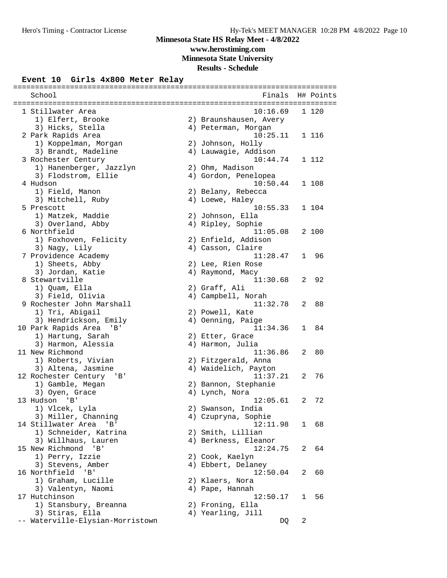## **Minnesota State HS Relay Meet - 4/8/2022 www.herostiming.com**

**Minnesota State University**

# **Results - Schedule**

#### **Event 10 Girls 4x800 Meter Relay** ==========================================================================

| School                           | Finals<br>------------------------------- |              | H# Points |
|----------------------------------|-------------------------------------------|--------------|-----------|
| 1 Stillwater Area                | 10:16.69                                  |              | 1 120     |
| 1) Elfert, Brooke                | 2) Braunshausen, Avery                    |              |           |
| 3) Hicks, Stella                 | 4) Peterman, Morgan                       |              |           |
| 2 Park Rapids Area               | 10:25.11                                  |              | 1 116     |
| 1) Koppelman, Morgan             | 2) Johnson, Holly                         |              |           |
| 3) Brandt, Madeline              | 4) Lauwagie, Addison                      |              |           |
| 3 Rochester Century              | 10:44.74                                  |              | 1 112     |
| 1) Hanenberger, Jazzlyn          | 2) Ohm, Madison                           |              |           |
| 3) Flodstrom, Ellie              | 4) Gordon, Penelopea                      |              |           |
| 4 Hudson                         | 10:50.44                                  |              | 1 108     |
| 1) Field, Manon                  | 2) Belany, Rebecca                        |              |           |
| 3) Mitchell, Ruby                | 4) Loewe, Haley                           |              |           |
| 5 Prescott                       | 10:55.33                                  |              | 1 104     |
| 1) Matzek, Maddie                | 2) Johnson, Ella                          |              |           |
| 3) Overland, Abby                | 4) Ripley, Sophie                         |              |           |
| 6 Northfield                     | 11:05.08                                  |              | 2 100     |
| 1) Foxhoven, Felicity            | 2) Enfield, Addison                       |              |           |
| 3) Nagy, Lily                    | 4) Casson, Claire                         |              |           |
| 7 Providence Academy             | 11:28.47                                  | $\mathbf{1}$ | 96        |
| 1) Sheets, Abby                  | 2) Lee, Rien Rose                         |              |           |
| 3) Jordan, Katie                 | 4) Raymond, Macy                          |              |           |
| 8 Stewartville                   | 11:30.68                                  | 2            | 92        |
| 1) Quam, Ella                    | 2) Graff, Ali                             |              |           |
| 3) Field, Olivia                 | 4) Campbell, Norah                        |              |           |
| 9 Rochester John Marshall        | 11:32.78                                  | 2            | 88        |
|                                  |                                           |              |           |
| 1) Tri, Abigail                  | 2) Powell, Kate                           |              |           |
| 3) Hendrickson, Emily            | 4) Oenning, Paige                         |              |           |
| 10 Park Rapids Area<br>'B'       | 11:34.36                                  | $\mathbf{1}$ | 84        |
| 1) Hartung, Sarah                | 2) Etter, Grace                           |              |           |
| 3) Harmon, Alessia               | 4) Harmon, Julia                          |              |           |
| 11 New Richmond                  | 11:36.86                                  | 2            | 80        |
| 1) Roberts, Vivian               | 2) Fitzgerald, Anna                       |              |           |
| 3) Altena, Jasmine               | 4) Waidelich, Payton                      |              |           |
| 12 Rochester Century<br>'B'      | 11:37.21                                  | 2            | 76        |
| 1) Gamble, Megan                 | 2) Bannon, Stephanie                      |              |           |
| 3) Oyen, Grace                   | 4) Lynch, Nora                            |              |           |
| 13 Hudson 'B'                    | 12:05.61                                  | 2            | 72        |
| 1) Vlcek, Lyla                   | 2) Swanson, India                         |              |           |
| 3) Miller, Channing              | 4) Czupryna, Sophie                       |              |           |
| 14 Stillwater Area 'B'           | 12:11.98                                  |              | 1 68      |
| 1) Schneider, Katrina            | 2) Smith, Lillian                         |              |           |
| 3) Willhaus, Lauren              | 4) Berkness, Eleanor                      |              |           |
| 15 New Richmond 'B'              | 12:24.75                                  |              | 2 64      |
| 1) Perry, Izzie                  | 2) Cook, Kaelyn                           |              |           |
| 3) Stevens, Amber                | 4) Ebbert, Delaney                        |              |           |
| 16 Northfield<br>' B '           | 12:50.04                                  | 2            | 60        |
| 1) Graham, Lucille               | 2) Klaers, Nora                           |              |           |
| 3) Valentyn, Naomi               | 4) Pape, Hannah                           |              |           |
| 17 Hutchinson                    | 12:50.17                                  | $\perp$      | 56        |
| 1) Stansbury, Breanna            | 2) Froning, Ella                          |              |           |
| 3) Stiras, Ella                  | 4) Yearling, Jill                         |              |           |
| -- Waterville-Elysian-Morristown | DQ                                        | 2            |           |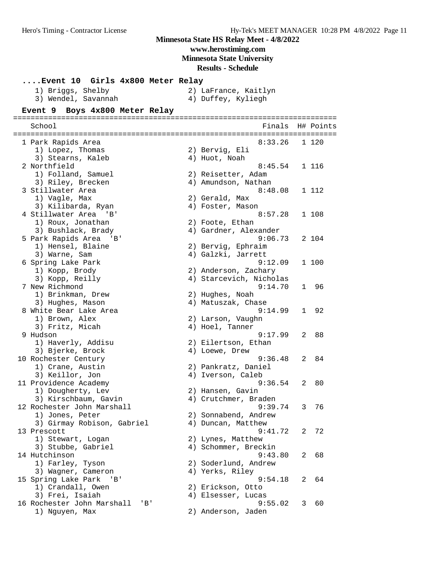**www.herostiming.com**

**Minnesota State University**

**Results - Schedule**

#### **....Event 10 Girls 4x800 Meter Relay**

| 1) Briggs, Shelby   |  | 2) LaFrance, Kaitlyn |  |
|---------------------|--|----------------------|--|
| 3) Wendel, Savannah |  | 4) Duffey, Kyliegh   |  |

#### **Event 9 Boys 4x800 Meter Relay**

========================================================================== School **Finals** H# Points ========================================================================== 1 Park Rapids Area 8:33.26 1 120 1) Lopez, Thomas 2) Bervig, Eli 3) Stearns, Kaleb (4) Huot, Noah 2 Northfield 8:45.54 1 116 1) Folland, Samuel 2) Reisetter, Adam 3) Riley, Brecken (4) Amundson, Nathan 3 Stillwater Area 8:48.08 1 112 1) Vagle, Max 2) Gerald, Max 3) Kilibarda, Ryan (4) Foster, Mason 4 Stillwater Area 'B' 8:57.28 1 108 1) Roux, Jonathan 2) Foote, Ethan 3) Bushlack, Brady 4) Gardner, Alexander 5 Park Rapids Area 'B' 9:06.73 2 104 1) Hensel, Blaine 1988 (2008) 20 Bervig, Ephraim 3) Warne, Sam (4) Galzki, Jarrett 6 Spring Lake Park 9:12.09 1 100 1) Kopp, Brody 2) Anderson, Zachary 3) Kopp, Reilly 4) Starcevich, Nicholas 7 New Richmond 9:14.70 1 96 1) Brinkman, Drew 2) Hughes, Noah 3) Hughes, Mason (4) Matuszak, Chase 8 White Bear Lake Area 9:14.99 1 92 1) Brown, Alex 2) Larson, Vaughn 3) Fritz, Micah (4) Hoel, Tanner 9 Hudson 9:17.99 2 88 1) Haverly, Addisu 2) Eilertson, Ethan 3) Bjerke, Brock (4) Loewe, Drew 10 Rochester Century 9:36.48 2 84 1) Crane, Austin 2) Pankratz, Daniel 3) Keillor, Jon (4) Iverson, Caleb 11 Providence Academy 9:36.54 2 80 1) Dougherty, Lev (2) Hansen, Gavin 3) Kirschbaum, Gavin (4) Crutchmer, Braden 12 Rochester John Marshall 9:39.74 3 76 1) Jones, Peter 2) Sonnabend, Andrew 3) Girmay Robison, Gabriel (4) Duncan, Matthew 13 Prescott 9:41.72 2 72 1) Stewart, Logan 2) Lynes, Matthew 3) Stubbe, Gabriel (4) Schommer, Breckin 14 Hutchinson 9:43.80 2 68 1) Farley, Tyson 2) Soderlund, Andrew 3) Wagner, Cameron (4) Yerks, Riley 15 Spring Lake Park 'B' 9:54.18 2 64 1) Crandall, Owen 2) Erickson, Otto 3) Frei, Isaiah 4) Elsesser, Lucas 16 Rochester John Marshall 'B' 9:55.02 3 60 1) Nguyen, Max 2) Anderson, Jaden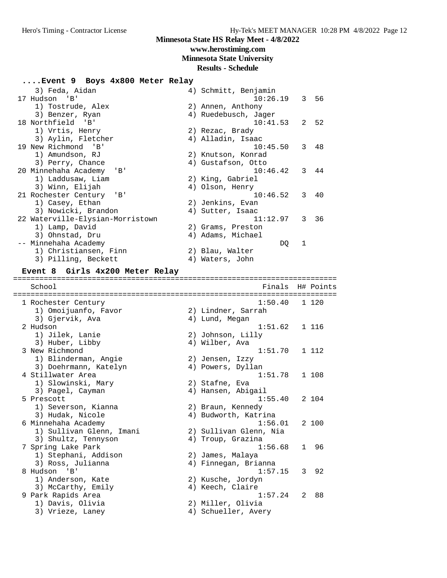# **www.herostiming.com**

### **Minnesota State University**

#### **Results - Schedule**

#### **....Event 9 Boys 4x800 Meter Relay**

| 3) Feda, Aidan                   | 4) Schmitt, Benjamin |
|----------------------------------|----------------------|
| 17 Hudson 'B'                    | $10:26.19$ 3 56      |
| 1) Tostrude, Alex                | 2) Annen, Anthony    |
| 3) Benzer, Ryan                  | 4) Ruedebusch, Jager |
| 18 Northfield 'B'                | 2, 52<br>10:41.53    |
| 1) Vrtis, Henry                  | 2) Rezac, Brady      |
| 3) Aylin, Fletcher               | 4) Alladin, Isaac    |
| 19 New Richmond 'B'              | 10:45.50<br>3 48     |
| 1) Amundson, RJ                  | 2) Knutson, Konrad   |
| 3) Perry, Chance                 | 4) Gustafson, Otto   |
| 20 Minnehaha Academy<br>'B'      | 10:46.42<br>3 44     |
| 1) Laddusaw, Liam                | 2) King, Gabriel     |
| 3) Winn, Elijah                  | 4) Olson, Henry      |
| 21 Rochester Century 'B'         | 10:46.52<br>3 40     |
| 1) Casey, Ethan                  | 2) Jenkins, Evan     |
| 3) Nowicki, Brandon              | 4) Sutter, Isaac     |
| 22 Waterville-Elysian-Morristown | 11:12.97<br>3<br>36  |
| 1) Lamp, David                   | 2) Grams, Preston    |
| 3) Ohnstad, Dru                  | 4) Adams, Michael    |
| -- Minnehaha Academy             | 1<br>DQ              |
| 1) Christiansen, Finn            | 2) Blau, Walter      |
| 3) Pilling, Beckett              | 4) Waters, John      |

#### **Event 8 Girls 4x200 Meter Relay**

========================================================================== School **Finals H# Points** ========================================================================== 1 Rochester Century 1:50.40 1 120 1) Omoijuanfo, Favor (2) 2) Lindner, Sarrah 3) Gjervik, Ava 4) Lund, Megan 2 Hudson 1:51.62 1 116 1) Jilek, Lanie 2) Johnson, Lilly 3) Huber, Libby 4) Wilber, Ava 3 New Richmond 1:51.70 1 112 1) Blinderman, Angie 2) Jensen, Izzy 3) Doehrmann, Katelyn (4) Powers, Dyllan 4 Stillwater Area 1:51.78 1 108 1) Slowinski, Mary 2) Stafne, Eva 3) Pagel, Cayman (4) Hansen, Abigail 5 Prescott 1:55.40 2 104 1) Severson, Kianna (2) 2) Braun, Kennedy 3) Hudak, Nicole 1988 (4) Budworth, Katrina 6 Minnehaha Academy 1:56.01 2 100 1) Sullivan Glenn, Imani 2) Sullivan Glenn, Nia 3) Shultz, Tennyson (4) Troup, Grazina 7 Spring Lake Park 1:56.68 1 96 1) Stephani, Addison 2) James, Malaya 3) Ross, Julianna (1988) 1998 - Annegan, Brianna 8 Hudson 'B' 1:57.15 3 92 1) Anderson, Kate 2) Kusche, Jordyn 3) McCarthy, Emily (4) Keech, Claire 9 Park Rapids Area 1:57.24 2 88 1) Davis, Olivia 2) Miller, Olivia 3) Vrieze, Laney (4) Schueller, Avery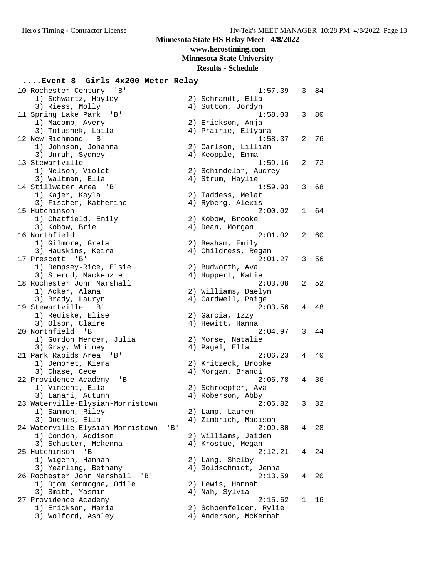## **www.herostiming.com**

**Minnesota State University**

## **Results - Schedule**

#### **....Event 8 Girls 4x200 Meter Relay**

| 10 Rochester Century 'B'          |     | 1:57.39                                         | 3 | 84 |
|-----------------------------------|-----|-------------------------------------------------|---|----|
| 1) Schwartz, Hayley               |     | 2) Schrandt, Ella                               |   |    |
| 3) Riess, Molly                   |     | 4) Sutton, Jordyn                               |   |    |
| 11 Spring Lake Park<br>'B '       |     | 1:58.03                                         | 3 | 80 |
| 1) Macomb, Avery                  |     | 2) Erickson, Anja                               |   |    |
| 3) Totushek, Laila                |     | 4) Prairie, Ellyana                             |   |    |
| 12 New Richmond 'B'               |     | 1:58.37                                         | 2 | 76 |
| 1) Johnson, Johanna               |     | 2) Carlson, Lillian                             |   |    |
| 3) Unruh, Sydney                  |     | 4) Keopple, Emma                                |   |    |
| 13 Stewartville                   |     | 1:59.16                                         | 2 | 72 |
| 1) Nelson, Violet                 |     | 2) Schindelar, Audrey                           |   |    |
| 3) Waltman, Ella                  |     | 4) Strum, Haylie                                |   |    |
| 14 Stillwater Area 'B'            |     | 1:59.93                                         |   |    |
|                                   |     |                                                 | 3 | 68 |
| 1) Kajer, Kayla                   |     | 2) Taddess, Melat                               |   |    |
| 3) Fischer, Katherine             |     | 4) Ryberg, Alexis                               |   |    |
| 15 Hutchinson                     |     | 2:00.02                                         | 1 | 64 |
| 1) Chatfield, Emily               |     | 2) Kobow, Brooke                                |   |    |
| 3) Kobow, Brie                    |     | 4) Dean, Morgan                                 |   |    |
| 16 Northfield                     |     | 2:01.02                                         | 2 | 60 |
| 1) Gilmore, Greta                 |     | 2) Beaham, Emily                                |   |    |
| 3) Hauskins, Keira                |     | 4) Childress, Regan                             |   |    |
| 17 Prescott 'B'                   |     | 2:01.27                                         | 3 | 56 |
| 1) Dempsey-Rice, Elsie            |     | 2) Budworth, Ava                                |   |    |
| 3) Sterud, Mackenzie              |     | 4) Huppert, Katie                               |   |    |
| 18 Rochester John Marshall        |     | 2:03.08                                         | 2 | 52 |
| 1) Acker, Alana                   |     | 2) Williams, Daelyn                             |   |    |
| 3) Brady, Lauryn                  |     | 4) Cardwell, Paige                              |   |    |
| 19 Stewartville 'B'               |     | 2:03.56                                         | 4 | 48 |
| 1) Rediske, Elise                 |     | 2) Garcia, Izzy                                 |   |    |
| 3) Olson, Claire                  |     | 4) Hewitt, Hanna                                |   |    |
| 20 Northfield 'B'                 |     | 2:04.97                                         | 3 | 44 |
| 1) Gordon Mercer, Julia           |     | 2) Morse, Natalie                               |   |    |
| 3) Gray, Whitney                  |     | 4) Pagel, Ella                                  |   |    |
| 21 Park Rapids Area 'B'           |     | 2:06.23                                         | 4 | 40 |
| 1) Demoret, Kiera                 |     | 2) Kritzeck, Brooke                             |   |    |
| 3) Chase, Cece                    |     | 4) Morgan, Brandi                               |   |    |
| 22 Providence Academy<br>'B'      |     | 2:06.78                                         | 4 | 36 |
| 1) Vincent, Ella                  |     | 2) Schroepfer, Ava                              |   |    |
| 3) Lanari, Autumn                 |     | 4) Roberson, Abby                               |   |    |
| 23 Waterville-Elysian-Morristown  |     | 2:06.82                                         | 3 | 32 |
| 1) Sammon, Riley                  |     | 2) Lamp, Lauren                                 |   |    |
| 3) Duenes, Ella                   |     | 4) Zimbrich, Madison                            |   |    |
| 24 Waterville-Elysian-Morristown  | 'B' | 2:09.80                                         | 4 | 28 |
| 1) Condon, Addison                |     | 2) Williams, Jaiden                             |   |    |
| 3) Schuster, Mckenna              |     | 4) Krostue, Megan                               |   |    |
| 25 Hutchinson<br>$'$ B $'$        |     | 2:12.21                                         | 4 | 24 |
| 1) Wigern, Hannah                 |     | 2) Lang, Shelby                                 |   |    |
| 3) Yearling, Bethany              |     | 4) Goldschmidt, Jenna                           |   |    |
| 26 Rochester John Marshall<br>'B' |     | 2:13.59                                         | 4 | 20 |
| 1) Djom Kenmogne, Odile           |     | 2) Lewis, Hannah                                |   |    |
| 3) Smith, Yasmin                  |     | 4) Nah, Sylvia                                  |   |    |
| 27 Providence Academy             |     | 2:15.62                                         | 1 | 16 |
| 1) Erickson, Maria                |     |                                                 |   |    |
| 3) Wolford, Ashley                |     | 2) Schoenfelder, Rylie<br>4) Anderson, McKennah |   |    |
|                                   |     |                                                 |   |    |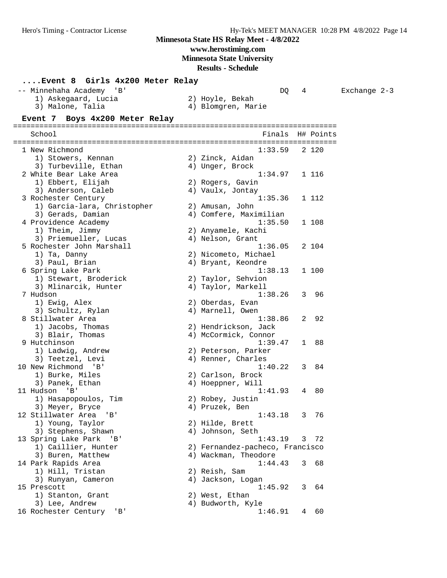# **www.herostiming.com**

**Minnesota State University**

|                                  | Event 8 Girls 4x200 Meter Relay |                                 |              |           |                |  |  |  |  |
|----------------------------------|---------------------------------|---------------------------------|--------------|-----------|----------------|--|--|--|--|
| -- Minnehaha Academy<br>' B '    |                                 | DQ                              | 4            |           | Exchange $2-3$ |  |  |  |  |
| 1) Askegaard, Lucia              |                                 | 2) Hoyle, Bekah                 |              |           |                |  |  |  |  |
| 3) Malone, Talia                 |                                 | 4) Blomgren, Marie              |              |           |                |  |  |  |  |
| Event 7 Boys 4x200 Meter Relay   |                                 |                                 |              |           |                |  |  |  |  |
| School                           |                                 | Finals                          |              | H# Points |                |  |  |  |  |
|                                  |                                 |                                 |              |           |                |  |  |  |  |
| 1 New Richmond                   |                                 | 1:33.59                         |              | 2 1 2 0   |                |  |  |  |  |
| 1) Stowers, Kennan               |                                 | 2) Zinck, Aidan                 |              |           |                |  |  |  |  |
| 3) Turbeville, Ethan             |                                 | 4) Unger, Brock                 |              |           |                |  |  |  |  |
| 2 White Bear Lake Area           |                                 | 1:34.97                         |              | 1 116     |                |  |  |  |  |
| 1) Ebbert, Elijah                |                                 | 2) Rogers, Gavin                |              |           |                |  |  |  |  |
| 3) Anderson, Caleb               |                                 | 4) Vaulx, Jontay                |              |           |                |  |  |  |  |
| 3 Rochester Century              |                                 | 1:35.36                         |              | 1 112     |                |  |  |  |  |
| 1) Garcia-lara, Christopher      |                                 | 2) Amusan, John                 |              |           |                |  |  |  |  |
| 3) Gerads, Damian                |                                 | 4) Comfere, Maximilian          |              |           |                |  |  |  |  |
| 4 Providence Academy             |                                 | 1:35.50                         |              | 1 108     |                |  |  |  |  |
| 1) Theim, Jimmy                  |                                 | 2) Anyamele, Kachi              |              |           |                |  |  |  |  |
| 3) Priemueller, Lucas            |                                 | 4) Nelson, Grant                |              |           |                |  |  |  |  |
| 5 Rochester John Marshall        |                                 | 1:36.05                         |              | 2 104     |                |  |  |  |  |
| 1) Ta, Danny                     |                                 | 2) Nicometo, Michael            |              |           |                |  |  |  |  |
| 3) Paul, Brian                   |                                 | 4) Bryant, Keondre              |              |           |                |  |  |  |  |
| 6 Spring Lake Park               |                                 | 1:38.13                         |              | 1 100     |                |  |  |  |  |
| 1) Stewart, Broderick            |                                 | 2) Taylor, Sehvion              |              |           |                |  |  |  |  |
| 3) Mlinarcik, Hunter<br>7 Hudson |                                 | 4) Taylor, Markell<br>1:38.26   | 3            | - 96      |                |  |  |  |  |
| 1) Ewig, Alex                    |                                 | 2) Oberdas, Evan                |              |           |                |  |  |  |  |
| 3) Schultz, Rylan                |                                 | 4) Marnell, Owen                |              |           |                |  |  |  |  |
| 8 Stillwater Area                |                                 | 1:38.86                         | 2            | 92        |                |  |  |  |  |
| 1) Jacobs, Thomas                |                                 | 2) Hendrickson, Jack            |              |           |                |  |  |  |  |
| 3) Blair, Thomas                 |                                 | 4) McCormick, Connor            |              |           |                |  |  |  |  |
| 9 Hutchinson                     |                                 | 1:39.47                         | $\mathbf{1}$ | 88        |                |  |  |  |  |
| 1) Ladwig, Andrew                |                                 | 2) Peterson, Parker             |              |           |                |  |  |  |  |
| 3) Teetzel, Levi                 |                                 | 4) Renner, Charles              |              |           |                |  |  |  |  |
| 10 New Richmond<br>'B'           |                                 | 1:40.22                         | 3            | 84        |                |  |  |  |  |
| 1) Burke, Miles                  |                                 | 2) Carlson, Brock               |              |           |                |  |  |  |  |
| 3) Panek, Ethan                  |                                 | 4) Hoeppner, Will               |              |           |                |  |  |  |  |
| 11 Hudson<br>'B'                 |                                 | 1:41.93                         | 4            | 80        |                |  |  |  |  |
| 1) Hasapopoulos, Tim             |                                 | 2) Robey, Justin                |              |           |                |  |  |  |  |
| 3) Meyer, Bryce                  |                                 | 4) Pruzek, Ben                  |              |           |                |  |  |  |  |
| 12 Stillwater Area<br>'B'        |                                 | 1:43.18                         |              | 3 76      |                |  |  |  |  |
| 1) Young, Taylor                 |                                 | 2) Hilde, Brett                 |              |           |                |  |  |  |  |
| 3) Stephens, Shawn               |                                 | 4) Johnson, Seth                |              |           |                |  |  |  |  |
| 13 Spring Lake Park 'B'          |                                 | 1:43.19                         |              | 3 72      |                |  |  |  |  |
| 1) Caillier, Hunter              |                                 | 2) Fernandez-pacheco, Francisco |              |           |                |  |  |  |  |
| 3) Buren, Matthew                |                                 | 4) Wackman, Theodore            |              |           |                |  |  |  |  |
| 14 Park Rapids Area              |                                 | 1:44.43                         | 3            | 68        |                |  |  |  |  |
| 1) Hill, Tristan                 |                                 | 2) Reish, Sam                   |              |           |                |  |  |  |  |
| 3) Runyan, Cameron               |                                 | 4) Jackson, Logan               |              |           |                |  |  |  |  |
| 15 Prescott                      |                                 | 1:45.92                         | 3            | 64        |                |  |  |  |  |
| 1) Stanton, Grant                |                                 | 2) West, Ethan                  |              |           |                |  |  |  |  |
| 3) Lee, Andrew                   |                                 | 4) Budworth, Kyle               |              |           |                |  |  |  |  |
| 16 Rochester Century<br>'B'      |                                 | 1:46.91                         | 4            | 60        |                |  |  |  |  |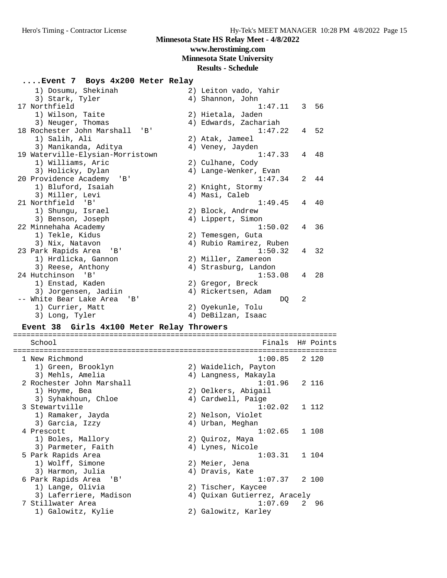**www.herostiming.com**

# **Minnesota State University**

| Event 7 Boys 4x200 Meter Relay                        |                                           |  |
|-------------------------------------------------------|-------------------------------------------|--|
| 1) Dosumu, Shekinah                                   | 2) Leiton vado, Yahir                     |  |
| 3) Stark, Tyler                                       | 4) Shannon, John                          |  |
| 17 Northfield                                         | $1:47.11$ 3 56                            |  |
| 1) Wilson, Taite                                      | 2) Hietala, Jaden                         |  |
| 3) Neuger, Thomas                                     | 4) Edwards, Zachariah                     |  |
| 18 Rochester John Marshall 'B'                        | 1:47.22<br>4 52                           |  |
| 1) Salih, Ali                                         | 2) Atak, Jameel                           |  |
| 3) Manikanda, Aditya                                  | 4) Veney, Jayden                          |  |
| 19 Waterville-Elysian-Morristown<br>1) Williams, Aric | 1:47.33<br>4 48                           |  |
| 3) Holicky, Dylan                                     | 2) Culhane, Cody<br>4) Lange-Wenker, Evan |  |
| 20 Providence Academy 'B'                             | 1:47.34<br>2<br>-44                       |  |
| 1) Bluford, Isaiah                                    | 2) Knight, Stormy                         |  |
| 3) Miller, Levi                                       | 4) Masi, Caleb                            |  |
| 21 Northfield 'B'                                     | 1:49.45<br>4 40                           |  |
| 1) Shungu, Israel                                     | 2) Block, Andrew                          |  |
| 3) Benson, Joseph                                     | 4) Lippert, Simon                         |  |
| 22 Minnehaha Academy                                  | 1:50.02<br>4<br>- 36                      |  |
| 1) Tekle, Kidus                                       | 2) Temesgen, Guta                         |  |
| 3) Nix, Natavon                                       | 4) Rubio Ramirez, Ruben                   |  |
| 23 Park Rapids Area<br>'B'                            | 1:50.32<br>4 32                           |  |
| 1) Hrdlicka, Gannon                                   | 2) Miller, Zamereon                       |  |
| 3) Reese, Anthony                                     | 4) Strasburg, Landon                      |  |
| 24 Hutchinson 'B'                                     | 1:53.08<br>28<br>4                        |  |
| 1) Enstad, Kaden                                      | 2) Gregor, Breck                          |  |
| 3) Jorgensen, Jadiin                                  | 4) Rickertsen, Adam                       |  |
| -- White Bear Lake Area<br>'B'                        | DO<br>2                                   |  |
| 1) Currier, Matt                                      | 2) Oyekunle, Tolu                         |  |
| 3) Long, Tyler                                        | 4) DeBilzan, Isaac                        |  |
| Event 38 Girls 4x100 Meter Relay Throwers             |                                           |  |
| School                                                | Finals<br>H# Points                       |  |
|                                                       |                                           |  |
| 1 New Richmond                                        | 1:00.85<br>2 120                          |  |
| 1) Green, Brooklyn                                    | 2) Waidelich, Payton                      |  |
| 3) Mehls, Amelia                                      | 4) Langness, Makayla                      |  |
| 2 Rochester John Marshall                             | 1:01.96<br>2 116                          |  |
| 1) Hoyme, Bea                                         | 2) Oelkers, Abigail                       |  |
| 3) Syhakhoun, Chloe                                   | 4) Cardwell, Paige                        |  |
| 3 Stewartville                                        | 1:02.02<br>1 112                          |  |
| 1) Ramaker, Jayda<br>3) Garcia, Izzy                  | 2) Nelson, Violet<br>4) Urban, Meghan     |  |
| 4 Prescott                                            | 1:02.65<br>1 108                          |  |
| 1) Boles, Mallory                                     | 2) Quiroz, Maya                           |  |
| 3) Parmeter, Faith                                    | 4) Lynes, Nicole                          |  |
| 5 Park Rapids Area                                    | 1:03.31<br>1 104                          |  |
| 1) Wolff, Simone                                      | 2) Meier, Jena                            |  |
| 3) Harmon, Julia                                      | 4) Dravis, Kate                           |  |
| 6 Park Rapids Area<br>'B '                            | 1:07.37<br>2 100                          |  |
| 1) Lange, Olivia                                      | 2) Tischer, Kaycee                        |  |
| 3) Laferriere, Madison                                | 4) Quixan Gutierrez, Aracely              |  |
| 7 Stillwater Area                                     | 1:07.69<br>2 96                           |  |
| 1) Galowitz, Kylie                                    | 2) Galowitz, Karley                       |  |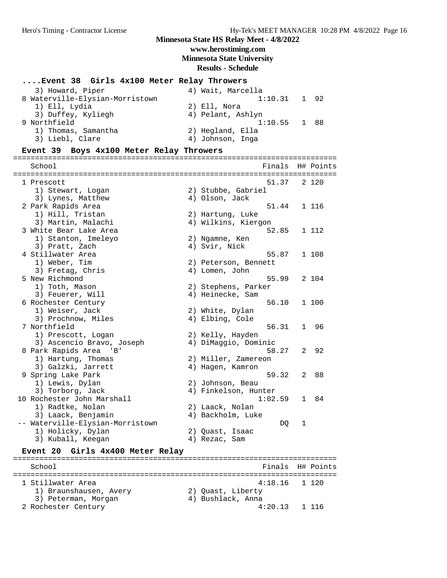#### **Minnesota State HS Relay Meet - 4/8/2022 www.herostiming.com Minnesota State University Results - Schedule**

#### **....Event 38 Girls 4x100 Meter Relay Throwers**

| 3) Howard, Piper                | 4) Wait, Marcella |
|---------------------------------|-------------------|
| 8 Waterville-Elysian-Morristown | $1:10.31$ 1 92    |
| 1) Ell, Lydia                   | 2) Ell, Nora      |
| 3) Duffey, Kyliegh              | 4) Pelant, Ashlyn |
| 9 Northfield                    | $1:10.55$ 1 88    |
| 1) Thomas, Samantha             | 2) Hegland, Ella  |
| 3) Liebl, Clare                 | 4) Johnson, Inga  |

#### **Event 39 Boys 4x100 Meter Relay Throwers**

========================================================================== School **Finals** H# Points ========================================================================== 1 Prescott 51.37 2 120 1) Stewart, Logan 2) Stubbe, Gabriel 3) Lynes, Matthew  $4)$  Olson, Jack 2 Park Rapids Area (1998)<br>
2 Park Rapids Area (1998)<br>
2 Hartung, Luke (1998)<br>
3 Martin, Malachi (2) Hartung, Luke (1999)<br>
4 Milkins, Kiergon (1999) 1) Hill, Tristan 2) Hartung, Luke 3) Martin, Malachi 4) Wilkins, Kiergon 3 White Bear Lake Area 52.85 1 112 1) Stanton, Imeleyo 2) Ngamne, Ken 3) Pratt, Zach (4) Svir, Nick 4 Stillwater Area 55.87 1 108 1) Weber, Tim 2) Peterson, Bennett 3) Fretag, Chris (4) Lomen, John 3) Fretag, Chris (3)  $\frac{3}{2}$  104<br>5 New Richmond (35.99 2 104) 1) Toth, Mason 2) Stephens, Parker 3) Feuerer, Will (4) Heinecke, Sam 6 Rochester Century 56.10 1 100 1) Weiser, Jack 2) White, Dylan 3) Prochnow, Miles (4) Elbing, Cole 7 Northfield 56.31 1 96 1) Prescott, Logan 2) Kelly, Hayden 3) Ascencio Bravo, Joseph 4) DiMaggio, Dominic 8 Park Rapids Area 'B' 58.27 2 92 1) Hartung, Thomas 2) Miller, Zamereon 3) Galzki, Jarrett (4) Hagen, Kamron 9 Spring Lake Park 59.32 2 88<br>
1) Lewis, Dylan 2) Johnson, Beau<br>
3) Torborg, Jack 3, Torborg, Ack 4, Finkelson, Hunter 1) Lewis, Dylan 2) Johnson, Beau 3) Torborg, Jack (4) Finkelson, Hunter 10 Rochester John Marshall 1:02.59 1 84 1) Radtke, Nolan 2) Laack, Nolan 3) Laack, Benjamin 4) Backholm, Luke -- Waterville-Elysian-Morristown DQ 1 1) Holicky, Dylan 2) Quast, Isaac 3) Kuball, Keegan 4) Rezac, Sam

#### **Event 20 Girls 4x400 Meter Relay**

========================================================================== School **Finals** H# Points ========================================================================== 1 Stillwater Area 4:18.16 1 120 1) Braunshausen, Avery 2) Quast, Liberty 3) Peterman, Morgan (4) Bushlack, Anna 2 Rochester Century 4:20.13 1 116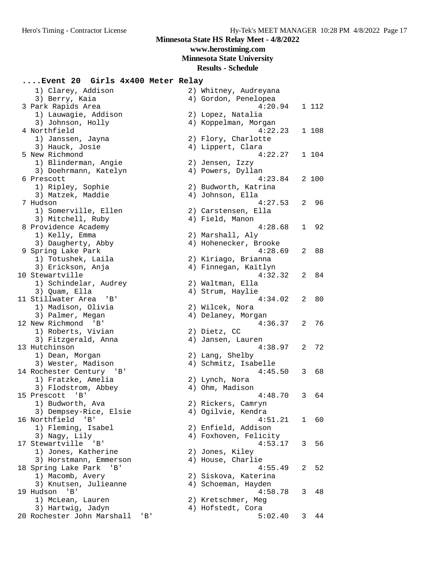**www.herostiming.com**

**Minnesota State University**

**Results - Schedule**

**....Event 20 Girls 4x400 Meter Relay** 1) Clarey, Addison 3) Berry, Kaia 3 Park Rapids Area 1) Lauwagie, Addison 3) Johnson, Holly 4 Northfield 1) Janssen, Jayna 3) Hauck, Josie 5 New Richmond 1) Blinderman, Angie 3) Doehrmann, Katelyn 6 Prescott 1) Ripley, Sophie 3) Matzek, Maddie 1) Somerville, Ellen 3) Mitchell, Ruby 8 Providence Academy 1) Kelly, Emma 3) Daugherty, Abby 9 Spring Lake Park 1) Totushek, Laila 3) Erickson, Anja 10 Stewartville 1) Schindelar, Audrey 3) Quam, Ella 11 Stillwater Area 'B' 1) Madison, Olivia 3) Palmer, Megan 12 New Richmond 'B' 1) Roberts, Vivian 3) Fitzgerald, Anna 13 Hutchinson 1) Dean, Morgan 3) Wester, Madison 14 Rochester Century 'B' 1) Fratzke, Amelia 3) Flodstrom, Abbey 15 Prescott 'B' 1) Budworth, Ava 3) Dempsey-Rice, Elsie 16 Northfield 'B' 1) Fleming, Isabel 3) Nagy,  $Lily$ 17 Stewartville 'B' 1) Jones, Katherine 3) Horstmann, Emmerson 18 Spring Lake Park 'B' 1) Macomb, Avery 3) Knutsen, Julieanne 19 Hudson 'B' 1) McLean, Lauren 3) Hartwig, Jadyn 20 Rochester John Marshall 'B'

| 1) Clarey, Addison<br>3) Berry, Kaia<br>3 Park Rapids Area |      | 2) Whitney, Audreyana<br>4) Gordon, Penelopea<br>4:20.94 |              | 1 112 |
|------------------------------------------------------------|------|----------------------------------------------------------|--------------|-------|
| 1) Lauwagie, Addison                                       |      | 2) Lopez, Natalia                                        |              |       |
| 3) Johnson, Holly                                          |      | 4) Koppelman, Morgan                                     |              |       |
| 4 Northfield                                               |      | 4:22.23                                                  |              | 1 108 |
| 1) Janssen, Jayna                                          |      | 2) Flory, Charlotte                                      |              |       |
| 3) Hauck, Josie                                            |      | 4) Lippert, Clara                                        |              |       |
| 5 New Richmond                                             |      | 4:22.27                                                  |              | 1 104 |
| 1) Blinderman, Angie                                       |      | 2) Jensen, Izzy                                          |              |       |
| 3) Doehrmann, Katelyn<br>6 Prescott                        |      | 4) Powers, Dyllan<br>4:23.84                             |              |       |
|                                                            |      |                                                          |              | 2 100 |
| 1) Ripley, Sophie<br>3) Matzek, Maddie                     |      | 2) Budworth, Katrina<br>4) Johnson, Ella                 |              |       |
| 7 Hudson                                                   |      | 4:27.53                                                  |              | 2 96  |
| 1) Somerville, Ellen                                       |      | 2) Carstensen, Ella                                      |              |       |
| 3) Mitchell, Ruby                                          |      | 4) Field, Manon                                          |              |       |
| 8 Providence Academy                                       |      | 4:28.68                                                  | $\mathbf{1}$ | 92    |
| 1) Kelly, Emma                                             |      | 2) Marshall, Aly                                         |              |       |
| 3) Daugherty, Abby                                         |      | 4) Hohenecker, Brooke                                    |              |       |
| 9 Spring Lake Park                                         |      | 4:28.69                                                  | 2            | 88    |
| 1) Totushek, Laila                                         |      | 2) Kiriago, Brianna                                      |              |       |
| 3) Erickson, Anja                                          |      | 4) Finnegan, Kaitlyn                                     |              |       |
| 10 Stewartville                                            |      | 4:32.32                                                  |              | 2 84  |
| 1) Schindelar, Audrey                                      |      | 2) Waltman, Ella                                         |              |       |
| 3) Quam, Ella                                              |      | 4) Strum, Haylie                                         |              |       |
| 11 Stillwater Area<br>'B'                                  |      | 4:34.02                                                  | 2            | 80    |
| 1) Madison, Olivia                                         |      | 2) Wilcek, Nora                                          |              |       |
| 3) Palmer, Megan                                           |      | 4) Delaney, Morgan                                       |              |       |
| 12 New Richmond<br>'B'                                     |      | 4:36.37                                                  | 2            | 76    |
| 1) Roberts, Vivian                                         |      | 2) Dietz, CC                                             |              |       |
| 3) Fitzgerald, Anna                                        |      | 4) Jansen, Lauren                                        |              |       |
| 13 Hutchinson                                              |      | 4:38.97                                                  | 2            | 72    |
| 1) Dean, Morgan                                            |      | 2) Lang, Shelby                                          |              |       |
| 3) Wester, Madison                                         |      | 4) Schmitz, Isabelle                                     |              |       |
| 14 Rochester Century 'B'                                   |      | 4:45.50                                                  | 3            | 68    |
| 1) Fratzke, Amelia                                         |      | 2) Lynch, Nora                                           |              |       |
| 3) Flodstrom, Abbey                                        |      | 4) Ohm, Madison                                          |              |       |
| 15 Prescott 'B'                                            |      | 4:48.70                                                  | 3            | 64    |
| 1) Budworth, Ava                                           |      | 2) Rickers, Camryn                                       |              |       |
| 3) Dempsey-Rice, Elsie                                     |      | 4) Ogilvie, Kendra                                       |              |       |
| 16 Northfield 'B'                                          |      | 4:51.21                                                  | 1            | 60    |
| 1) Fleming, Isabel                                         |      | 2) Enfield, Addison                                      |              |       |
| 3) Nagy, Lily                                              |      | 4) Foxhoven, Felicity                                    |              |       |
| 17 Stewartville 'B'                                        |      | 4:53.17<br>2) Jones, Kiley                               | 3            | 56    |
| 1) Jones, Katherine<br>3) Horstmann, Emmerson              |      | 4) House, Charlie                                        |              |       |
| 18 Spring Lake Park<br>'B'                                 |      | 4:55.49                                                  | 2            | 52    |
| 1) Macomb, Avery                                           |      | 2) Siskova, Katerina                                     |              |       |
| 3) Knutsen, Julieanne                                      |      | 4) Schoeman, Hayden                                      |              |       |
| $'$ B $'$<br>19 Hudson                                     |      | 4:58.78                                                  | 3            | 48    |
| 1) McLean, Lauren                                          |      | 2) Kretschmer, Meg                                       |              |       |
| 3) Hartwig, Jadyn                                          |      | 4) Hofstedt, Cora                                        |              |       |
| 20 Rochester John Marshall                                 | ' B' | 5:02.40                                                  | 3            | 44    |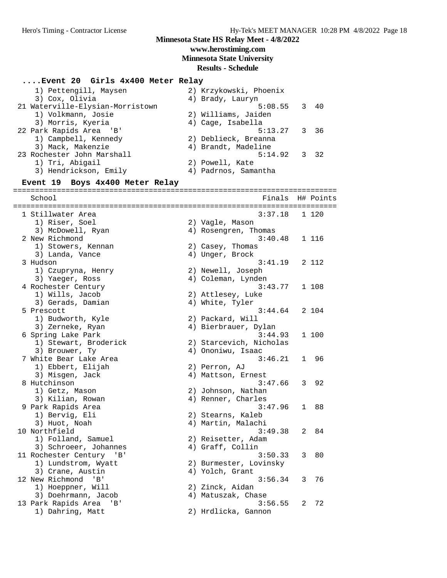#### **Minnesota State HS Relay Meet - 4/8/2022 www.herostiming.com**

# **Minnesota State University**

# **Results - Schedule**

**....Event 20 Girls 4x400 Meter Relay** 1) Pettengill, Maysen 2) Krzykowski, Phoenix 3) Cox, Olivia 4) Brady, Lauryn 21 Waterville-Elysian-Morristown 5:08.55 3 40 1) Volkmann, Josie 2) Williams, Jaiden 3) Morris, Kyeria 4) Cage, Isabella 22 Park Rapids Area 'B' 5:13.27 3 36 1) Campbell, Kennedy 2) Deblieck, Breanna 3) Mack, Makenzie 4) Brandt, Madeline 23 Rochester John Marshall 5:14.92 3 32 1) Tri, Abigail 2) Powell, Kate 3) Hendrickson, Emily (4) Padrnos, Samantha **Event 19 Boys 4x400 Meter Relay** ========================================================================== School **Finals H# Points** ========================================================================== 1 Stillwater Area 3:37.18 1 120 1) Riser, Soel 2) Vagle, Mason 3) McDowell, Ryan 1988 (2008) 4 Rosengren, Thomas 2 New Richmond 3:40.48 1 116 1) Stowers, Kennan (2) Casey, Thomas 3) Landa, Vance (4) Unger, Brock 3 Hudson 3:41.19 2 112 1) Czupryna, Henry 2) Newell, Joseph 3) Yaeger, Ross (4) Coleman, Lynden 4 Rochester Century 3:43.77 1 108 1) Wills, Jacob 2) Attlesey, Luke 3) Gerads, Damian (4) White, Tyler 5 Prescott 3:44.64 2 104 1) Budworth, Kyle 2) Packard, Will 3) Zerneke, Ryan 1988 (1988) March 1989 (1989) Bierbrauer, Dylan 6 Spring Lake Park 3:44.93 1 100 1) Stewart, Broderick 2) Starcevich, Nicholas 3) Brouwer, Ty (3) 4) Ononiwu, Isaac 7 White Bear Lake Area 3:46.21 1 96 1) Ebbert, Elijah 2) Perron, AJ 3) Misgen, Jack (4) Mattson, Ernest 8 Hutchinson<br>
1) Getz, Mason<br>
2) Johnson, Nathan<br>
4) Renner, Charles<br>
4) Renner, Charles 1) Getz, Mason 2) Johnson, Nathan 3) Kilian, Rowan (4) Renner, Charles 9 Park Rapids Area 3:47.96 1 88<br>1) Bervig, Eli (2) Stearns, Kaleb 3:47.96 1 88 1) Bervig, Eli 2) Stearns, Kaleb 3) Huot, Noah (4) Martin, Malachi 10 Northfield 3:49.38 2 84 1) Folland, Samuel 2) Reisetter, Adam 3) Schroeer, Johannes (4) Graff, Collin 11 Rochester Century 'B' 3:50.33 3 80 1) Lundstrom, Wyatt 2) Burmester, Lovinsky 3) Crane, Austin (4) Yolch, Grant 12 New Richmond 'B' 3:56.34 3 76 1) Hoeppner, Will 2) Zinck, Aidan 3) Doehrmann, Jacob 4) Matuszak, Chase 13 Park Rapids Area 'B' 3:56.55 2 72 1) Dahring, Matt 2) Hrdlicka, Gannon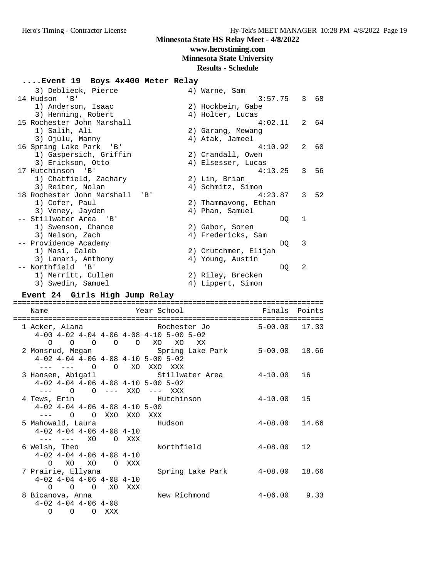# **www.herostiming.com**

## **Minnesota State University**

#### **Results - Schedule**

### **....Event 19 Boys 4x400 Meter Relay**

| 3) Deblieck, Pierce        |           | 4) Warne, Sam        |               |       |
|----------------------------|-----------|----------------------|---------------|-------|
| 14 Hudson 'B'              |           | 3:57.75              |               | 3 68  |
| 1) Anderson, Isaac         |           | 2) Hockbein, Gabe    |               |       |
| 3) Henning, Robert         |           | 4) Holter, Lucas     |               |       |
| 15 Rochester John Marshall |           | 4:02.11              |               | 2.64  |
| 1) Salih, Ali              |           | 2) Garang, Mewang    |               |       |
| 3) Ojulu, Manny            |           | 4) Atak, Jameel      |               |       |
| 16 Spring Lake Park 'B'    |           | 4:10.92              | $\mathcal{L}$ | 60    |
| 1) Gaspersich, Griffin     |           | 2) Crandall, Owen    |               |       |
| 3) Erickson, Otto          |           | 4) Elsesser, Lucas   |               |       |
| 17 Hutchinson 'B'          |           | 4:13.25              |               | 3, 56 |
| 1) Chatfield, Zachary      |           | 2) Lin, Brian        |               |       |
| 3) Reiter, Nolan           |           | 4) Schmitz, Simon    |               |       |
| 18 Rochester John Marshall | $'$ B $'$ | 4:23.87              |               | 3, 52 |
| 1) Cofer, Paul             |           | 2) Thammavong, Ethan |               |       |
| 3) Veney, Jayden           |           | 4) Phan, Samuel      |               |       |
| -- Stillwater Area 'B'     |           | DQ                   | 1             |       |
| 1) Swenson, Chance         |           | 2) Gabor, Soren      |               |       |
| 3) Nelson, Zach            |           | 4) Fredericks, Sam   |               |       |
| -- Providence Academy      |           | DO                   | 3             |       |
| 1) Masi, Caleb             |           | 2) Crutchmer, Elijah |               |       |
| 3) Lanari, Anthony         |           | 4) Young, Austin     |               |       |
| -- Northfield 'B'          |           | DQ                   | 2             |       |
| 1) Merritt, Cullen         |           | 2) Riley, Brecken    |               |       |
| 3) Swedin, Samuel          |           | 4) Lippert, Simon    |               |       |

#### **Event 24 Girls High Jump Relay**

| Name<br>===================================      |                   |  |                                                                        |                   |  |
|--------------------------------------------------|-------------------|--|------------------------------------------------------------------------|-------------------|--|
| 1 Acker, Alana                                   |                   |  | $4-00$ $4-02$ $4-04$ $4-06$ $4-08$ $4-10$ $5-00$ $5-02$                |                   |  |
|                                                  |                   |  | 0 0 0 0 0 XO XO XX                                                     |                   |  |
|                                                  |                   |  | 2 Monsrud, Megan Spring Lake Park 5-00.00 18.66                        |                   |  |
| $4-02$ $4-04$ $4-06$ $4-08$ $4-10$ $5-00$ $5-02$ |                   |  |                                                                        |                   |  |
| --- --- 0 0 XO XXO XXX                           |                   |  |                                                                        |                   |  |
|                                                  |                   |  | 3 Hansen, Abigail                 Stillwater Area         4-10.00   16 |                   |  |
| $4-02$ $4-04$ $4-06$ $4-08$ $4-10$ $5-00$ $5-02$ |                   |  |                                                                        |                   |  |
| --- 0 0 --- XXO --- XXX                          |                   |  |                                                                        |                   |  |
|                                                  |                   |  | 4 Tews, Erin Hutchinson                                                | $4 - 10.00$ 15    |  |
| $4-02$ $4-04$ $4-06$ $4-08$ $4-10$ $5-00$        |                   |  |                                                                        |                   |  |
| --- 0 0 XXO XXO XXX                              |                   |  |                                                                        |                   |  |
| 5 Mahowald, Laura                 Hudson         |                   |  |                                                                        | $4 - 08.00$ 14.66 |  |
| $4-02$ $4-04$ $4-06$ $4-08$ $4-10$               |                   |  |                                                                        |                   |  |
| --- --- XO O XXX                                 |                   |  |                                                                        |                   |  |
| 6 Welsh, Theo                                    |                   |  | Northfield                                                             | $4 - 08.00$ 12    |  |
| $4-02$ $4-04$ $4-06$ $4-08$ $4-10$               |                   |  |                                                                        |                   |  |
|                                                  | O XO XO O XXX     |  |                                                                        |                   |  |
| 7 Prairie, Ellyana                               |                   |  | Spring Lake Park 4-08.00 18.66                                         |                   |  |
| $4-02$ $4-04$ $4-06$ $4-08$ $4-10$               |                   |  |                                                                        |                   |  |
|                                                  | O O O XO XXX      |  |                                                                        |                   |  |
| 8 Bicanova, Anna                                 |                   |  | New Richmond                                                           | $4 - 06.00$ 9.33  |  |
| $4-02$ $4-04$ $4-06$ $4-08$                      |                   |  |                                                                        |                   |  |
|                                                  | $O$ $O$ $O$ $XXX$ |  |                                                                        |                   |  |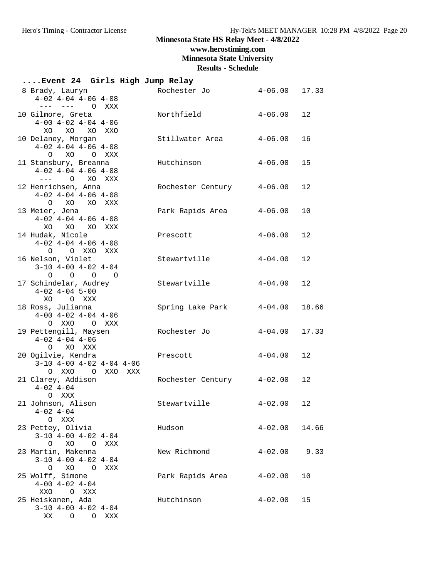# **www.herostiming.com**

**Minnesota State University**

| Event 24 Girls High Jump Relay                                                                         |                   |                |         |
|--------------------------------------------------------------------------------------------------------|-------------------|----------------|---------|
| 8 Brady, Lauryn<br>$4-02$ $4-04$ $4-06$ $4-08$<br>--- --- O XXX                                        | Rochester Jo      | $4 - 06.00$    | 17.33   |
| 10 Gilmore, Greta<br>$4-00$ $4-02$ $4-04$ $4-06$<br>XO<br>XO<br>XO<br>XXO                              | Northfield        | $4 - 06.00$    | 12      |
| 10 Delaney, Morgan<br>$4-02$ $4-04$ $4-06$ $4-08$<br>XO O XXX<br>$\circ$                               | Stillwater Area   | $4 - 06.00$    | 16      |
| 11 Stansbury, Breanna<br>$4-02$ $4-04$ $4-06$ $4-08$<br>--- O XO XXX                                   | Hutchinson        | $4 - 06.00$    | 15      |
| 12 Henrichsen, Anna<br>$4-02$ $4-04$ $4-06$ $4-08$<br>O XO XO XXX                                      | Rochester Century | $4 - 06.00$    | 12      |
| 13 Meier, Jena<br>$4-02$ $4-04$ $4-06$ $4-08$<br>XO XO XO<br>XXX                                       | Park Rapids Area  | $4 - 06.00$    | 10      |
| 14 Hudak, Nicole<br>$4-02$ $4-04$ $4-06$ $4-08$<br>O O XXO XXX                                         | Prescott          | $4 - 06.00$    | 12      |
| 16 Nelson, Violet<br>$3-10$ $4-00$ $4-02$ $4-04$<br>$\circ$<br>$\begin{matrix} 0 & 0 & 0 \end{matrix}$ | Stewartville      | $4 - 04.00$    | 12      |
| 17 Schindelar, Audrey<br>$4-02$ $4-04$ 5-00<br>XO OXXX                                                 | Stewartville      | $4 - 04.00$    | 12      |
| 18 Ross, Julianna<br>$4-00$ $4-02$ $4-04$ $4-06$<br>O XXO<br>O XXX                                     | Spring Lake Park  | $4 - 04.00$    | 18.66   |
| 19 Pettengill, Maysen<br>$4-02$ $4-04$ $4-06$<br>O XO XXX                                              | Rochester Jo      | $4 - 04.00$    | 17.33   |
| 20 Ogilvie, Kendra<br>$3-10$ $4-00$ $4-02$ $4-04$ $4-06$<br>O XXO<br>O XXO XXX                         | Prescott          | $4 - 04.00$    | 12      |
| 21 Clarey, Addison<br>$4 - 02$ $4 - 04$<br>O XXX                                                       | Rochester Century | $4 - 02.00$    | $12 \,$ |
| 21 Johnson, Alison<br>$4 - 02$ $4 - 04$<br>O XXX                                                       | Stewartville      | $4 - 02.00$ 12 |         |
| 23 Pettey, Olivia<br>$3-10$ $4-00$ $4-02$ $4-04$<br>O XO O XXX                                         | Hudson            | $4 - 02.00$    | 14.66   |
| 23 Martin, Makenna<br>$3-10$ $4-00$ $4-02$ $4-04$<br>O XO<br>$\overline{O}$<br>XXX                     | New Richmond      | $4 - 02.00$    | 9.33    |
| 25 Wolff, Simone<br>$4-00$ $4-02$ $4-04$<br>XXO O XXX                                                  | Park Rapids Area  | $4 - 02.00$    | 10      |
| 25 Heiskanen, Ada<br>$3-10$ $4-00$ $4-02$ $4-04$<br>XX O O XXX                                         | Hutchinson        | $4 - 02.00$    | 15      |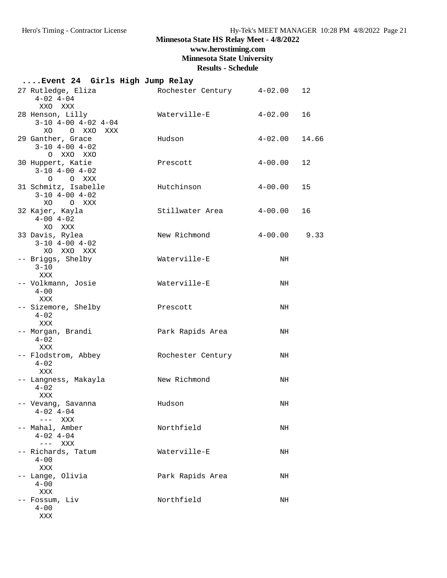**www.herostiming.com**

**Minnesota State University**

|                                                                      |     | Event 24 Girls High Jump Relay |               |                 |
|----------------------------------------------------------------------|-----|--------------------------------|---------------|-----------------|
| 27 Rutledge, Eliza<br>$4 - 02$ $4 - 04$<br>XXO XXX                   |     | Rochester Century 4-02.00      |               | 12 <sup>°</sup> |
| 28 Henson, Lilly<br>$3-10$ $4-00$ $4-02$ $4-04$<br>XO OXXO           | XXX | Waterville-E                   | $4 - 02$ , 00 | 16              |
| 29 Ganther, Grace<br>$3-10$ $4-00$ $4-02$<br>O XXO XXO               |     | Hudson                         | $4-02.00$     | 14.66           |
| 30 Huppert, Katie<br>$3-10$ $4-00$ $4-02$<br>O O XXX                 |     | Prescott                       | $4 - 00.00$   | 12              |
| 31 Schmitz, Isabelle<br>$3-10$ $4-00$ $4-02$<br>XO O XXX             |     | Hutchinson                     | $4 - 00.00$   | 15              |
| 32 Kajer, Kayla<br>$4 - 00$ $4 - 02$<br>XO XXX                       |     | Stillwater Area                | $4-00.00$     | 16              |
| 33 Davis, Rylea<br>$3-10$ $4-00$ $4-02$<br>XO XXO XXX                |     | New Richmond                   | $4-00.00$     | 9.33            |
| -- Briggs, Shelby<br>$3 - 10$<br>XXX                                 |     | Waterville-E                   | NH            |                 |
| -- Volkmann, Josie<br>$4 - 00$<br>XXX                                |     | Waterville-E                   | NH            |                 |
| -- Sizemore, Shelby<br>$4 - 02$<br>XXX                               |     | Prescott                       | NH            |                 |
| -- Morgan, Brandi<br>$4 - 02$<br>XXX                                 |     | Park Rapids Area               | NH            |                 |
| -- Flodstrom, Abbey<br>$4 - 02$<br>XXX                               |     | Rochester Century              | NH            |                 |
| -- Langness, Makayla<br>$4 - 02$<br>XXX                              |     | New Richmond                   | NH            |                 |
| -- Vevang, Savanna<br>$4 - 02$ $4 - 04$<br>$---$ XXX                 |     | Hudson                         | ΝH            |                 |
| -- Mahal, Amber<br>$4 - 02$ $4 - 04$<br>$\qquad \qquad - - -$<br>XXX |     | Northfield                     | NH            |                 |
| -- Richards, Tatum<br>$4 - 00$<br>XXX                                |     | Waterville-E                   | NH            |                 |
| -- Lange, Olivia<br>$4 - 00$<br>XXX                                  |     | Park Rapids Area               | NH            |                 |
| -- Fossum, Liv<br>$4 - 00$<br>XXX                                    |     | Northfield                     | NH            |                 |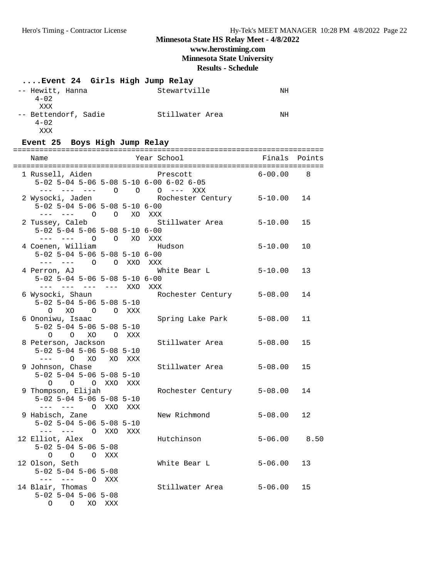## **Minnesota State HS Relay Meet - 4/8/2022 www.herostiming.com**

**Minnesota State University**

| Event 24 Girls High Jump Relay                                |        |                           |             |        |
|---------------------------------------------------------------|--------|---------------------------|-------------|--------|
| -- Hewitt, Hanna<br>$4 - 02$<br>XXX                           |        | Stewartville              | NH          |        |
| -- Bettendorf, Sadie<br>$4 - 02$<br>XXX                       |        | Stillwater Area           | NH          |        |
| Event 25 Boys High Jump Relay                                 |        |                           |             |        |
| Name                                                          |        | Year School               | Finals      | Points |
|                                                               |        |                           |             |        |
| 1 Russell, Aiden                                              |        | Prescott                  | 6-00.00     | 8      |
| 5-02 5-04 5-06 5-08 5-10 6-00 6-02 6-05                       |        |                           |             |        |
| --- --- --- 0 0 0 --- XXX                                     |        |                           |             |        |
| 2 Wysocki, Jaden<br>$5-02$ $5-04$ $5-06$ $5-08$ $5-10$ $6-00$ |        | Rochester Century 5-10.00 |             | 14     |
| --- --- 0 0 XO XXX                                            |        |                           |             |        |
| 2 Tussey, Caleb                                               |        | Stillwater Area 5-10.00   |             | 15     |
| $5-02$ $5-04$ $5-06$ $5-08$ $5-10$ $6-00$                     |        |                           |             |        |
| --- --- 0 0 XO XXX                                            |        |                           |             |        |
| 4 Coenen, William                                             |        | Hudson                    | $5 - 10.00$ | 10     |
| $5-02$ 5-04 5-06 5-08 5-10 6-00                               |        |                           |             |        |
| --- --- O O XXO XXX                                           |        |                           |             | 13     |
| 4 Perron, AJ<br>$5-02$ $5-04$ $5-06$ $5-08$ $5-10$ $6-00$     |        | White Bear L              | $5 - 10.00$ |        |
| --- --- --- --- XXO XXX                                       |        |                           |             |        |
| 6 Wysocki, Shaun                                              |        | Rochester Century 5-08.00 |             | 14     |
| $5-02$ $5-04$ $5-06$ $5-08$ $5-10$                            |        |                           |             |        |
| O XO<br>O OXXX                                                |        |                           |             |        |
| 6 Ononiwu, Isaac                                              |        | Spring Lake Park          | $5 - 08.00$ | 11     |
| $5-02$ $5-04$ $5-06$ $5-08$ $5-10$<br>O O XO O XXX            |        |                           |             |        |
| 8 Peterson, Jackson                                           |        | Stillwater Area           | $5 - 08.00$ | 15     |
| $5-02$ $5-04$ $5-06$ $5-08$ $5-10$                            |        |                           |             |        |
| $O$ XO                                                        | XO XXX |                           |             |        |
| 9 Johnson, Chase                                              |        | Stillwater Area           | $5 - 08.00$ | 15     |
| $5-02$ $5-04$ $5-06$ $5-08$ $5-10$                            |        |                           |             |        |
| O O O XXO XXX                                                 |        |                           |             |        |
| 9 Thompson, Elijah<br>$5-02$ 5-04 5-06 5-08 5-10              |        | Rochester Century 5-08.00 |             | 14     |
| --- --- 0 XXO                                                 | XXX    |                           |             |        |
| 9 Habisch, Zane                                               |        | New Richmond              | $5 - 08.00$ | 12     |
| $5-02$ $5-04$ $5-06$ $5-08$ $5-10$                            |        |                           |             |        |
| $--- - - - -$ 0 XXO                                           | XXX    |                           |             |        |
| 12 Elliot, Alex                                               |        | Hutchinson                | $5 - 06.00$ | 8.50   |
| $5 - 02$ $5 - 04$ $5 - 06$ $5 - 08$                           |        |                           |             |        |
| O O O XXX<br>12 Olson, Seth                                   |        | White Bear L              | $5 - 06.00$ | 13     |
| $5-02$ $5-04$ $5-06$ $5-08$                                   |        |                           |             |        |
| --- --- O XXX                                                 |        |                           |             |        |
| 14 Blair, Thomas                                              |        | Stillwater Area           | $5 - 06.00$ | 15     |
| $5-02$ $5-04$ $5-06$ $5-08$                                   |        |                           |             |        |
| $\circ$ $\circ$<br>XO                                         | XXX    |                           |             |        |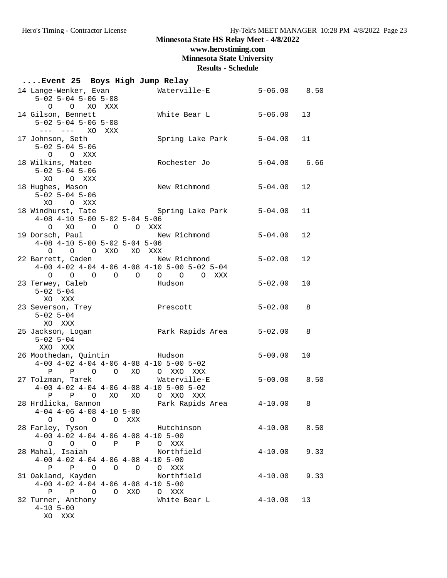**www.herostiming.com**

**Minnesota State University**

| Event 25 Boys High Jump Relay                                                                                                               |                           |                  |      |  |  |
|---------------------------------------------------------------------------------------------------------------------------------------------|---------------------------|------------------|------|--|--|
| 14 Lange-Wenker, Evan<br>$5 - 02$ $5 - 04$ $5 - 06$ $5 - 08$<br>O O XO XXX                                                                  | Waterville-E              | $5 - 06.00$ 8.50 |      |  |  |
| 14 Gilson, Bennett<br>$5-02$ $5-04$ $5-06$ $5-08$<br>$--- 20$<br>XXX                                                                        | White Bear L              | $5 - 06.00$      | 13   |  |  |
| 17 Johnson, Seth<br>$5-02$ $5-04$ $5-06$<br>O O XXX                                                                                         | Spring Lake Park          | 5-04.00          | 11   |  |  |
| 18 Wilkins, Mateo<br>$5 - 02$ $5 - 04$ $5 - 06$<br>XO OXXX                                                                                  | Rochester Jo              | $5 - 04.00$ 6.66 |      |  |  |
| 18 Hughes, Mason<br>$5-02$ $5-04$ $5-06$<br>O XXX<br>XO                                                                                     | New Richmond              | $5 - 04.00$ 12   |      |  |  |
| 18 Windhurst, Tate The Spring Lake Park<br>$4-08$ $4-10$ $5-00$ $5-02$ $5-04$ $5-06$<br>0 XO 0 0 0 XXX                                      |                           | $5 - 04.00$      | 11   |  |  |
| 19 Dorsch, Paul<br>$4-08$ $4-10$ $5-00$ $5-02$ $5-04$ $5-06$<br>O O O XXO XO XXX                                                            | New Richmond              | 5-04.00          | 12   |  |  |
| 22 Barrett, Caden<br>$4-00$ $4-02$ $4-04$ $4-06$ $4-08$ $4-10$ $5-00$ $5-02$ $5-04$<br>0 0 0 0 0 0 0 0 XXX                                  | New Richmond              | $5 - 02.00$      | 12   |  |  |
| 23 Terwey, Caleb<br>$5 - 02$ $5 - 04$<br>XO XXX                                                                                             | Hudson                    | $5 - 02.00$      | 10   |  |  |
| 23 Severson, Trey<br>$5 - 02$ $5 - 04$<br>XO XXX                                                                                            | Prescott                  | $5 - 02.00$      | 8    |  |  |
| 25 Jackson, Logan<br>$5 - 02$ $5 - 04$<br>XXO XXX                                                                                           |                           |                  | 8    |  |  |
| 26 Moothedan, Quintin Fudson<br>$4-00$ $4-02$ $4-04$ $4-06$ $4-08$ $4-10$ $5-00$ $5-02$<br>P P O O XO O XXO XXX                             |                           | $5 - 00.00$      | 10   |  |  |
| 27 Tolzman, Tarek<br>$4-00$ $4-02$ $4-04$ $4-06$ $4-08$ $4-10$ $5-00$ $5-02$<br>P O XO XO O XXO XXX<br>$\mathbf{P}$                         | Waterville-E              | $5 - 00.00$ 8.50 |      |  |  |
| 28 Hrdlicka, Gannon                         Park Rapids Area           4-10.00       8<br>$4-04$ $4-06$ $4-08$ $4-10$ $5-00$<br>0 0 0 0 XXX |                           |                  |      |  |  |
| 28 Farley, Tyson<br>$4-00$ $4-02$ $4-04$ $4-06$ $4-08$ $4-10$ $5-00$<br>0 0 0 P P O XXX                                                     | Hutchinson                | $4-10.00$ 8.50   |      |  |  |
| 28 Mahal, Isaiah<br>$4-00$ $4-02$ $4-04$ $4-06$ $4-08$ $4-10$ $5-00$<br>P P O O O O XXX                                                     | Northfield                | $4 - 10.00$      | 9.33 |  |  |
| 31 Oakland, Kayden<br>$4-00$ $4-02$ $4-04$ $4-06$ $4-08$ $4-10$ $5-00$<br>P P O O XXO O XXX                                                 | Northfield                | $4 - 10.00$ 9.33 |      |  |  |
| 32 Turner, Anthony<br>$4 - 10$ 5-00<br>XO XXX                                                                                               | White Bear L $4-10.00$ 13 |                  |      |  |  |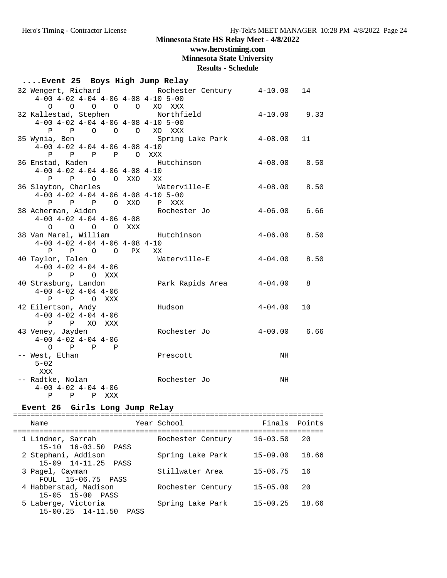#### **www.herostiming.com**

**Minnesota State University**

#### **Results - Schedule**

| Event 25 Boys High Jump Relay |                                           |  |       |  |                                                      |                  |    |
|-------------------------------|-------------------------------------------|--|-------|--|------------------------------------------------------|------------------|----|
|                               |                                           |  |       |  | 32 Wengert, Richard Kochester Century 4-10.00        |                  | 14 |
|                               |                                           |  |       |  | $4-00$ $4-02$ $4-04$ $4-06$ $4-08$ $4-10$ $5-00$     |                  |    |
|                               |                                           |  |       |  | 0 0 0 0 0 XO XXX                                     |                  |    |
|                               |                                           |  |       |  | 32 Kallestad, Stephen Northfield                     | $4-10.00$ 9.33   |    |
|                               |                                           |  |       |  | $4-00$ $4-02$ $4-04$ $4-06$ $4-08$ $4-10$ $5-00$     |                  |    |
|                               |                                           |  |       |  | P P O O O XO XXX                                     |                  |    |
|                               | 35 Wynia, Ben                             |  |       |  | Spring Lake Park 4-08.00                             |                  | 11 |
|                               | $4-00$ $4-02$ $4-04$ $4-06$ $4-08$ $4-10$ |  |       |  |                                                      |                  |    |
|                               | P P P P O XXX                             |  |       |  |                                                      |                  |    |
|                               | 36 Enstad, Kaden                          |  |       |  | Hutchinson                                           | $4 - 08.00$ 8.50 |    |
|                               | $4-00$ $4-02$ $4-04$ $4-06$ $4-08$ $4-10$ |  |       |  |                                                      |                  |    |
|                               | P P O O XXO XX                            |  |       |  |                                                      |                  |    |
|                               |                                           |  |       |  | 36 Slayton, Charles <b>Materville-E</b> 4-08.00 8.50 |                  |    |
|                               |                                           |  |       |  | $4-00$ $4-02$ $4-04$ $4-06$ $4-08$ $4-10$ $5-00$     |                  |    |
|                               |                                           |  |       |  | P P P O XXO P XXX                                    |                  |    |
|                               | 38 Acherman, Aiden                        |  |       |  | Rochester Jo                                         | $4 - 06.00$ 6.66 |    |
|                               | $4-00$ $4-02$ $4-04$ $4-06$ $4-08$        |  |       |  |                                                      |                  |    |
|                               | $O$ $O$ $O$ $O$ $XXX$                     |  |       |  |                                                      |                  |    |
|                               | 38 Van Marel, William                     |  |       |  | Hutchinson  4-06.00 8.50                             |                  |    |
|                               | $4-00$ $4-02$ $4-04$ $4-06$ $4-08$ $4-10$ |  |       |  |                                                      |                  |    |
|                               | P P O O PX XX                             |  |       |  |                                                      |                  |    |
|                               | 40 Taylor, Talen                          |  |       |  | Waterville-E                                         | $4 - 04.00$ 8.50 |    |
|                               | $4-00$ $4-02$ $4-04$ $4-06$               |  |       |  |                                                      |                  |    |
|                               | P P O XXX                                 |  |       |  |                                                      |                  |    |
|                               | 40 Strasburg, Landon                      |  |       |  | Park Rapids Area 4-04.00                             |                  | 8  |
|                               | $4-00$ $4-02$ $4-04$ $4-06$               |  |       |  |                                                      |                  |    |
|                               | P P O XXX                                 |  |       |  |                                                      |                  |    |
|                               | 42 Eilertson, Andy                        |  |       |  | Hudson                                               | $4 - 04.00$      | 10 |
|                               | $4-00$ $4-02$ $4-04$ $4-06$               |  |       |  |                                                      |                  |    |
|                               | P P XO XXX                                |  |       |  |                                                      |                  |    |
|                               | 43 Veney, Jayden                          |  |       |  | Rochester Jo   4-00.00   6.66                        |                  |    |
|                               | $4-00$ $4-02$ $4-04$ $4-06$               |  |       |  |                                                      |                  |    |
|                               | $O \qquad P \qquad P \qquad P$            |  |       |  |                                                      |                  |    |
|                               | -- West, Ethan                            |  |       |  | Prescott                                             | NH               |    |
|                               | $5 - 02$                                  |  |       |  |                                                      |                  |    |
|                               | XXX                                       |  |       |  |                                                      |                  |    |
|                               | -- Radtke, Nolan                          |  |       |  | Rochester Jo                                         | NH               |    |
|                               | $4 - 00$ $4 - 02$ $4 - 04$ $4 - 06$       |  |       |  |                                                      |                  |    |
|                               | P<br>$\mathbf{P}$                         |  | P XXX |  |                                                      |                  |    |

#### **Event 26 Girls Long Jump Relay**

======================================================================= Name The Year School The Finals Points ======================================================================= Rochester Century 16-03.50 20 1 Lindner, Sarrah<br>15-10 16-03.50 PASS<br>2 Stephani, Addison Spring Lake Park 15-09.00 18.66 15-09 14-11.25 PASS 3 Pagel, Cayman Stillwater Area 15-06.75 16 FOUL 15-06.75 PASS 4 Habberstad, Madison Rochester Century 15-05.00 20 15-05 15-00 PASS 5 Laberge, Victoria Spring Lake Park 15-00.25 18.66 15-00.25 14-11.50 PASS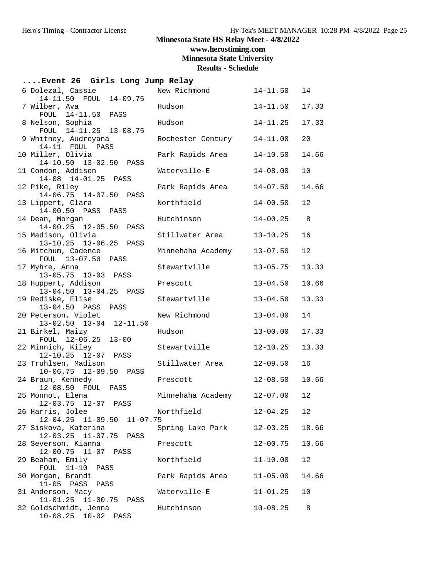**www.herostiming.com**

**Minnesota State University**

| Event 26 Girls Long Jump Relay                                                    |                            |              |       |  |  |
|-----------------------------------------------------------------------------------|----------------------------|--------------|-------|--|--|
| 6 Dolezal, Cassie<br>14-11.50 FOUL 14-09.75                                       | New Richmond               | $14 - 11.50$ | 14    |  |  |
| 7 Wilber, Ava<br>FOUL 14-11.50 PASS                                               | Hudson                     | $14 - 11.50$ | 17.33 |  |  |
| 8 Nelson, Sophia                                                                  | Hudson                     | $14 - 11.25$ | 17.33 |  |  |
| FOUL 14-11.25 13-08.75<br>9 Whitney, Audreyana                                    | Rochester Century          | $14 - 11.00$ | 20    |  |  |
| 14-11 FOUL PASS<br>10 Miller, Olivia                                              | Park Rapids Area           | $14 - 10.50$ | 14.66 |  |  |
| 14-10.50 13-02.50 PASS<br>11 Condon, Addison                                      | Waterville-E               | $14 - 08.00$ | 10    |  |  |
| 14-08 14-01.25 PASS<br>12 Pike, Riley                                             | Park Rapids Area           | $14 - 07.50$ | 14.66 |  |  |
| $14-06.75$ $14-07.50$<br>PASS<br>13 Lippert, Clara                                | Northfield                 | $14 - 00.50$ | 12    |  |  |
| 14-00.50 PASS<br>PASS<br>14 Dean, Morgan                                          | Hutchinson                 | $14 - 00.25$ | 8     |  |  |
| 14-00.25 12-05.50<br>PASS<br>15 Madison, Olivia                                   | Stillwater Area            | $13 - 10.25$ | 16    |  |  |
| 13-10.25 13-06.25 PASS<br>16 Mitchum, Cadence                                     | Minnehaha Academy          | $13 - 07.50$ | 12    |  |  |
| FOUL 13-07.50 PASS                                                                |                            |              |       |  |  |
| 17 Myhre, Anna<br>13-05.75  13-03  PASS                                           | Stewartville               | $13 - 05.75$ | 13.33 |  |  |
| 18 Huppert, Addison<br>13-04.50 13-04.25 PASS                                     | Prescott                   | $13 - 04.50$ | 10.66 |  |  |
| 19 Rediske, Elise<br>13-04.50 PASS PASS                                           | Stewartville               | $13 - 04.50$ | 13.33 |  |  |
| 20 Peterson, Violet<br>13-02.50 13-04 12-11.50                                    | New Richmond               | $13 - 04.00$ | 14    |  |  |
| 21 Birkel, Maizy<br>FOUL 12-06.25 13-00                                           | Hudson                     | $13 - 00.00$ | 17.33 |  |  |
| 22 Minnich, Kiley<br>12-10.25 12-07 PASS                                          | Stewartville               | $12 - 10.25$ | 13.33 |  |  |
| 23 Truhlsen, Madison<br>10-06.75 12-09.50 PASS                                    | Stillwater Area            | $12 - 09.50$ | 16    |  |  |
| 24 Braun, Kennedy<br>12-08.50 FOUL PASS                                           | Prescott                   | $12 - 08.50$ | 10.66 |  |  |
| 25 Monnot, Elena<br>12-03.75 12-07 PASS                                           | Minnehaha Academy 12-07.00 |              | 12    |  |  |
| 26 Harris, Jolee<br>$12 - 04.25$<br>$11-09.50$ $11-07.75$                         | Northfield                 | $12 - 04.25$ | 12    |  |  |
| 27 Siskova, Katerina                                                              | Spring Lake Park           | $12 - 03.25$ | 18.66 |  |  |
| 12-03.25<br>11-07.75<br>PASS<br>28 Severson, Kianna                               | Prescott                   | $12 - 00.75$ | 10.66 |  |  |
| 12-00.75 11-07 PASS<br>29 Beaham, Emily                                           | Northfield                 | $11 - 10.00$ | 12    |  |  |
| FOUL 11-10 PASS<br>30 Morgan, Brandi                                              | Park Rapids Area           | $11 - 05.00$ | 14.66 |  |  |
| 11-05 PASS PASS<br>31 Anderson, Macy                                              | Waterville-E               | $11 - 01.25$ | 10    |  |  |
| $11 - 01.25$ $11 - 00.75$<br>PASS<br>32 Goldschmidt, Jenna<br>10-08.25 10-02 PASS | Hutchinson                 | $10 - 08.25$ | 8     |  |  |
|                                                                                   |                            |              |       |  |  |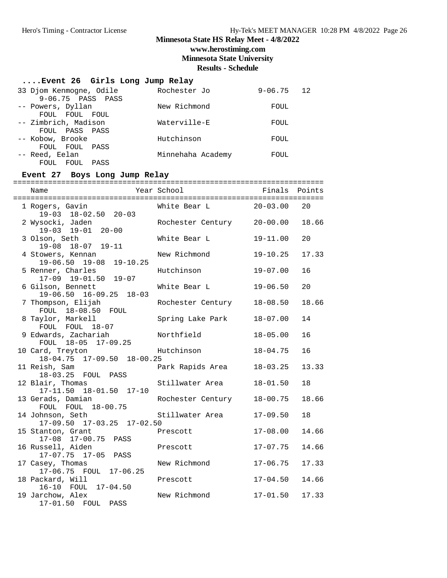### **Minnesota State HS Relay Meet - 4/8/2022 www.herostiming.com**

**Minnesota State University**

**Results - Schedule**

### **....Event 26 Girls Long Jump Relay**

| 33 Djom Kenmogne, Odile<br>9-06.75 PASS PASS             | Rochester Jo      | $9 - 06.75$ | $\begin{array}{cc} 1.2 \end{array}$ |
|----------------------------------------------------------|-------------------|-------------|-------------------------------------|
| -- Powers, Dyllan                                        | New Richmond      | FOUL        |                                     |
| FOUL FOUL FOUL<br>-- Zimbrich, Madison<br>FOUL PASS PASS | Waterville-E      | FOUL        |                                     |
| -- Kobow, Brooke                                         | Hutchinson        | FOUL        |                                     |
| FOUL FOUL<br>PASS<br>-- Reed, Eelan<br>FOUL FOUL<br>PASS | Minnehaha Academy | FOUL        |                                     |

#### **Event 27 Boys Long Jump Relay**

| 1 Rogers, Gavin<br>19-03 18-02.50 20-03            | White Bear L               | $20 - 03.00$ | 20    |
|----------------------------------------------------|----------------------------|--------------|-------|
| 2 Wysocki, Jaden<br>19-03 19-01 20-00              | Rochester Century 20-00.00 |              | 18.66 |
| 3 Olson, Seth<br>19-08 18-07 19-11                 | White Bear L               | $19 - 11.00$ | 20    |
| 4 Stowers, Kennan<br>19-06.50 19-08 19-10.25       | New Richmond               | $19 - 10.25$ | 17.33 |
| 5 Renner, Charles<br>17-09 19-01.50 19-07          | Hutchinson                 | $19 - 07.00$ | 16    |
| 6 Gilson, Bennett<br>19-06.50 16-09.25 18-03       | White Bear L               | $19 - 06.50$ | 20    |
| 7 Thompson, Elijah<br>FOUL 18-08.50 FOUL           | Rochester Century          | $18 - 08.50$ | 18.66 |
| 8 Taylor, Markell<br>FOUL FOUL 18-07               | Spring Lake Park           | $18 - 07.00$ | 14    |
| 9 Edwards, Zachariah<br>FOUL 18-05 17-09.25        | Northfield                 | $18 - 05.00$ | 16    |
| 10 Card, Treyton<br>18-04.75 17-09.50 18-00.25     | Hutchinson                 | $18 - 04.75$ | 16    |
| 11 Reish, Sam<br>18-03.25 FOUL PASS                | Park Rapids Area           | $18 - 03.25$ | 13.33 |
| 12 Blair, Thomas<br>18-01.50 17-10<br>$17 - 11.50$ | Stillwater Area            | $18 - 01.50$ | 18    |
| 13 Gerads, Damian<br>FOUL FOUL 18-00.75            | Rochester Century          | 18-00.75     | 18.66 |
| 14 Johnson, Seth<br>17-09.50 17-03.25 17-02.50     | Stillwater Area            | $17 - 09.50$ | 18    |
| 15 Stanton, Grant<br>17-08 17-00.75 PASS           | Prescott                   | $17 - 08.00$ | 14.66 |
| 16 Russell, Aiden<br>17-07.75 17-05 PASS           | Prescott                   | $17 - 07.75$ | 14.66 |
| 17 Casey, Thomas<br>17-06.75 FOUL 17-06.25         | New Richmond               | $17 - 06.75$ | 17.33 |
| 18 Packard, Will<br>16-10 FOUL 17-04.50            | Prescott                   | $17 - 04.50$ | 14.66 |
| 19 Jarchow, Alex<br>17-01.50 FOUL<br>PASS          | New Richmond               | $17 - 01.50$ | 17.33 |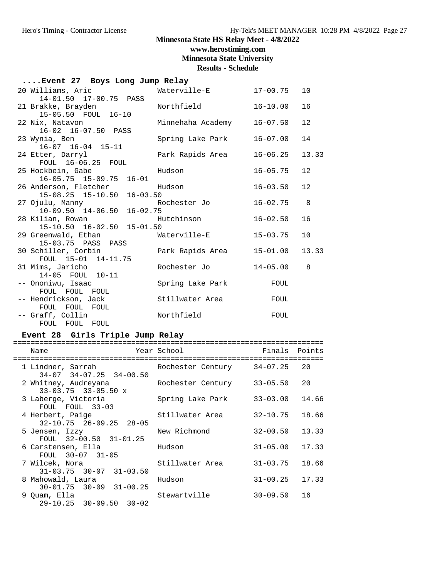**www.herostiming.com**

**Minnesota State University**

**Results - Schedule**

| Event 27 Boys Long Jump Relay                                                   |                   |              |                |  |  |  |
|---------------------------------------------------------------------------------|-------------------|--------------|----------------|--|--|--|
| 20 Williams, Aric Materville-E<br>14-01.50 17-00.75 PASS                        |                   | 17-00.75     | 10             |  |  |  |
| 21 Brakke, Brayden<br>15-05.50 FOUL 16-10                                       | Northfield        | 16-10.00     | 16             |  |  |  |
| 22 Nix, Natavon<br>16-02 16-07.50 PASS                                          | Minnehaha Academy | $16 - 07.50$ | 12             |  |  |  |
| 23 Wynia, Ben<br>$16-07$ $16-04$ $15-11$                                        | Spring Lake Park  | 16-07.00     | 14             |  |  |  |
| 24 Etter, Darryl<br>FOUL 16-06.25 FOUL                                          | Park Rapids Area  | $16 - 06.25$ | 13.33          |  |  |  |
| 25 Hockbein, Gabe<br>en alternative de Hudson.<br>$16-05.75$ $15-09.75$ $16-01$ |                   | $16 - 05.75$ | 12             |  |  |  |
| 26 Anderson, Fletcher<br>15-08.25 15-10.50 16-03.50                             | Hudson            | 16-03.50     | 12             |  |  |  |
| 27 Ojulu, Manny<br>10-09.50 14-06.50 16-02.75                                   |                   | 16-02.75     | 8              |  |  |  |
| 28 Kilian, Rowan<br>15-10.50 16-02.50 15-01.50                                  | Hutchinson        | $16 - 02.50$ | 16             |  |  |  |
| 15-03.75 PASS PASS                                                              |                   | $15 - 03.75$ | 10             |  |  |  |
| 30 Schiller, Corbin<br>FOUL 15-01 14-11.75                                      | Park Rapids Area  | $15 - 01.00$ | 13.33          |  |  |  |
| 31 Mims, Jaricho<br>14-05 FOUL 10-11                                            | Rochester Jo      | $14 - 05.00$ | $\overline{8}$ |  |  |  |
| -- Ononiwu, Isaac<br>FOUL FOUL FOUL                                             | Spring Lake Park  | FOUL         |                |  |  |  |
| -- Hendrickson, Jack<br>FOUL FOUL FOUL                                          | Stillwater Area   | FOUL         |                |  |  |  |
| -- Graff, Collin<br>FOUL FOUL FOUL                                              | Northfield        | FOUL         |                |  |  |  |

## **Event 28 Girls Triple Jump Relay**

| Name                                                     | Year School       | Finals       | Points |
|----------------------------------------------------------|-------------------|--------------|--------|
| 1 Lindner, Sarrah<br>$34-07$ $34-07.25$ $34-00.50$       | Rochester Century | 34-07.25     | 20     |
| 2 Whitney, Audreyana<br>$33 - 03.75$ $33 - 05.50$ x      | Rochester Century | $33 - 05.50$ | 20     |
| 3 Laberge, Victoria<br>FOUL FOUL 33-03                   | Spring Lake Park  | $33 - 03.00$ | 14.66  |
| 4 Herbert, Paige<br>$32 - 10.75$ $26 - 09.25$ $28 - 05$  | Stillwater Area   | $32 - 10.75$ | 18.66  |
| 5 Jensen, Izzy<br>FOUL 32-00.50 31-01.25                 | New Richmond      | $32 - 00.50$ | 13.33  |
| 6 Carstensen, Ella<br>FOUL 30-07 31-05                   | Hudson            | $31 - 05.00$ | 17.33  |
| 7 Wilcek, Nora<br>$31 - 03.75$ $30 - 07$<br>$31 - 03.50$ | Stillwater Area   | $31 - 03.75$ | 18.66  |
| 8 Mahowald, Laura<br>$30 - 01.75$ $30 - 09$ $31 - 00.25$ | Hudson            | $31 - 00.25$ | 17.33  |
| 9 Ouam, Ella<br>$29-10.25$ $30-09.50$ $30-02$            | Stewartville      | $30 - 09.50$ | 16     |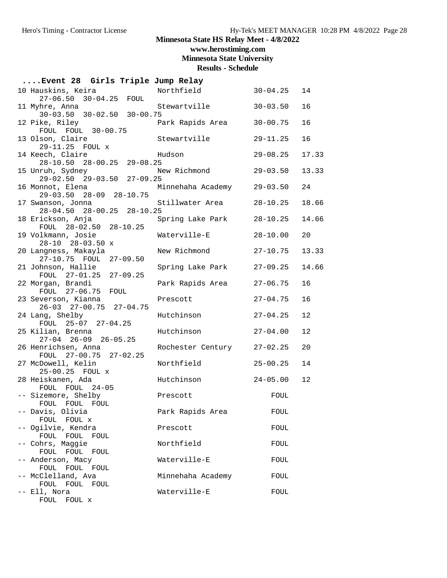**www.herostiming.com**

**Minnesota State University**

| Event 28 Girls Triple Jump Relay                     |                            |              |       |
|------------------------------------------------------|----------------------------|--------------|-------|
| 10 Hauskins, Keira<br>27-06.50 30-04.25 FOUL         | Northfield 30-04.25        |              | 14    |
| 11 Myhre, Anna<br>$30-03.50$ $30-02.50$ $30-00.75$   | Stewartville               | $30 - 03.50$ | 16    |
| 12 Pike, Riley<br>FOUL FOUL 30-00.75                 | Park Rapids Area           | $30 - 00.75$ | 16    |
| 13 Olson, Claire<br>29-11.25 FOUL x                  | Stewartville               | $29 - 11.25$ | 16    |
| 14 Keech, Claire<br>28-10.50 28-00.25 29-08.25       | Hudson                     | $29 - 08.25$ | 17.33 |
| 15 Unruh, Sydney<br>$29-02.50$ $29-03.50$ $27-09.25$ | New Richmond               | $29 - 03.50$ | 13.33 |
| 16 Monnot, Elena<br>29-03.50 28-09 28-10.75          | Minnehaha Academy 29-03.50 |              | 24    |
| 17 Swanson, Jonna<br>28-04.50 28-00.25 28-10.25      | Stillwater Area            | $28 - 10.25$ | 18.66 |
| 18 Erickson, Anja<br>FOUL 28-02.50 28-10.25          | Spring Lake Park           | $28 - 10.25$ | 14.66 |
| 19 Volkmann, Josie<br>$28-10$ $28-03.50$ x           | Waterville-E               | $28 - 10.00$ | 20    |
| 20 Langness, Makayla<br>27-10.75 FOUL 27-09.50       | New Richmond               | $27 - 10.75$ | 13.33 |
| 21 Johnson, Hallie<br>FOUL 27-01.25 27-09.25         | Spring Lake Park           | $27 - 09.25$ | 14.66 |
| 22 Morgan, Brandi<br>FOUL 27-06.75 FOUL              | Park Rapids Area           | $27 - 06.75$ | 16    |
| 23 Severson, Kianna<br>26-03 27-00.75 27-04.75       | Prescott                   | $27 - 04.75$ | 16    |
| 24 Lang, Shelby<br>FOUL 25-07 27-04.25               | Hutchinson                 | $27 - 04.25$ | 12    |
| 25 Kilian, Brenna<br>$27-04$ $26-09$ $26-05.25$      | Hutchinson                 | $27 - 04.00$ | 12    |
| 26 Henrichsen, Anna<br>FOUL 27-00.75 27-02.25        | Rochester Century 27-02.25 |              | 20    |
| 27 McDowell, Kelin<br>$25 - 00.25$ FOUL x            | Northfield                 | $25 - 00.25$ | 14    |
| 28 Heiskanen, Ada<br>FOUL FOUL 24-05                 | Hutchinson                 | $24 - 05.00$ | 12    |
| -- Sizemore, Shelby<br>FOUL FOUL FOUL                | Prescott                   | FOUL         |       |
| -- Davis, Olivia<br>FOUL FOUL x                      | Park Rapids Area           | FOUL         |       |
| -- Ogilvie, Kendra<br>FOUL FOUL FOUL                 | Prescott                   | FOUL         |       |
| -- Cohrs, Maggie<br>FOUL FOUL FOUL                   | Northfield                 | FOUL         |       |
| -- Anderson, Macy<br>FOUL FOUL<br>FOUL               | Waterville-E               | FOUL         |       |
| -- McClelland, Ava<br>FOUL FOUL FOUL                 | Minnehaha Academy          | FOUL         |       |
| -- Ell, Nora<br>FOUL FOUL x                          | Waterville-E               | FOUL         |       |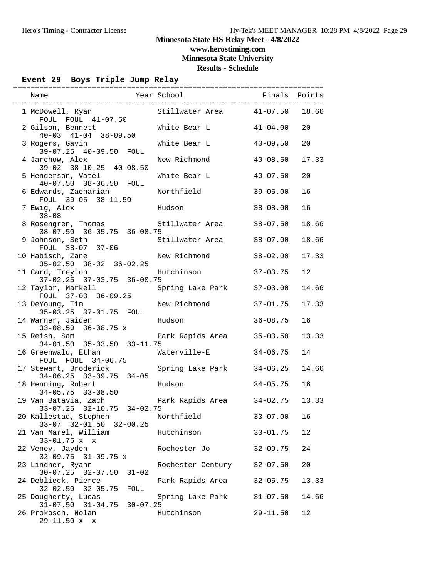### **Minnesota State HS Relay Meet - 4/8/2022 www.herostiming.com**

**Minnesota State University**

**Results - Schedule**

#### **Event 29 Boys Triple Jump Relay**

|                                                    |              | Stillwater Area 41-07.50 |              | 18.66 |
|----------------------------------------------------|--------------|--------------------------|--------------|-------|
| 1 McDowell, Ryan                                   |              |                          |              |       |
| FOUL FOUL 41-07.50                                 |              |                          |              |       |
| 2 Gilson, Bennett                                  |              | White Bear L             | $41-04.00$   | 20    |
| $40-03$ $41-04$ $38-09.50$                         |              |                          |              |       |
| 3 Rogers, Gavin                                    |              | White Bear L             | $40 - 09.50$ | 20    |
| 39-07.25 40-09.50 FOUL                             |              |                          |              |       |
| 4 Jarchow, Alex                                    |              | New Richmond             | $40 - 08.50$ | 17.33 |
| 39-02 38-10.25 40-08.50                            |              |                          |              |       |
| 5 Henderson, Vatel                                 |              | White Bear L             | $40 - 07.50$ | 20    |
| 40-07.50 38-06.50 FOUL                             |              |                          |              |       |
| 6 Edwards, Zachariah                               |              | Northfield               | $39 - 05.00$ | 16    |
|                                                    |              |                          |              |       |
| FOUL 39-05 38-11.50                                |              |                          |              |       |
| 7 Ewig, Alex                                       |              | Hudson                   | $38 - 08.00$ | 16    |
| $38 - 08$                                          |              |                          |              |       |
| 8 Rosengren, Thomas                                |              | Stillwater Area          | $38 - 07.50$ | 18.66 |
| $38-07.50$ $36-05.75$ $36-08.75$                   |              |                          |              |       |
| 9 Johnson, Seth                                    |              | Stillwater Area          | $38 - 07.00$ | 18.66 |
| FOUL 38-07 37-06                                   |              |                          |              |       |
| 10 Habisch, Zane                                   |              | New Richmond             | $38 - 02.00$ | 17.33 |
| $35-02.50$ $38-02$ $36-02.25$                      |              |                          |              |       |
| 11 Card, Treyton                                   |              | Hutchinson               | $37 - 03.75$ | 12    |
| 37-02.25 37-03.75 36-00.75                         |              |                          |              |       |
| 12 Taylor, Markell                                 |              | Spring Lake Park         | $37 - 03.00$ | 14.66 |
| FOUL 37-03 36-09.25                                |              |                          |              |       |
|                                                    |              | New Richmond             | $37 - 01.75$ | 17.33 |
| 13 DeYoung, Tim<br>35-03.25 37-01.75 FOUL          |              |                          |              |       |
|                                                    |              |                          |              |       |
| 14 Warner, Jaiden                                  |              | Hudson                   | $36 - 08.75$ | 16    |
| $33-08.50$ $36-08.75$ x                            |              |                          |              |       |
| 15 Reish, Sam                                      |              | Park Rapids Area         | $35 - 03.50$ | 13.33 |
| 34-01.50 35-03.50 33-11.75                         |              |                          |              |       |
| 16 Greenwald, Ethan                                |              | Waterville-E             | $34 - 06.75$ | 14    |
| FOUL FOUL 34-06.75                                 |              |                          |              |       |
| 17 Stewart, Broderick                              |              | Spring Lake Park         | $34 - 06.25$ | 14.66 |
| $34-06.25$ $33-09.75$ $34-05$                      |              |                          |              |       |
| 18 Henning, Robert                                 |              | Hudson                   | $34 - 05.75$ | 16    |
| $34 - 05.75$ $33 - 08.50$                          |              |                          |              |       |
| 19 Van Batavia, Zach (Dark Rapids Area (294-02.75) |              |                          |              | 13.33 |
| 33-07.25 32-10.75 34-02.75                         |              |                          |              |       |
| 20 Kallestad, Stephen                              |              | Northfield               | $33 - 07.00$ | 16    |
| 33-07 32-01.50 32-00.25                            |              |                          |              |       |
| 21 Van Marel, William                              |              |                          |              |       |
|                                                    |              | Hutchinson               | $33 - 01.75$ | 12    |
| $33 - 01.75$ x x                                   |              |                          |              |       |
| 22 Veney, Jayden                                   |              | Rochester Jo             | $32 - 09.75$ | 24    |
| 32-09.75 31-09.75 x                                |              |                          |              |       |
| 23 Lindner, Ryann                                  |              | Rochester Century        | $32 - 07.50$ | 20    |
| $30 - 07.25$ $32 - 07.50$<br>$31 - 02$             |              |                          |              |       |
| 24 Deblieck, Pierce                                |              | Park Rapids Area         | $32 - 05.75$ | 13.33 |
| $32 - 02.50$ $32 - 05.75$<br>FOUL                  |              |                          |              |       |
| 25 Dougherty, Lucas                                |              | Spring Lake Park         | $31 - 07.50$ | 14.66 |
| $31 - 07.50$ $31 - 04.75$                          | $30 - 07.25$ |                          |              |       |
| 26 Prokosch, Nolan                                 |              | Hutchinson               | $29 - 11.50$ | 12    |
| $29-11.50 x$<br>$\mathbf{x}$                       |              |                          |              |       |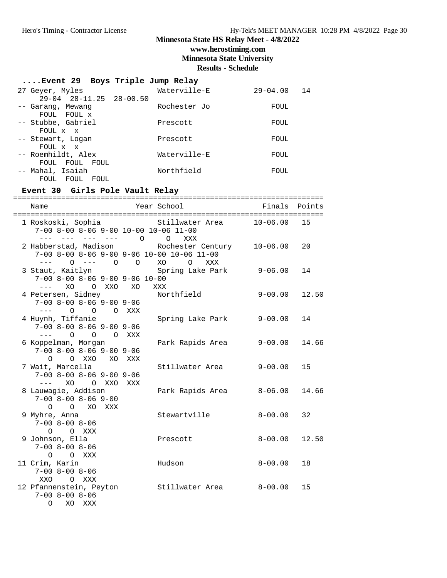## **www.herostiming.com**

**Minnesota State University**

**Results - Schedule**

### **....Event 29 Boys Triple Jump Relay**

| 27 Geyer, Myles                              | Waterville-E | $29 - 04.00$<br>14 |
|----------------------------------------------|--------------|--------------------|
| 29-04 28-11.25 28-00.50<br>-- Garang, Mewang | Rochester Jo | FOUL               |
| FOUL FOUL X                                  |              |                    |
| -- Stubbe, Gabriel                           | Prescott     | FOUL               |
| FOUL x x<br>-- Stewart, Logan                | Prescott     | FOUL               |
| FOUL x x                                     |              |                    |
| -- Roemhildt, Alex                           | Waterville-E | FOUL               |
| FOUL<br>FOUL<br>FOUL<br>-- Mahal, Isaiah     | Northfield   | FOUL               |
| FOUL.<br>FOUL<br>FOUL                        |              |                    |

## **Event 30 Girls Pole Vault Relay**

| Name                                                                                                                                                                                                                                                                                                                                                                                                                                                                   | Year School                                                                                                   | Finals Points |       |
|------------------------------------------------------------------------------------------------------------------------------------------------------------------------------------------------------------------------------------------------------------------------------------------------------------------------------------------------------------------------------------------------------------------------------------------------------------------------|---------------------------------------------------------------------------------------------------------------|---------------|-------|
| 7-00 8-00 8-06 9-00 10-00 10-06 11-00<br>--- --- --- 0<br>$- - -$                                                                                                                                                                                                                                                                                                                                                                                                      | 1 Roskoski, Sophia and Stillwater Area 10-06.00<br>$\circ$<br>XXX                                             |               | 15    |
| $0$ --- $0$ 0<br>$\frac{1}{2}$                                                                                                                                                                                                                                                                                                                                                                                                                                         | 2 Habberstad, Madison Rochester Century<br>7-00 8-00 8-06 9-00 9-06 10-00 10-06 11-00<br>XO<br>$\circ$<br>XXX | $10 - 06.00$  | 20    |
| 3 Staut, Kaitlyn<br>$7-00$ 8-00 8-06 9-00 9-06 10-00<br>$\frac{1}{2} \frac{1}{2} \frac{1}{2} \frac{1}{2} \frac{1}{2} \frac{1}{2} \frac{1}{2} \frac{1}{2} \frac{1}{2} \frac{1}{2} \frac{1}{2} \frac{1}{2} \frac{1}{2} \frac{1}{2} \frac{1}{2} \frac{1}{2} \frac{1}{2} \frac{1}{2} \frac{1}{2} \frac{1}{2} \frac{1}{2} \frac{1}{2} \frac{1}{2} \frac{1}{2} \frac{1}{2} \frac{1}{2} \frac{1}{2} \frac{1}{2} \frac{1}{2} \frac{1}{2} \frac{1}{2} \frac{$<br>XO<br>O XXO XO | Spring Lake Park<br>XXX                                                                                       | 9-06.00       | 14    |
| 4 Petersen, Sidney<br>$7-00$ 8-00 8-06 9-00 9-06<br>$---$ 0 0                                                                                                                                                                                                                                                                                                                                                                                                          | Northfield<br>O XXX                                                                                           | $9 - 00.00$   | 12.50 |
| 4 Huynh, Tiffanie<br>$7-00$ 8-00 8-06 9-00 9-06<br>$---$ 0<br>$\circ$                                                                                                                                                                                                                                                                                                                                                                                                  | Spring Lake Park<br>O XXX                                                                                     | $9 - 00.00$   | 14    |
| 6 Koppelman, Morgan<br>$7-00$ 8-00 8-06 9-00 9-06<br>O XXO<br>$\Omega$                                                                                                                                                                                                                                                                                                                                                                                                 | Park Rapids Area<br>XO XXX                                                                                    | $9 - 00.00$   | 14.66 |
| 7 Wait, Marcella<br>$7-00$ 8-00 8-06 9-00 9-06<br>XO<br>$\frac{1}{2} \frac{1}{2} \frac{1}{2} \frac{1}{2} \frac{1}{2} \frac{1}{2} \frac{1}{2} \frac{1}{2} \frac{1}{2} \frac{1}{2} \frac{1}{2} \frac{1}{2} \frac{1}{2} \frac{1}{2} \frac{1}{2} \frac{1}{2} \frac{1}{2} \frac{1}{2} \frac{1}{2} \frac{1}{2} \frac{1}{2} \frac{1}{2} \frac{1}{2} \frac{1}{2} \frac{1}{2} \frac{1}{2} \frac{1}{2} \frac{1}{2} \frac{1}{2} \frac{1}{2} \frac{1}{2} \frac{$<br>O XXO XXX      | Stillwater Area                                                                                               | 9-00.00       | 15    |
| 8 Lauwagie, Addison<br>$7 - 00$ $8 - 00$ $8 - 06$ $9 - 00$<br>O O XO XXX                                                                                                                                                                                                                                                                                                                                                                                               | Park Rapids Area                                                                                              | 8-06.00       | 14.66 |
| 9 Myhre, Anna<br>$7 - 00$ $8 - 00$ $8 - 06$<br>$O$ $O$ $XXX$                                                                                                                                                                                                                                                                                                                                                                                                           | Stewartville                                                                                                  | $8 - 00.00$   | 32    |
| 9 Johnson, Ella<br>$7 - 00$ $8 - 00$ $8 - 06$<br>$\circ$<br>O XXX                                                                                                                                                                                                                                                                                                                                                                                                      | Prescott                                                                                                      | $8 - 00.00$   | 12.50 |
| 11 Crim, Karin<br>$7 - 00$ $8 - 00$ $8 - 06$                                                                                                                                                                                                                                                                                                                                                                                                                           | Hudson                                                                                                        | $8 - 00.00$   | 18    |
| XXO<br>O XXX<br>12 Pfannenstein, Peyton<br>$7 - 00$ $8 - 00$ $8 - 06$<br>0<br>XO<br>XXX                                                                                                                                                                                                                                                                                                                                                                                | Stillwater Area                                                                                               | $8-00$ .00    | 15    |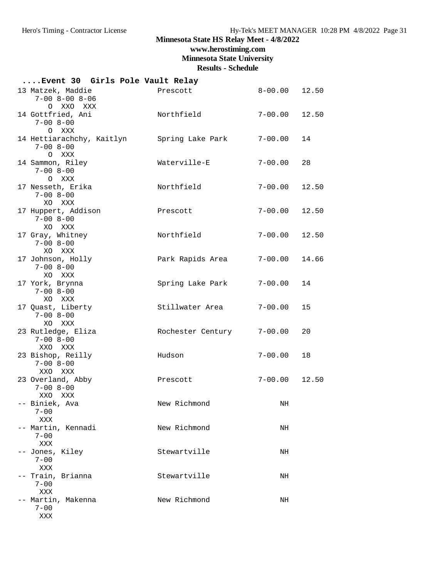# **www.herostiming.com**

**Minnesota State University**

| Event 30 Girls Pole Vault Relay                              |                   |             |       |
|--------------------------------------------------------------|-------------------|-------------|-------|
| 13 Matzek, Maddie<br>$7 - 00$ $8 - 00$ $8 - 06$<br>O XXO XXX | Prescott          | $8 - 00.00$ | 12.50 |
| 14 Gottfried, Ani<br>$7 - 008 - 00$<br>O XXX                 | Northfield        | $7 - 00.00$ | 12.50 |
| 14 Hettiarachchy, Kaitlyn<br>$7 - 00$ 8-00<br>O XXX          | Spring Lake Park  | $7 - 00.00$ | 14    |
| 14 Sammon, Riley<br>$7 - 00$ 8-00<br>O XXX                   | Waterville-E      | $7 - 00.00$ | 28    |
| 17 Nesseth, Erika<br>$7 - 00$ 8-00<br>XO XXX                 | Northfield        | $7 - 00.00$ | 12.50 |
| 17 Huppert, Addison<br>$7 - 008 - 00$<br>XO XXX              | Prescott          | $7 - 00.00$ | 12.50 |
| 17 Gray, Whitney<br>$7 - 00$ $8 - 00$<br>XO XXX              | Northfield        | $7 - 00.00$ | 12.50 |
| 17 Johnson, Holly<br>$7 - 00$ 8-00<br>XO XXX                 | Park Rapids Area  | $7 - 00.00$ | 14.66 |
| 17 York, Brynna<br>$7 - 00$ 8-00<br>XO XXX                   | Spring Lake Park  | $7 - 00.00$ | 14    |
| 17 Quast, Liberty<br>$7 - 00$ $8 - 00$<br>XO XXX             | Stillwater Area   | $7 - 00.00$ | 15    |
| 23 Rutledge, Eliza<br>$7 - 00$ 8-00<br>XXO XXX               | Rochester Century | $7 - 00.00$ | 20    |
| 23 Bishop, Reilly<br>$7 - 00$ 8-00<br>XXO XXX                | Hudson            | $7 - 00.00$ | 18    |
| 23 Overland, Abby<br>$7 - 00$ 8-00<br>XXO XXX                | Prescott          | $7 - 00.00$ | 12.50 |
| -- Biniek, Ava<br>$7 - 00$<br>XXX                            | New Richmond      | NH          |       |
| -- Martin, Kennadi<br>$7 - 00$<br>XXX                        | New Richmond      | NH          |       |
| -- Jones, Kiley<br>$7 - 00$<br>XXX                           | Stewartville      | NH          |       |
| -- Train, Brianna<br>$7 - 00$<br>XXX                         | Stewartville      | NH          |       |
| -- Martin, Makenna<br>$7 - 00$<br>XXX                        | New Richmond      | NH          |       |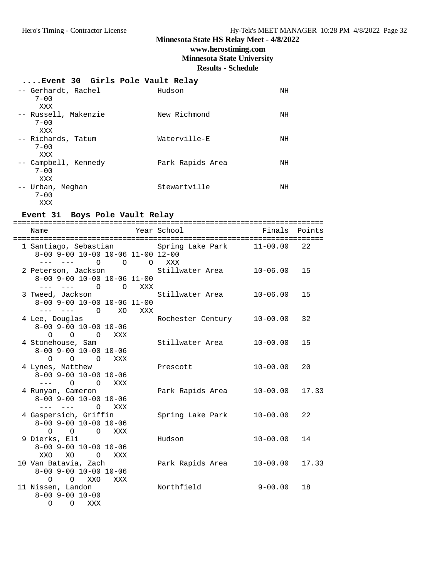# **www.herostiming.com**

**Minnesota State University**

**Results - Schedule**

#### **....Event 30 Girls Pole Vault Relay**

| -- Gerhardt, Rachel<br>$7 - 00$<br>XXX  | Hudson           | ΝH |
|-----------------------------------------|------------------|----|
| -- Russell, Makenzie<br>$7 - 00$<br>XXX | New Richmond     | ΝH |
| -- Richards, Tatum<br>$7 - 00$<br>XXX   | Waterville-E     | ΝH |
| -- Campbell, Kennedy<br>$7 - 00$<br>XXX | Park Rapids Area | ΝH |
| -- Urban, Meghan<br>$7 - 00$<br>XXX     | Stewartville     | ΝH |

#### **Event 31 Boys Pole Vault Relay**

| Name                                                |         | Year School       | Finals       | Points |
|-----------------------------------------------------|---------|-------------------|--------------|--------|
| ======================================              |         |                   |              |        |
| 1 Santiago, Sebastian <a> Spring Lake Park</a>      |         |                   | 11-00.00     | 22     |
| 8-00 9-00 10-00 10-06 11-00 12-00                   |         |                   |              |        |
| $\bigcirc$<br>$\Omega$<br>$- - -$<br>$- - - -$      | $\circ$ | XXX               |              |        |
| 2 Peterson, Jackson                                 |         | Stillwater Area   | $10 - 06.00$ | 15     |
| 8-00 9-00 10-00 10-06 11-00                         |         |                   |              |        |
| $\overline{O}$<br>$---$<br>$\Omega$                 | XXX     |                   |              |        |
| 3 Tweed, Jackson                                    |         | Stillwater Area   | $10 - 06.00$ | 15     |
| 8-00 9-00 10-00 10-06 11-00                         |         |                   |              |        |
|                                                     | XXX     |                   |              |        |
| 4 Lee, Douglas                                      |         | Rochester Century | $10 - 00.00$ | 32     |
| $8-00$ 9-00 10-00 10-06                             |         |                   |              |        |
| $\overline{O}$<br>$\overline{O}$<br>$\Omega$<br>XXX |         |                   |              |        |
| 4 Stonehouse, Sam                                   |         | Stillwater Area   | $10 - 00.00$ | 15     |
| $8-00$ 9-00 10-00 10-06                             |         |                   |              |        |
| $\Omega$<br>$\circ$<br>$\overline{O}$<br>XXX        |         |                   |              |        |
| 4 Lynes, Matthew                                    |         | Prescott          | $10 - 00.00$ | 20     |
| $8 - 00$ 9-00 10-00 10-06                           |         |                   |              |        |
| $---$ 0 0<br>XXX                                    |         |                   |              |        |
| 4 Runyan, Cameron                                   |         | Park Rapids Area  | $10 - 00.00$ | 17.33  |
| $8 - 00$ 9-00 10-00 10-06                           |         |                   |              |        |
| $\Omega$<br>XXX                                     |         |                   |              |        |
|                                                     |         |                   |              | 22     |
| 4 Gaspersich, Griffin<br>$8 - 00$ 9-00 10-00 10-06  |         | Spring Lake Park  | 10-00.00     |        |
| $\bigcirc$                                          |         |                   |              |        |
| $\Omega$<br>$\Omega$<br>XXX                         |         | Hudson            | $10 - 00.00$ | 14     |
| 9 Dierks, Eli                                       |         |                   |              |        |
| $8 - 00$ 9-00 10-00 10-06<br>XXO<br>XO<br>$\Omega$  |         |                   |              |        |
| XXX                                                 |         |                   |              | 17.33  |
| 10 Van Batavia, Zach<br>$8-00$ 9-00 10-00 10-06     |         | Park Rapids Area  | $10 - 00.00$ |        |
|                                                     |         |                   |              |        |
| $O$ $O$ $XXO$<br>XXX<br>11 Nissen, Landon           |         | Northfield        | $9 - 00.00$  | 18     |
| $8 - 00$ 9 - 00 10 - 00                             |         |                   |              |        |
| $\Omega$                                            |         |                   |              |        |
| $\circ$<br>XXX                                      |         |                   |              |        |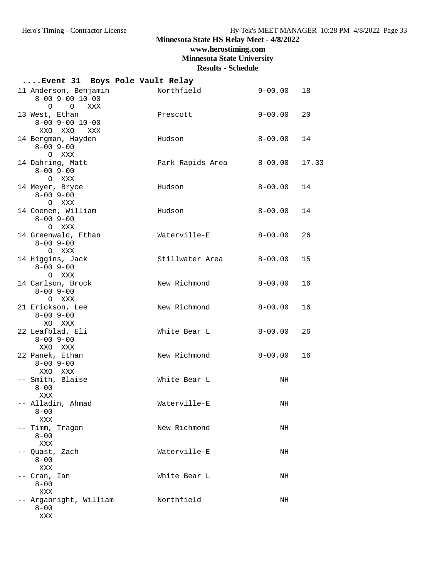# **www.herostiming.com**

**Minnesota State University**

| Event 31 Boys Pole Vault Relay                              |                                 |       |
|-------------------------------------------------------------|---------------------------------|-------|
| 11 Anderson, Benjamin<br>$8 - 00$ 9 - 00 10 - 00<br>O O XXX | Northfield<br>$9 - 00.00$       | 18    |
| 13 West, Ethan<br>$8 - 00$ 9 - 00 10 - 00<br>XXO XXO<br>XXX | $9 - 00.00$<br>Prescott         | 20    |
| 14 Bergman, Hayden<br>$8 - 00$ 9-00<br>O XXX                | Hudson<br>$8 - 00.00$           | 14    |
| 14 Dahring, Matt<br>$8 - 00$ 9-00<br>O XXX                  | Park Rapids Area<br>$8 - 00.00$ | 17.33 |
| 14 Meyer, Bryce<br>$8 - 00$ 9-00<br>O XXX                   | Hudson<br>$8 - 00.00$           | 14    |
| 14 Coenen, William<br>$8 - 00$ 9-00<br>O XXX                | Hudson<br>$8 - 00.00$           | 14    |
| 14 Greenwald, Ethan<br>$8 - 00$ 9-00<br>O XXX               | Waterville-E<br>$8 - 00.00$     | 26    |
| 14 Higgins, Jack<br>$8 - 00$ 9 - 00<br>O XXX                | Stillwater Area<br>$8 - 00.00$  | 15    |
| 14 Carlson, Brock<br>$8 - 00$ 9-00<br>O XXX                 | New Richmond<br>$8 - 00.00$     | 16    |
| 21 Erickson, Lee<br>$8 - 00$ $9 - 00$<br>XO XXX             | New Richmond<br>$8 - 00.00$     | 16    |
| 22 Leafblad, Eli<br>$8 - 00$ 9-00<br>XXO XXX                | White Bear L<br>$8 - 00.00$     | 26    |
| 22 Panek, Ethan<br>$8 - 00$ 9-00<br>XXO XXX                 | New Richmond<br>$8 - 00.00$     | 16    |
| -- Smith, Blaise<br>$8 - 00$<br>XXX                         | White Bear L<br>NH              |       |
| -- Alladin, Ahmad<br>$8 - 00$<br>XXX                        | Waterville-E<br>NH              |       |
| -- Timm, Tragon<br>$8 - 00$<br>XXX                          | New Richmond<br>NH              |       |
| -- Quast, Zach<br>$8 - 00$<br>XXX                           | Waterville-E<br>NH              |       |
| -- Cran, Ian<br>$8 - 00$<br>XXX                             | White Bear L<br>NH              |       |
| -- Argabright, William<br>$8 - 00$<br>XXX                   | Northfield<br>NH                |       |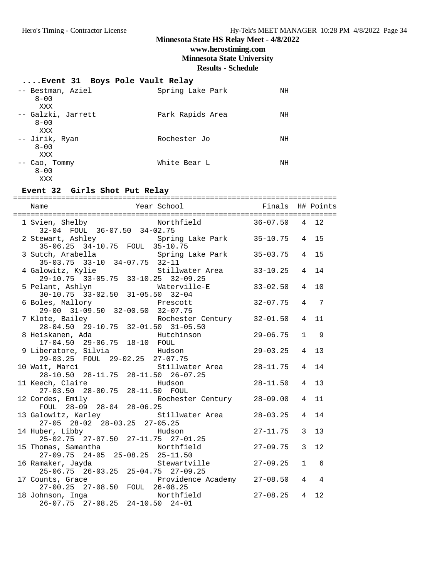### **Minnesota State HS Relay Meet - 4/8/2022 www.herostiming.com Minnesota State University**

#### **Results - Schedule**

### **....Event 31 Boys Pole Vault Relay**

| -- Bestman, Aziel<br>$8 - 00$           | Spring Lake Park | NH |
|-----------------------------------------|------------------|----|
| XXX<br>-- Galzki, Jarrett<br>$8 - 00$   | Park Rapids Area | ΝH |
| XXX<br>-- Jirik, Ryan<br>$8 - 00$       | Rochester Jo     | NH |
| XXX<br>-- Cao, Tommy<br>$8 - 00$<br>XXX | White Bear L     | ΝH |

#### **Event 32 Girls Shot Put Relay**

| 1 Svien, Shelby Morthfield 36-07.50 4 12<br>32-04 FOUL 36-07.50 34-02.75          |                |                |                |
|-----------------------------------------------------------------------------------|----------------|----------------|----------------|
| 2 Stewart, Ashley Spring Lake Park 35-10.75<br>35-06.25 34-10.75 FOUL 35-10.75    |                |                | 4 15           |
| 3 Sutch, Arabella<br>35-03.75 33-10 34-07.75 32-11                                | $35 - 03.75$   | $\overline{4}$ | 15             |
| 4 Galowitz, Kylie 5111 Stillwater Area<br>29-10.75 33-05.75 33-10.25 32-09.25     | $33 - 10.25$   | $\overline{4}$ | 14             |
| 5 Pelant, Ashlyn Waterville-E<br>30-10.75 33-02.50 31-05.50 32-04                 | $33 - 02.50$   | $\overline{4}$ | 10             |
| 6 Boles, Mallory<br>29-00 31-09.50 32-00.50 32-07.75<br>7 Klote Boilov            | $32 - 07.75$   | $\overline{4}$ | 7              |
| 7 Klote, Bailey Rochester Century 32-01.50<br>28-04.50 29-10.75 32-01.50 31-05.50 |                | $\overline{4}$ | 11             |
| 2-01.50 31-05.50<br>Hutchinson<br>8 Heiskanen, Ada                                | $29 - 06.75$   | $\mathbf{1}$   | 9              |
| 29-03.25 FOUL 29-02.25 27-07.75                                                   | $29 - 03.25$   | $\overline{4}$ | 13             |
| 10 Wait, Marci<br>Stillwater Area<br>28-10.50 28-11.75 28-11.50 26-07.25          | $28 - 11.75$   | $\overline{4}$ | 14             |
| 11 Keech, Claire<br>Hudson<br>27-03.50  28-00.75  28-11.50  FOUL                  | $28 - 11.50$   | $\overline{4}$ | 13             |
| 12 Cordes, Emily<br>Rochester Century<br>FOUL 28-09 28-04 28-06.25                | $28 - 09.00$   | $\overline{4}$ | 11             |
| 13 Galowitz, Karley<br>Stillwater Area<br>27-05 28-02 28-03.25 27-05.25           | $28 - 03.25$   | $\overline{4}$ | 14             |
| 14 Huber, Libby Hudson<br>25-02.75 27-07.50 27-11.75 27-01.25                     | $27 - 11.75$   | 3              | 13             |
| 15 Thomas, Samantha Morthfield<br>27-09.75 24-05 25-08.25 25-11.50                | $27 - 09.75$   | $\overline{3}$ | 12             |
| 16 Ramaker, Jayda Stewartville<br>$25-06.75$ $26-03.25$ $25-04.75$ $27-09.25$     | $27 - 09.25$   | $\mathbf{1}$   | 6              |
| 17 Counts, Grace Providence Academy 27-08.50<br>27-00.25 27-08.50 FOUL 26-08.25   |                | $\overline{4}$ | $\overline{4}$ |
|                                                                                   | $27 - 08.25$ 4 |                | 12.            |
|                                                                                   |                |                |                |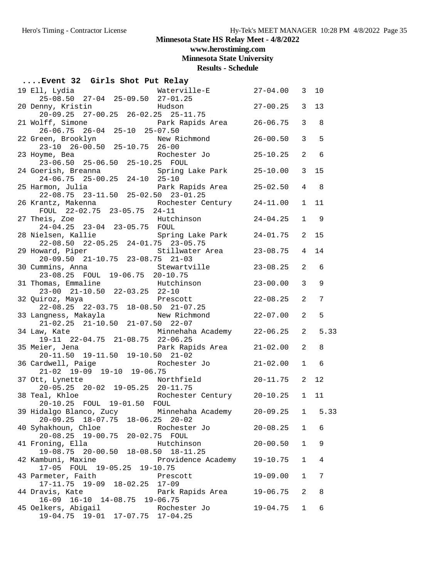**www.herostiming.com**

**Minnesota State University**

| Event 32 Girls Shot Put Relay                                                                |                   |                |      |
|----------------------------------------------------------------------------------------------|-------------------|----------------|------|
| Waterville-E 27-04.00 3<br>19 Ell, Lydia<br>$25-08.50$ $27-04$ $25-09.50$ $27-01.25$         |                   |                | 10   |
| <b>Example 3</b> Hudson<br>20 Denny, Kristin<br>$20-09.25$ 27-00.25 26-02.25 25-11.75        | $27 - 00.25$ 3    |                | 13   |
| 21 Wolff, Simone Tark Rapids Area 26-06.75<br>26-06.75 26-04 25-10 25-07.50                  |                   | 3              | 8    |
| 22 Green, Brooklyn New Richmond<br>23-10 26-00.50 25-10.75 26-00                             | $26 - 00.50$      | $\overline{3}$ | 5    |
| 23 Hoyme, Bea<br>23-06.50 25-06.50 25-10.25 FOUL                                             |                   | 2              | 6    |
| Spring Lake Park 25-10.00<br>24 Goerish, Breanna<br>24-06.75 25-00.25 24-10 25-10<br>- - -   |                   | $\overline{3}$ | 15   |
| 25 Harmon, Julia<br>Park Rapids Area 25-02.50<br>$22-08.75$ $23-11.50$ $25-02.50$ $23-01.25$ |                   | 4              | 8    |
| 26 Krantz, Makenna (2008) Rochester Century 24-11.00<br>FOUL 22-02.75 23-05.75 24-11         |                   | $\mathbf{1}$   | 11   |
| 27 Theis, Zoe <b>Hutchinson</b><br>24-04.25 23-04 23-05.75 FOUL                              | $24 - 04.25$      | $\mathbf{1}$   | 9    |
| 28 Nielsen, Kallie Spring Lake Park 24-01.75<br>22-08.50 22-05.25 24-01.75 23-05.75          |                   | 2              | 15   |
| 29 Howard, Piper 5tillwater Area 23-08.75<br>20-09.50 21-10.75 23-08.75 21-03                |                   | 4              | 14   |
| Stewartville 23-08.25<br>30 Cummins, Anna<br>23-08.25 FOUL 19-06.75 20-10.75                 |                   | 2              | 6    |
| Hutchinson<br>31 Thomas, Emmaline<br>23-00 21-10.50 22-03.25 22-10                           | $23 - 00.00$      | $\overline{3}$ | 9    |
| 32 Quiroz, Maya en Prescott<br>$22-08.25$ $22-03.75$ $18-08.50$ $21-07.25$                   | $22 - 08.25$      | 2              | 7    |
|                                                                                              | $22 - 07.00$      | 2              | 5    |
| 34 Law, Kate Minnehaha Academy 22-06.25<br>19-11 22-04.75 21-08.75 22-06.25                  |                   | 2              | 5.33 |
| 35 Meier, Jena<br>20-11.50 19-11.50 19-10.50 21-02<br>21-02                                  |                   | 2              | 8    |
| Rochester Jo  21-02.00<br>36 Cardwell, Paige<br>$21-02$ $19-09$ $19-10$ $19-06.75$           |                   | $\mathbf{1}$   | 6    |
| Northfield<br>37 Ott, Lynette<br>20-05.25 20-02 19-05.25 20-11.75                            | $20 - 11.75$      | 2              | 12   |
| Rochester Century 20-10.25 1<br>38 Teal, Khloe<br>20-10.25 FOUL 19-01.50 FOUL                |                   |                | 11   |
| 39 Hidalgo Blanco, Zucy     Minnehaha Academy<br>20-09.25 18-07.75 18-06.25 20-02            | $20-09.25$ 1 5.33 |                |      |
| 40 Syhakhoun, Chloe<br>Rochester Jo<br>20-08.25 19-00.75 20-02.75 FOUL                       | $20 - 08.25$      | $\mathbf{1}$   | 6    |
| 41 Froning, Ella<br>Hutchinson<br>19-08.75 20-00.50 18-08.50 18-11.25                        | $20 - 00.50$      | $\mathbf 1$    | 9    |
| Providence Academy<br>42 Kambuni, Maxine<br>17-05 FOUL 19-05.25 19-10.75                     | $19 - 10.75$      | $\mathbf{1}$   | 4    |
| 43 Parmeter, Faith<br>Prescott<br>17-11.75 19-09 18-02.25 17-09                              | $19 - 09.00$      | $\mathbf{1}$   | 7    |
| 44 Dravis, Kate<br>Park Rapids Area<br>16-09 16-10 14-08.75 19-06.75                         | 19-06.75          | 2              | 8    |
| 45 Oelkers, Abigail<br>Rochester Jo<br>19-04.75 19-01 17-07.75 17-04.25                      | 19-04.75          | 1              | 6    |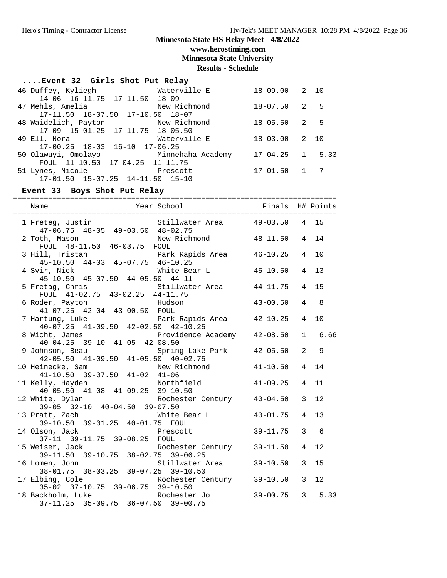**www.herostiming.com**

**Minnesota State University**

**Results - Schedule**

| Event 32 Girls Shot Put Relay               |              |                   |  |
|---------------------------------------------|--------------|-------------------|--|
| 46 Duffey, Kyliegh Materville-E             |              | $18-09.00$ 2 10   |  |
| 14-06 16-11.75 17-11.50 18-09               |              |                   |  |
|                                             |              | $18 - 07.50$ 2 5  |  |
| 17-11.50 18-07.50 17-10.50 18-07            |              |                   |  |
| 48 Waidelich, Payton New Richmond           |              | $18 - 05.50$ 2 5  |  |
| 17-09 15-01.25 17-11.75 18-05.50            |              |                   |  |
| 49 Ell, Nora                                | Waterville-E | $18 - 03.00$ 2 10 |  |
| $17-00.25$ $18-03$ $16-10$ $17-06.25$       |              |                   |  |
| 50 Olawuyi, Omolayo       Minnehaha Academy |              | $17-04.25$ 1 5.33 |  |
| FOUL $11-10.50$ $17-04.25$ $11-11.75$       |              |                   |  |
| 51 Lynes, Nicole Prescott                   |              | $17 - 01.50$ 1 7  |  |
| 17-01.50 15-07.25 14-11.50 15-10            |              |                   |  |
|                                             |              |                   |  |

#### **Event 33 Boys Shot Put Relay**

========================================================================== Name Year School Finals H# Points ========================================================================== 1 Freteg, Justin Stillwater Area 49-03.50 4 15 47-06.75 48-05 49-03.50 48-02.75 2 Toth, Mason New Richmond 48-11.50 4 14 FOUL 48-11.50 46-03.75 FOUL<br>3 Hill, Tristan Park 3 Hill, Tristan Park Rapids Area 46-10.25 4 10 45-10.50 44-03 45-07.75 46-10.25 4 Svir, Nick White Bear L 45-10.50 4 13 45-10.50 45-07.50 44-05.50 44-11 5 Fretag, Chris Stillwater Area 44-11.75 4 15 FOUL  $41-02.75$   $43-02.25$   $44-11.75$ 6 Roder, Payton Hudson Hudson 43-00.50 4 8 41-07.25 42-04 43-00.50 FOUL 7 Hartung, Luke<br>  $10-07, 25, 41-09, 50, 42-02, 50, 42-10, 25, 42-10, 25, 41-09, 50, 42-10, 25, 42-10, 25, 42-10, 25, 42-10, 25, 25-10, 25, 25-10, 25, 25-10, 25, 25-10, 25, 25-10, 25, 25-10, 25, 25-10, 25, 25-10, 25, 25-10,$  40-07.25 41-09.50 42-02.50 42-10.25 8 Wicht, James Providence Academy 42-08.50 1 6.66 40-04.25 39-10 41-05 42-08.50 9 Johnson, Beau 61 - Spring Lake Park 12-05.50 2 42-05.50 41-09.50 41-05.50 40-02.75 10 Heinecke, Sam New Richmond 41-10.50 4 14 41-10.50 39-07.50 41-02 41-06 11 Kelly, Hayden Northfield 41-09.25 4 11 40-05.50 41-08 41-09.25 39-10.50 12 White, Dylan Rochester Century 40-04.50 3 12 39-05 32-10 40-04.50 39-07.50 13 Pratt, Zach Mhite Bear L 40-01.75 4 13 39-10.50 39-01.25 40-01.75 FOUL 14 Olson, Jack Prescott 39-11.75 3 6 37-11 39-11.75 39-08.25 FOUL 15 Weiser, Jack 28-02 75 Rochester Century 39-11.50 4 12 39-11.50 39-10.75 38-02.75 39-06.25 16 Lomen, John Stillwater Area 39-10.50 3 15 38-01.75 38-03.25 39-07.25 39-10.50 17 Elbing, Cole Rochester Century 39-10.50 3 12 35-02 37-10.75 39-06.75 39-10.50 18 Backholm, Luke Rochester Jo 39-00.75 3 5.33 37-11.25 35-09.75 36-07.50 39-00.75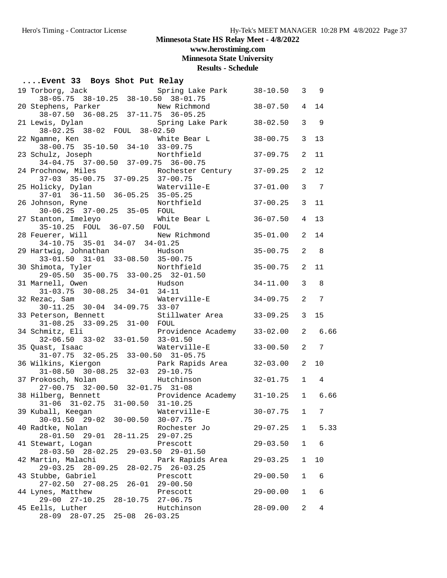**www.herostiming.com**

**Minnesota State University**

**Results - Schedule**

### **....Event 33 Boys Shot Put Relay**

| Spring Lake Park 38-10.50 3 9<br>19 Torborg, Jack                                                              |                |                |                |
|----------------------------------------------------------------------------------------------------------------|----------------|----------------|----------------|
| 38-05.75 38-10.25 38-10.50 38-01.75<br>20 Stephens, Parker New Richmond<br>38-07.50 36-08.25 37-11.75 36-05.25 | $38 - 07.50$ 4 |                | 14             |
|                                                                                                                |                |                |                |
| Spring Lake Park<br>21 Lewis, Dylan<br>$38-02.25$ $38-02$ FOUL $38-02.50$                                      | $38 - 02.50$   | 3              | 9              |
|                                                                                                                | 38-00.75       | $\mathbf{3}$   | 13             |
| 22 Ngamne, Ken Mhite Bear L<br>38-00.75 35-10.50 34-10 33-09.75                                                |                |                |                |
| Northfield<br>23 Schulz, Joseph<br>hulz, Joseph: Northfield<br>34-04.75 37-00.50 37-09.75 36-00.75             | $37 - 09.75$   | 2              | 11             |
|                                                                                                                |                | 2              | 12             |
| 24 Prochnow, Miles Rochester Century 37-09.25<br>37-03 35-00.75 37-09.25 37-00.75                              |                |                |                |
| Waterville-E                                                                                                   | $37 - 01.00$   | $\mathbf{3}$   | $\overline{7}$ |
| 25 Holicky, Dylan Waterville-E<br>37-01 36-11.50 36-05.25 35-05.25<br>26 Johnson, Ryne Northfield              |                |                |                |
|                                                                                                                | $37 - 00.25$   | $\mathbf{3}$   | 11             |
| 30-06.25 37-00.25 35-05 FOUL<br>27 Stanton, Imeleyo Mhite Bear L                                               | $36 - 07.50$   | $\overline{4}$ | 13             |
| 35-10.25 FOUL 36-07.50 FOUL                                                                                    |                |                |                |
|                                                                                                                | $35 - 01.00$   | 2              | 14             |
| 28 Feuerer, Will<br>34-10.75 35-01 34-07 34-01.25                                                              |                |                |                |
| 29 Hartwig, Johnathan Mudson                                                                                   | $35 - 00.75$   | 2              | 8              |
| 33-01.50 31-01 33-08.50 35-00.75<br>30 Shimota, Tyler Northfield                                               | $35 - 00.75$   | 2              | 11             |
| $29-05.50$ 35-00.75 33-00.25 32-01.50                                                                          |                |                |                |
| 31 Marnell, Owen<br>Hudson                                                                                     | $34 - 11.00$   | $\mathbf{3}$   | 8              |
| $31-03.75$ $30-08.25$ $34-01$ $34-11$                                                                          |                |                |                |
| Waterville-E<br>32 Rezac, Sam<br>30-11.25 30-04 34-09.75 33-07                                                 | $34 - 09.75$   | 2              | 7              |
| 33 Peterson, Bennett Stillwater Area                                                                           | $33 - 09.25$   | $\mathbf{3}$   | 15             |
| 31-08.25 33-09.25 31-00 FOUL                                                                                   |                |                |                |
| 34 Schmitz, Eli Providence Academy 33-02.00<br>32-06.50 33-02 33-01.50 33-01.50                                |                | $\overline{2}$ | 6.66           |
|                                                                                                                |                |                |                |
| 35 Quast, Isaac Materville-E<br>$31-07.75$ $32-05.25$ $33-00.50$ $31-05.75$                                    | $33 - 00.50$   | 2              | 7              |
|                                                                                                                |                | 2              | 10             |
|                                                                                                                |                |                |                |
| Hutchinson<br>37 Prokosch, Nolan                                                                               | $32 - 01.75$   | $\mathbf{1}$   | $\overline{4}$ |
| 27-00.75 32-00.50 32-01.75 31-08<br>38 Hilberg, Bennett Frovidence Academy 31-10.25 1 6.66                     |                |                |                |
| $31-06$ $31-02.75$ $31-00.50$ $31-10.25$                                                                       |                |                |                |
| 39 Kuball, Keegan Materville-E                                                                                 | $30 - 07.75$ 1 |                | 7              |
| 30-01.50 29-02 30-00.50 30-07.75                                                                               |                |                |                |
| 40 Radtke, Nolan<br>Rochester Jo                                                                               | $29 - 07.25$   |                | 1 5.33         |
| 28-01.50 29-01 28-11.25 29-07.25<br>41 Stewart, Logan<br>Prescott                                              | $29 - 03.50$   | $\mathbf{1}$   | - 6            |
| $28 - 03.50$ $28 - 02.25$<br>29-03.50 29-01.50                                                                 |                |                |                |
| 42 Martin, Malachi<br>Park Rapids Area                                                                         | $29 - 03.25$   | $\mathbf{1}$   | 10             |
| 29-03.25 28-09.25<br>$28 - 02.75$ $26 - 03.25$                                                                 |                |                |                |
| 43 Stubbe, Gabriel<br>Prescott                                                                                 | $29 - 00.50$   | 1              | 6              |
| $27-02.50$ $27-08.25$ $26-01$ $29-00.50$<br>44 Lynes, Matthew<br>Prescott                                      | $29 - 00.00$   | 1              | 6              |
| 29-00 27-10.25 28-10.75 27-06.75                                                                               |                |                |                |
| 45 Eells, Luther<br>Hutchinson                                                                                 | $28 - 09.00$   | 2              | 4              |
| 28-09 28-07.25 25-08 26-03.25                                                                                  |                |                |                |